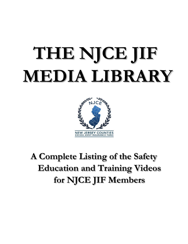# **THE NJCE JIF MEDIA LIBRARY**



## **A Complete Listing of the Safety Education and Training Videos for NJCE JIF Members**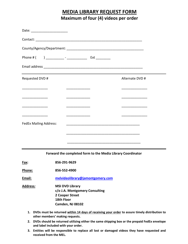#### **MEDIA LIBRARY REQUEST FORM Maximum of four (4) videos per order**

| Date: __________________________                                                                                      |                                              |                                              |  |
|-----------------------------------------------------------------------------------------------------------------------|----------------------------------------------|----------------------------------------------|--|
|                                                                                                                       |                                              |                                              |  |
|                                                                                                                       |                                              |                                              |  |
|                                                                                                                       |                                              |                                              |  |
|                                                                                                                       |                                              |                                              |  |
| Requested DVD #                                                                                                       |                                              | Alternate DVD #                              |  |
| <u> 1989 - Johann Barbara, martxa a shekara 1989 - An tsa a tsa a tsa a tsa a tsa a tsa a tsa a tsa a tsa a tsa a</u> | the control of the control of the control of | <u> 1989 - Johann Barbara, martin a</u>      |  |
| <u> 1989 - Johann Barbara, martin amerikan basar dan bagi dan bagi dan bagi dalam bagi dalam bagi dan bagi dan ba</u> |                                              | <u> 1980 - Johann Barbara, martin a</u>      |  |
|                                                                                                                       |                                              | the control of the control of the control of |  |
|                                                                                                                       |                                              |                                              |  |
| <b>FedEx Mailing Address:</b>                                                                                         |                                              |                                              |  |
|                                                                                                                       |                                              |                                              |  |
|                                                                                                                       |                                              |                                              |  |

**Forward the completed form to the Media Library Coordinator**

| Fax: | 856-291-9629 |
|------|--------------|
|      |              |

**Phone: 856-552-4900**

**Email: [melvideolibrary@jamontgomery.com](mailto:melvideolibrary@jamontgomery.com)**

**Address***:* **MSI DVD Library c/o J.A. Montgomery Consulting 2 Cooper Street 18th Floor Camden, NJ 08102**

- **1. DVDs must be returned within 14 days of receiving your order to assure timely distribution to other members' making requests.**
- **2. DVDs should be returned utilizing either the same shipping box or the prepaid FedEx envelope and label included with your order.**
- **3. Entities will be responsible to replace all lost or damaged videos they have requested and received from the MEL.**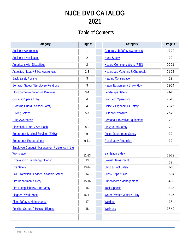## **NJCE DVD CATALOG 2021**

#### Table of Contents

| Category                                        | Page #         | Category                                   | Page #    |
|-------------------------------------------------|----------------|--------------------------------------------|-----------|
| <b>Accident Awareness</b>                       |                | <b>General Job Safety Awareness</b>        | 19-20     |
| <b>Accident Investigation</b>                   | 2              | <b>Hand Safety</b>                         | 20        |
| <b>Americans with Disabilities</b>              | $\overline{2}$ | <b>Hazard Communications (RTK)</b>         | $20 - 21$ |
| <b>Asbestos / Lead / Silica Awareness</b>       | $2-3$          | <b>Hazardous Materials &amp; Chemicals</b> | $21 - 22$ |
| <b>Back Safety / Lifting</b>                    | 3              | <b>Hearing Conservation</b>                | 22        |
| <b>Behavior Safety / Employee Relations</b>     | 3              | <b>Heavy Equipment / Snow Plow</b>         | 22-24     |
| <b>Bloodborne Pathogens &amp; Diseases</b>      | $3 - 4$        | <b>Landscape Safety</b>                    | 24-25     |
| <b>Confined Space Entry</b>                     | 4              | <b>Lifequard Operations</b>                | $25 - 26$ |
| <b>Crossing Guard / School Safety</b>           | 4              | <b>Office &amp; Ergonomics Safety</b>      | $26 - 27$ |
| <b>Driving Safety</b>                           | $5 - 7$        | <b>Outdoor Exposure</b>                    | $27 - 28$ |
| <b>Drug Awareness</b>                           | $7 - 8$        | <b>Personal Protective Equipment</b>       | 28        |
| Electrical / LOTO / Arc-Flash                   | $8-9$          | <b>Playground Safety</b>                   | 29        |
| <b>Emergency Medical Services (EMS)</b>         | 9              | <b>Police Department Safety</b>            | 30        |
| <b>Emergency Preparedness</b>                   | $9 - 11$       | <b>Respiratory Protection</b>              | 30        |
| Employee Conduct / Harassment / Violence in the |                |                                            |           |
| <b>Workplace</b>                                | $11 - 13$      | <b>Sanitation Safety</b>                   | $31 - 32$ |
| <b>Excavation / Trenching / Shoring</b>         | 13             | <b>Sexual Harassment</b>                   | 32        |
| <b>Eye Safety</b>                               | 13-14          | <b>Shop &amp; Tool Safety</b>              | 32-33     |
| Fall Protection / Ladder / Scaffold Safety      | 14             | <b>Slips / Trips / Falls</b>               | 33-34     |
| <b>Fire Department Safety</b>                   | $15-16$        | <b>Supervisors / Management</b>            | 34-35     |
| <b>Fire Extinguishers / Fire Safety</b>         | 16             | <b>Task Specific</b>                       | $35 - 36$ |
| Flagger / Work Zone                             | $16 - 17$      | Water / Waste Water / Utility              | $36 - 37$ |
| Fleet Safety & Maintenance                      | 17             | Welding                                    | 37        |
| <b>Forklift / Cranes / Hoists / Rigging</b>     | 18             | <b>Wellness</b>                            | $37 - 40$ |
|                                                 |                |                                            |           |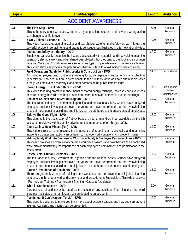<span id="page-3-0"></span>

#### ACCIDENT AWARENESS

| 100 | The First Step - DVD                                                                                                                                                                      | 5:00  | General                                 |
|-----|-------------------------------------------------------------------------------------------------------------------------------------------------------------------------------------------|-------|-----------------------------------------|
|     | This is the story about Candace Carnahan, a young college student, and how one wrong action                                                                                               |       | Audience                                |
|     | can change your life forever.                                                                                                                                                             |       |                                         |
| 101 | It Only Takes A Second II - DVD                                                                                                                                                           | 4:00  | General                                 |
|     | This video features footage of mistakes and bad choices we often make. Viewers won't forget the                                                                                           |       | Audience                                |
|     | powerful accident reenactments and dramatic consequences illustrated in this motivational video.                                                                                          |       |                                         |
| 102 | Pedestrian Safety In Industry - DVD                                                                                                                                                       | 17:00 | General                                 |
|     | Employees can easily recognize the hazards associated with material handling, welding, machine                                                                                            |       | Audience                                |
|     | operation, electrical work and other dangerous job tasks, but they tend to overlook more common                                                                                           |       |                                         |
|     | hazards. More than 25 million workers suffer some type of injury while walking at work each year.                                                                                         |       |                                         |
|     | This video shows employees the precautions they must take to avoid incidents while walking.                                                                                               |       |                                         |
| 103 | Field Operations Safety for Public Works & Construction - DVD                                                                                                                             | 24:00 | Public Works                            |
|     | As public employees and contractors working for public agencies, we perform many jobs that                                                                                                |       |                                         |
|     | generally go unnoticed, but are a great benefit to the public by virtue of a safe and reliable water                                                                                      |       |                                         |
|     | supply, well maintained roadways, and other portions of the public infrastructure.                                                                                                        |       |                                         |
| 104 | Stored Energy: The Hidden Hazard - DVD                                                                                                                                                    | 18:00 | <b>Public Works</b><br><b>Utilities</b> |
|     | This video featuring dramatic reenactments of stored energy mishaps, increases our awareness                                                                                              |       | Maintenance                             |
| 105 | of stored energy hazards and helps us become more observant of them in our surroundings.                                                                                                  | 11:00 | General                                 |
|     | Accident Causes and Prevention (Digital) - DVD                                                                                                                                            |       | Audience                                |
|     | The Insurance Industry, Governmental agencies, and the National Safety Council have analyzed<br>employee accident investigations over the years and have determined that the overwhelming |       |                                         |
|     |                                                                                                                                                                                           |       |                                         |
| 106 | cause of most industrial accidents and injuries can be attributed to the unsafe acts of employees.<br>Safety: The Good Fight - DVD                                                        | 15:00 | General                                 |
|     | This video tells the tragic story of Patrick Hayes, a young man killed in an avoidable on-the-job                                                                                         |       | Audience                                |
|     |                                                                                                                                                                                           |       |                                         |
| 107 | accident. Interviews with his family drive home the importance of on-the-job safety.<br>Close Calls & Near Misses (Ref) - DVD                                                             | 10:00 | General                                 |
|     | This video stresses to employees the importance of reporting all close calls and near miss                                                                                                |       | Audience                                |
|     | incidents so that proper action can be taken to improve work conditions and prevent injuries.                                                                                             |       |                                         |
| 108 | Making Safety Work: An Overview of Workplace Safety & Employee Responsibilities - DVD                                                                                                     | 10:00 | General                                 |
|     | This video provides an overview of common workplace hazards and how they are to be controlled                                                                                             |       | Audience                                |
|     | while also demonstrating the importance of each employee's commitment and participation in the                                                                                            |       |                                         |
|     | safety effort.                                                                                                                                                                            |       |                                         |
| 109 | Unsafe Acts: Human Behaviors - DVD                                                                                                                                                        | 11:00 | General                                 |
|     | The Insurance Industry, Governmental agencies and the National Safety Council have analyzed                                                                                               |       | Audience                                |
|     | employee accident investigations over the years and have determined that the overwhelming                                                                                                 |       |                                         |
|     | cause of most industrial accidents and injuries can be attributed to the unsafe acts of employees.                                                                                        |       |                                         |
| 110 | Cause & Avoidance of Accidents - DVD                                                                                                                                                      | 15:00 | General                                 |
|     | There are generally 2 types of training in the workplace for the prevention of injuries: Training                                                                                         |       | Audience                                |
|     | employees in the proper work and safety rules and procedures & Supervision. This video reviews:                                                                                           |       |                                         |
|     | • Pre-Incident Training • Post-Incident Training • Cause & Avoidance                                                                                                                      |       |                                         |
| 111 | What is Carelessness? - DVD                                                                                                                                                               | 5:00  | General                                 |
|     | Carelessness should never be used as the cause of any accident. The misuse of the word                                                                                                    |       | Audience                                |
|     | 'careless' indicates a human factor that contributed to an accident.                                                                                                                      |       |                                         |
| 112 | Accidents: 'It Can't Happen To Me' - DVD                                                                                                                                                  | 10:00 | General                                 |
|     | This video is designed to make you think more about accident causes and how you can prevent                                                                                               |       | Audience                                |
|     | injuries. Accidents and injuries can be prevented.                                                                                                                                        |       |                                         |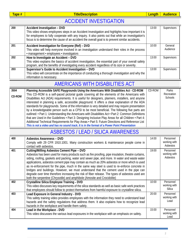<span id="page-4-0"></span>

|   | C | ۰ |  |
|---|---|---|--|
| п |   |   |  |

#### ACCIDENT INVESTIGATION

| 200 | Accident Investigation - DVD<br>This video shows employees steps in an Accident Investigation and highlights how important it is<br>for employees to fully cooperate with any inquiry. It also points out that while an investigation's  <br>focus is to determine the cause of an accident the overall goal is to prevent similar accidents. | 13:00 | Supervisors         |
|-----|-----------------------------------------------------------------------------------------------------------------------------------------------------------------------------------------------------------------------------------------------------------------------------------------------------------------------------------------------|-------|---------------------|
| 201 | Accident Investigation for Everyone (Ref) - DVD<br>This video will help everyone involved in an investigation understand their roles in the process<br>· management · employees · investigators                                                                                                                                               | 10:00 | General<br>Audience |
| 202 | How to Investigate an Accident - DVD<br>This video explains the basics of accident investigation, the essential part of your overall safety<br>program, and the benefits of investigating every accident regardless of its size or severity.                                                                                                  | 13:00 | Supervisors         |
| 203 | Supervisor's Guide to Accident Investigation - DVD<br>This video will concentrate on the importance of conducting a thorough investigation and why the<br>information is necessary.                                                                                                                                                           | 13:00 | Supervisors         |

#### AMERICANS WITH DISABILITIES ACT

<span id="page-4-1"></span>

| 3504          | Planning Accessible SAFE Playgrounds Using the Americans With Disabilities Act - CD-ROM                                                                                                                                                                                                                                                                                                                                                                                                                                                                                                                                                                                                                                                                                                                                            | CD-ROM | Parks                 |
|---------------|------------------------------------------------------------------------------------------------------------------------------------------------------------------------------------------------------------------------------------------------------------------------------------------------------------------------------------------------------------------------------------------------------------------------------------------------------------------------------------------------------------------------------------------------------------------------------------------------------------------------------------------------------------------------------------------------------------------------------------------------------------------------------------------------------------------------------------|--------|-----------------------|
| <b>CD-ROM</b> | This CD-ROM is a self-paced pictorial quide covering all the elements of the Americans with<br>Disabilities Act (ADA) requirements. It is useful for designers, planners, installers, and anyone<br>interested in planning a safe, accessible playground. It offers a clear explanation of the ADA<br>standards for playgrounds. Some of the information is very detailed and may require presentation<br>by a knowledgeable person such as a CPSI to be most beneficial. The following five parts are<br>outlined: • Part 1: Understanding the Americans with Disabilities Act • Part 2: Common Definitions<br>that are Used in the Guidelines $\cdot$ Part 3: Designing Inclusive Play Areas for all Children $\cdot$ Part 4:<br>Additional Technical Requirements for Play Areas · Part 5: Future Directions and Reference List |        | Recreation<br>Schools |
|               | This is not a video and has no sound track. It is in the format of a Power Point Presentation                                                                                                                                                                                                                                                                                                                                                                                                                                                                                                                                                                                                                                                                                                                                      |        |                       |

#### ASBESTOS / LEAD / SILICA AWARENESS

<span id="page-4-2"></span>

| 400 | <b>Asbestos Awareness - DVD</b>                                                                    | 14:00 | Personnel     |
|-----|----------------------------------------------------------------------------------------------------|-------|---------------|
|     | Comply with 29 CFR 1910.1001. Many construction workers & maintenance people come in               |       | working with  |
|     | contact with asbestos.                                                                             |       | Asbestos      |
| 401 | Cutting/Milling Asbestos Cement Pipe - DVD                                                         | 19:00 | Personnel     |
|     | Asbestos has been used for many products such as fire proofing, pipe insulation, theatre curtains, |       | working with  |
|     | siding, roofing, gaskets and packing, water and sewer pipe, and more. In water and waste water     |       | Asbestos      |
|     | applications, asbestos cement pipe may contain as much as 20% asbestos or more which is used       |       |               |
|     | as re-enforcement for the pipe, much in the same way steel is used to re-enforce concrete in       |       |               |
|     | bridges and buildings. However, we must understand that the cement used in the pipe can            |       |               |
|     | degrade over time therefore increasing the risk of fiber release. The types of asbestos used are   |       |               |
|     | both the serpentine (Chrysotile) and amphibole (Amosite and Crocidolite)                           |       |               |
| 402 | <b>Crystalline Silica Employee Training - DVD</b>                                                  | 10:00 | Personnel     |
|     | This video discusses key requirements of the silica standards as well as basic safe work practices |       | working with  |
|     | that employees should follow to protect themselves from harmful exposure to crystalline silica.    |       | <b>Silica</b> |
| 403 | Lead Exposure in General Industry - DVD                                                            | 20:00 | Personnel     |
|     | This safety training video provides employees with the information they need to understand lead    |       | working with  |
|     | hazards and the safety regulations that address them. It also explains how to recognize lead       |       | Lead          |
|     | hazards in the workplace and handle them safely.                                                   |       |               |
| 404 | Lead in the Workplace - DVD                                                                        | 15:00 | Personnel     |
|     | This video discusses the various lead exposures in the workplace with an emphasis on safety.       |       | working with  |
|     |                                                                                                    |       | Lead          |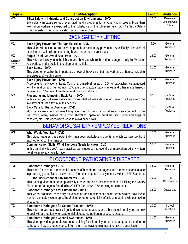| $\overline{\text{Table H}}$ | <b>Title/Description</b>                                                                                                                                                                                                                                            | Lenath | <b>Audience</b>                     |
|-----------------------------|---------------------------------------------------------------------------------------------------------------------------------------------------------------------------------------------------------------------------------------------------------------------|--------|-------------------------------------|
| 405                         | Silica Safety In Industrial and Construction Environments - DVD<br>Silica dust can cause serious, even fatal, health problems for anyone who inhales it. More than<br>two million workers are exposed to this substance on the job every year. OSHA's Silica Safety | 16:00  | Personnel<br>working with<br>Silica |
|                             | Rule has established rigorous standards to protect them.                                                                                                                                                                                                            |        |                                     |

#### BACK SAFETY / LIFTING

<span id="page-5-0"></span>

| 501                  | Back Injury Prevention Through Exercise - DVD<br>This video will outline a pro-active approach to back injury prevention. Specifically, a routine of       | 7:00  | General<br>Audience |
|----------------------|------------------------------------------------------------------------------------------------------------------------------------------------------------|-------|---------------------|
|                      | exercise that will build up the strength and endurance of your back.                                                                                       |       |                     |
| 502                  | Stop & Thinkto Avoid Back Pain - DVD                                                                                                                       | 16:00 | General             |
| English /<br>Spanish | This video will take you to the job site and show you where the hidden dangers really lie. Whether<br>you work behind a desk, in the shop or in the field. |       | Audience            |
| 503                  | Back Safety - DVD                                                                                                                                          | 21:00 | General             |
|                      | This video emphasize the importance of overall back care, both at work and at home, including                                                              |       | Audience            |
|                      | exercises and weight control.                                                                                                                              |       |                     |
| 504                  | <b>Back Injury Prevention - DVD</b>                                                                                                                        | 9:00  | General             |
|                      | According to the National Safety Council and medical research, 20% of backaches are attributed                                                             |       | Audience            |
|                      | to inflammation such as arthritis, 10% are due to actual back injuries and other miscellaneous                                                             |       |                     |
|                      | causes, and 70% result from degeneration of spinal discs.                                                                                                  |       |                     |
| 505                  | Preventing and Managing Back Pain - DVD                                                                                                                    | 37:00 | General             |
|                      | In this video you will learn specific techniques that will alleviate or even prevent back pain with the                                                    |       | Audience            |
|                      | investment of just a few minutes per day.                                                                                                                  |       |                     |
| 506                  | Back Care for Public Agencies - DVD                                                                                                                        | 11:00 | General             |
|                      | Most back care videos address lifting nice, clean boxes in a non-strenuous environment. In the                                                             |       | Audience            |
|                      | real world, many injuries result from shoveling, operating breakers, lifting pipe and bags of                                                              |       |                     |
|                      | concrete, etc. This video offers ways to avoid back strain.                                                                                                |       |                     |

## BEHAVIORAL SAFETY / EMPLOYEE RELATIONS

<span id="page-5-1"></span>

| 600 | What Would You Say? - DVD<br>This video features three potentially hazardous workplace incidents in which workers confront<br>each other about the hazards.                                                     | 17:00 | General<br>Audience |
|-----|-----------------------------------------------------------------------------------------------------------------------------------------------------------------------------------------------------------------|-------|---------------------|
| 601 | <b>Communication Skills: What Everyone Needs to Know - DVD</b><br>In this training video you'll learn practical techniques to improve all communication skills: • written<br>. oral · electronic · face-to-face | 30:00 | General<br>Audience |

#### BLOODBORNE PATHOGENS & DISEASES

<span id="page-5-2"></span>

| 700 | <b>Bloodborne Pathogens - DVD</b>                                                                     | 18:00 | General    |
|-----|-------------------------------------------------------------------------------------------------------|-------|------------|
|     | This video focuses on the potential hazards of bloodborne pathogens and the precautions to take       |       | Audience   |
|     | in protecting yourself and reviews the 14 Elements required to fully comply with the BBP Standard.    |       |            |
| 701 | BBP for First Response Environments - DVD                                                             | 10:00 | First      |
|     | This training video has been specifically created to assist first responders in fulfilling the OSHA   |       | Responders |
|     | Bloodborne Pathogens Standard's (29 CFR Part 1910.1030) training requirements.                        |       |            |
| 702 | <b>Bloodborne Pathogens for Custodians - DVD</b>                                                      | 12:00 | Custodians |
|     | This video produced especially for custodian and maintenance staff demonstrates how these             |       |            |
|     | workers can safely clean up spills of blood or other potentially infectious materials without risking |       |            |
|     | exposure.                                                                                             |       |            |
| 703 | Bloodborne Pathogens for School Teachers - DVD                                                        | 10:00 | School     |
|     | This video serves as a practical guide designed for teachers and other school employees on how        |       | Teachers   |
|     | to deal with a situation when a potential bloodborne pathogen exposure occurs.                        |       |            |
| 704 | Bloodborne Pathogens General Awareness - DVD                                                          | 11:00 | General    |
|     | This video provides general awareness training for all employees on the dangers of bloodborne         |       | Audience   |
|     | pathogens, how to protect yourself from them and ways to minimize the risk of transmission.           |       |            |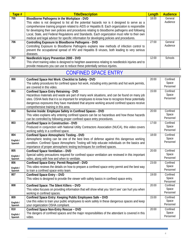| Tape # | <b>Title/Description</b>                                                                            | Length | <b>Audience</b> |
|--------|-----------------------------------------------------------------------------------------------------|--------|-----------------|
| 705    | Bloodborne Pathogens in the Workplace - DVD                                                         | 18:00  | General         |
|        | This video is not designed to list all the potential hazards nor is it designed to serve as a       |        | Audience        |
|        | comprehensive training program related to AIDS or Hepatitis B. Each organization is responsible     |        |                 |
|        | for developing their own policies and procedures relating to bloodborne pathogens and following     |        |                 |
|        | Local, State, and Federal Regulations and Standards. Each organization must refer to their own      |        |                 |
|        | medical and legal advisor for specific information for developing policies and procedures.          |        |                 |
| 706    | Controlling Exposure to Bloodborne Pathogens - DVD                                                  | 27:00  | General         |
|        | Controlling Exposure to Bloodborne Pathogens explains new methods of infection control to           |        | Audience        |
|        | prevent the occupational spread of HIV and Hepatitis B viruses, both leading to very serious        |        |                 |
|        | diseases.                                                                                           |        |                 |
| 707    | Needlestick Injury Prevention 2000 - DVD                                                            | 12:00  | <b>Schools</b>  |
|        | This short training video is designed to heighten awareness relating to needlestick injuries and to |        |                 |
|        | provide measures you can use to reduce these potentially serious injuries.                          |        |                 |

#### CONFINED SPACE ENTRY

<span id="page-6-0"></span>

| 800       | Confined Space Hot Work: Checklist to Safety - DVD                                                                                                     | 20:00 | Confined           |
|-----------|--------------------------------------------------------------------------------------------------------------------------------------------------------|-------|--------------------|
|           | The safety procedures for confined space hot work, including entry permits and hot work permits,                                                       |       | Space              |
|           | are covered in this video.                                                                                                                             |       | Personnel          |
| 801       | <b>Confined Space Entry Retraining - DVD</b>                                                                                                           | 15:00 | Confined           |
|           | Hazardous materials and waste are part of many work situations, and can be found on many job                                                           |       | Space<br>Personnel |
|           | sites. OSHA feels that it is so important for employees to know how to recognize these potentially                                                     |       |                    |
|           | dangerous exposures they have mandated that anyone working around confined spaces receive                                                              |       |                    |
| 802       | comprehensive training in this area.                                                                                                                   | 20:00 | Confined           |
|           | Survive Inside: Employee Safety in Confined Spaces - DVD<br>This video explains why entering confined spaces can be so hazardous and how those hazards |       | Space              |
|           | can be controlled by following proper confined space entry procedures.                                                                                 |       | Personnel          |
| 803       | <b>Confined Space in Construction - DVD</b>                                                                                                            | 17:00 | Confined           |
|           | Produced in conjunction with National Utility Contractors Association (NUCA), this video covers                                                        |       | Space              |
|           | working safely in a confined space.                                                                                                                    |       | Personnel          |
| 804       | <b>Confined Space Atmospheric Testing - DVD</b>                                                                                                        | 18:00 | Confined           |
| English / | Atmospheric testing can be one of the best lines of defense against this dangerous working                                                             |       | Space              |
| Spanish   | condition. Confined Space Atmospheric Testing will help educate individuals on the basics and                                                          |       | Personnel          |
|           | importance of proper atmospheric testing techniques for confined spaces.                                                                               |       |                    |
| 805       | <b>Confined Space Ventilation - DVD</b>                                                                                                                | 20:00 | Confined           |
| English / | Special safety precautions required for confined space ventilation are reviewed in this important                                                      |       | Space              |
| Spanish   | video, along with how and when to ventilate.                                                                                                           |       | Personnel          |
| 806       | Confined Space Entry: Permit Required! - DVD                                                                                                           | 23:00 | Confined           |
| English / | This video reviews the details on how to prepare a confined space entry permit and the best way                                                        |       | Space              |
| Spanish   | to train a confined space entry team.                                                                                                                  |       | Personnel          |
| 807       | <b>Confined Space Entry - DVD</b>                                                                                                                      | 19:00 | Confined           |
|           | This video is designed to provide the viewer with safety basics in confined space entry.                                                               |       | Space<br>Personnel |
| 808       | Confined Space: The Silent Killers - DVD                                                                                                               | 20:00 | Confined           |
|           | This video focuses on providing information that will show what you 'don't see' can hurt you when                                                      |       | Space              |
|           | working in confined spaces.                                                                                                                            |       | Personnel          |
| 809       | Confined Space Entry: Keeping Public Employees Safe - DVD                                                                                              | 15:00 | Confined           |
| English / | Use this video to train your public employees to work safely in these dangerous spaces and keep                                                        |       | Space              |
| Spanish   | your organization OSHA compliant.                                                                                                                      |       | Personnel          |
| 810       | Confined Space Non-Entry Rescue - DVD                                                                                                                  | 20:00 | Confined           |
| English / | The dangers of confined spaces and the major responsibilities of the attendant is covered in this                                                      |       | Space              |
| Spanish   | video.                                                                                                                                                 |       | Personnel          |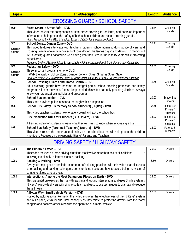<span id="page-7-0"></span>

#### CROSSING GUARD / SCHOOL SAFETY

| 900       | Street Smart is Street Safe - DVD                                                                  | 14:34 | Crossing                            |
|-----------|----------------------------------------------------------------------------------------------------|-------|-------------------------------------|
|           | This video covers the components of safe street-crossing for children, and contains important      |       | Guards                              |
|           | information to help protect the safety of both school children and school crossing guards.         |       |                                     |
|           | Video Produced by the MEL (Municipal Excess Liability Joint Insurance Fund)                        |       |                                     |
| 901       | School Zone Danger Zone - DVD                                                                      | 10:47 | Crossing                            |
| English / | This video features interviews with teachers, parents, school administrators, police officers, and |       | Guards                              |
| Spanish   | crossing guards who experience school zone driving challenges day in and day out. In memory of     |       |                                     |
|           | 120 crossing guards nationwide who have given their lives in the last 15 years while protecting    |       |                                     |
|           | our children.                                                                                      |       |                                     |
|           | Produced by the MEL (Municipal Excess Liability Joint Insurance Fund) & JA Montgomery Consulting   |       |                                     |
| 902       | Pedestrian Safety - DVD                                                                            | 30:00 | Crossing                            |
| English / | Three important programs on one DVD!                                                               |       | Guards                              |
| Spanish   | • Walk the Walk • School ZoneDanger Zone • Street Smart is Street Safe                             |       |                                     |
|           | Produced by the MEL (Municipal Excess Liability Joint Insurance Fund) & JA Montgomery Consulting   |       |                                     |
| 903       | School Crossing Guards and Traffic Control - DVD                                                   | 9:00  | Crossing                            |
|           | Adult crossing guards have become an integral part of school crossing protection and safety        |       | Guards                              |
|           | programs all over the world. Please keep in mind, this video can only provide guidelines. Always   |       |                                     |
|           | follow your organization's policies and procedures.                                                |       |                                     |
| 904       | School Bus Inspection - DVD                                                                        | 10:00 | <b>School Bus</b><br><b>Drivers</b> |
|           | This video provides guidelines for a thorough vehicle inspection.                                  |       |                                     |
| 905       | School Bus Safety (Elementary School Students) (Digital) - DVD                                     | 7:00  | <b>School Bus</b>                   |
|           | This video teaches students how to safely board and exit the school bus.                           |       | Drivers /<br><b>Students</b>        |
| 906       | Bus Evacuation Drills for Students (Bus Drivers) - DVD                                             | 13:00 | <b>School Bus</b>                   |
|           |                                                                                                    |       | Drivers /                           |
|           | A training video for students to learn what they will need to know when evacuating a bus.          |       | <b>Students</b>                     |
| 907       | School Bus Safety (Parents & Teachers) (Aurora) - DVD                                              | 13:00 | Parents &                           |
|           | This video stresses the importance of safety on the school bus that will help protect the children |       | Teachers                            |
|           | who ride it. Focuses on the responsibilities of Parents and Teachers.                              |       |                                     |

## DRIVING SAFETY / HIGHWAY SAFETY

<span id="page-7-1"></span>

| 1000 | The Blindfold Effect - DVD                                                                         | 20:00 | <b>Drivers</b> |
|------|----------------------------------------------------------------------------------------------------|-------|----------------|
|      | This video focuses on three driving situations that involve more than half of all collisions       |       |                |
|      | following too closely • intersections • backing                                                    |       |                |
| 1001 | Backing & Parking - DVD                                                                            | 6:50  | <b>Drivers</b> |
|      | Give your employees a reminder course in safe driving practices with this video that discusses     |       |                |
|      | safe backing and parking techniques, common blind spots and how to avoid being the victim of       |       |                |
|      | someone else's carelessness.                                                                       |       |                |
| 1002 | Intersections: Among the Most Dangerous Places on Earth - DVD                                      | 24:00 | <b>Drivers</b> |
|      | This presentation explores the many threats in and around intersections and uses Smith System's    |       |                |
|      | "5 Keys" to provide drivers with simple-to-learn and easy to use techniques to dramatically reduce |       |                |
|      | these threats.                                                                                     |       |                |
| 1003 | A Better Way: Small Vehicle Version - DVD                                                          | 22:00 | <b>Drivers</b> |
|      | Hosted by actor George Kennedy, this video explores the effectiveness of the "5 Keys" system       |       |                |
|      | and our Space, Visibility and Time concepts as they relate to protecting drivers from the many     |       |                |
|      | dangers and hazards associated with the operation of a motor vehicle.                              |       |                |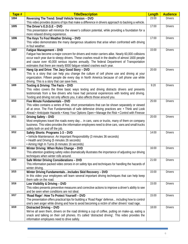| Reversing The Trend: Small Vehicle Version - DVD<br>23:00<br><b>Drivers</b><br>1004<br>This video provides dozens of tips that make a difference in drivers approach to backing a vehicle.<br>1005<br>17:00<br><b>Drivers</b><br>The Driver's E.D.G.E - DVD<br>This presentation will minimize the viewer's collision potential, while providing a foundation for a<br>more relaxed driving experience.<br>The Keys To Foul Weather Driving - DVD<br>17:00<br><b>Drivers</b><br>1006<br>This video demonstrates the many dangerous situations that arise when confronted with driving<br>in foul weather.<br>1007<br>15:00<br><b>Drivers</b><br>Fatigue Management - DVD<br>Fatigue has become a major concern for drivers and motor carriers alike. Nearly 60,000 collisions<br>occur each year due to sleepy drivers. These crashes result in the deaths of almost 1600 people<br>and cause over 40,000 serious injuries annually. The federal Department of Transportation<br>estimates that there are nearly 8000 fatigue-related crashes each year.<br>Hang Up and Drive: The Jacy Good Story - DVD<br>20:00<br>1008<br><b>Drivers</b><br>This is a story that can help you change the culture of cell phone use and driving at your<br>organization. Fifteen people die every day in North America because of cell phone use while<br>driving. This is a story that can save lives.<br>1009<br>9:20<br><b>Drivers</b><br>Texting & Driving: The Facts - DVD<br>This video covers the three basic ways texting and driving distracts drivers and presents<br>testimonials from a few drivers who have had personal experiences with texting and driving.<br>Texting and driving not only affects you, it also affects those around you.<br>1010<br>25:00<br><b>Drivers</b><br>Five Minute Fundamentals - DVD<br>This video contains a series of five, short presentations that can be shown separately or viewed<br>all at once. The Five Fundamentals of safe defensive driving practices are: • Think and Look<br>Ahead • Anticipate Hazards • Keep Your Options Open • Manage the Risk • Control with Finesse<br>1011<br>20:00<br><b>Drivers</b><br>Driving Safety - DVD<br>Most employees travel the roads every day in cars, vans or trucks, many of them on company<br>business. This video provides the information employees need to drive cars, vans and small trucks<br>safely both on and off the job.<br>1012<br>Safety Shorts: Programs 1-3 - DVD<br>14:00<br><b>Drivers</b><br>• Vehicle Maintenance: An Important Responsibility (3 minutes 36 seconds)<br>• Health and Driving (5 minutes 26 seconds)<br>• Aiming High In Turns (6 minutes 16 seconds)<br>Winter Driving: When Rules Change - DVD<br>1013<br>16:00<br><b>Drivers</b> |
|-----------------------------------------------------------------------------------------------------------------------------------------------------------------------------------------------------------------------------------------------------------------------------------------------------------------------------------------------------------------------------------------------------------------------------------------------------------------------------------------------------------------------------------------------------------------------------------------------------------------------------------------------------------------------------------------------------------------------------------------------------------------------------------------------------------------------------------------------------------------------------------------------------------------------------------------------------------------------------------------------------------------------------------------------------------------------------------------------------------------------------------------------------------------------------------------------------------------------------------------------------------------------------------------------------------------------------------------------------------------------------------------------------------------------------------------------------------------------------------------------------------------------------------------------------------------------------------------------------------------------------------------------------------------------------------------------------------------------------------------------------------------------------------------------------------------------------------------------------------------------------------------------------------------------------------------------------------------------------------------------------------------------------------------------------------------------------------------------------------------------------------------------------------------------------------------------------------------------------------------------------------------------------------------------------------------------------------------------------------------------------------------------------------------------------------------------------------------------------------------------------------------------------------------------------------------------------------------------------------------------------------------------------------------------------------------------------------------------------------------------------------|
|                                                                                                                                                                                                                                                                                                                                                                                                                                                                                                                                                                                                                                                                                                                                                                                                                                                                                                                                                                                                                                                                                                                                                                                                                                                                                                                                                                                                                                                                                                                                                                                                                                                                                                                                                                                                                                                                                                                                                                                                                                                                                                                                                                                                                                                                                                                                                                                                                                                                                                                                                                                                                                                                                                                                                           |
|                                                                                                                                                                                                                                                                                                                                                                                                                                                                                                                                                                                                                                                                                                                                                                                                                                                                                                                                                                                                                                                                                                                                                                                                                                                                                                                                                                                                                                                                                                                                                                                                                                                                                                                                                                                                                                                                                                                                                                                                                                                                                                                                                                                                                                                                                                                                                                                                                                                                                                                                                                                                                                                                                                                                                           |
|                                                                                                                                                                                                                                                                                                                                                                                                                                                                                                                                                                                                                                                                                                                                                                                                                                                                                                                                                                                                                                                                                                                                                                                                                                                                                                                                                                                                                                                                                                                                                                                                                                                                                                                                                                                                                                                                                                                                                                                                                                                                                                                                                                                                                                                                                                                                                                                                                                                                                                                                                                                                                                                                                                                                                           |
|                                                                                                                                                                                                                                                                                                                                                                                                                                                                                                                                                                                                                                                                                                                                                                                                                                                                                                                                                                                                                                                                                                                                                                                                                                                                                                                                                                                                                                                                                                                                                                                                                                                                                                                                                                                                                                                                                                                                                                                                                                                                                                                                                                                                                                                                                                                                                                                                                                                                                                                                                                                                                                                                                                                                                           |
|                                                                                                                                                                                                                                                                                                                                                                                                                                                                                                                                                                                                                                                                                                                                                                                                                                                                                                                                                                                                                                                                                                                                                                                                                                                                                                                                                                                                                                                                                                                                                                                                                                                                                                                                                                                                                                                                                                                                                                                                                                                                                                                                                                                                                                                                                                                                                                                                                                                                                                                                                                                                                                                                                                                                                           |
|                                                                                                                                                                                                                                                                                                                                                                                                                                                                                                                                                                                                                                                                                                                                                                                                                                                                                                                                                                                                                                                                                                                                                                                                                                                                                                                                                                                                                                                                                                                                                                                                                                                                                                                                                                                                                                                                                                                                                                                                                                                                                                                                                                                                                                                                                                                                                                                                                                                                                                                                                                                                                                                                                                                                                           |
|                                                                                                                                                                                                                                                                                                                                                                                                                                                                                                                                                                                                                                                                                                                                                                                                                                                                                                                                                                                                                                                                                                                                                                                                                                                                                                                                                                                                                                                                                                                                                                                                                                                                                                                                                                                                                                                                                                                                                                                                                                                                                                                                                                                                                                                                                                                                                                                                                                                                                                                                                                                                                                                                                                                                                           |
|                                                                                                                                                                                                                                                                                                                                                                                                                                                                                                                                                                                                                                                                                                                                                                                                                                                                                                                                                                                                                                                                                                                                                                                                                                                                                                                                                                                                                                                                                                                                                                                                                                                                                                                                                                                                                                                                                                                                                                                                                                                                                                                                                                                                                                                                                                                                                                                                                                                                                                                                                                                                                                                                                                                                                           |
|                                                                                                                                                                                                                                                                                                                                                                                                                                                                                                                                                                                                                                                                                                                                                                                                                                                                                                                                                                                                                                                                                                                                                                                                                                                                                                                                                                                                                                                                                                                                                                                                                                                                                                                                                                                                                                                                                                                                                                                                                                                                                                                                                                                                                                                                                                                                                                                                                                                                                                                                                                                                                                                                                                                                                           |
|                                                                                                                                                                                                                                                                                                                                                                                                                                                                                                                                                                                                                                                                                                                                                                                                                                                                                                                                                                                                                                                                                                                                                                                                                                                                                                                                                                                                                                                                                                                                                                                                                                                                                                                                                                                                                                                                                                                                                                                                                                                                                                                                                                                                                                                                                                                                                                                                                                                                                                                                                                                                                                                                                                                                                           |
|                                                                                                                                                                                                                                                                                                                                                                                                                                                                                                                                                                                                                                                                                                                                                                                                                                                                                                                                                                                                                                                                                                                                                                                                                                                                                                                                                                                                                                                                                                                                                                                                                                                                                                                                                                                                                                                                                                                                                                                                                                                                                                                                                                                                                                                                                                                                                                                                                                                                                                                                                                                                                                                                                                                                                           |
|                                                                                                                                                                                                                                                                                                                                                                                                                                                                                                                                                                                                                                                                                                                                                                                                                                                                                                                                                                                                                                                                                                                                                                                                                                                                                                                                                                                                                                                                                                                                                                                                                                                                                                                                                                                                                                                                                                                                                                                                                                                                                                                                                                                                                                                                                                                                                                                                                                                                                                                                                                                                                                                                                                                                                           |
|                                                                                                                                                                                                                                                                                                                                                                                                                                                                                                                                                                                                                                                                                                                                                                                                                                                                                                                                                                                                                                                                                                                                                                                                                                                                                                                                                                                                                                                                                                                                                                                                                                                                                                                                                                                                                                                                                                                                                                                                                                                                                                                                                                                                                                                                                                                                                                                                                                                                                                                                                                                                                                                                                                                                                           |
|                                                                                                                                                                                                                                                                                                                                                                                                                                                                                                                                                                                                                                                                                                                                                                                                                                                                                                                                                                                                                                                                                                                                                                                                                                                                                                                                                                                                                                                                                                                                                                                                                                                                                                                                                                                                                                                                                                                                                                                                                                                                                                                                                                                                                                                                                                                                                                                                                                                                                                                                                                                                                                                                                                                                                           |
|                                                                                                                                                                                                                                                                                                                                                                                                                                                                                                                                                                                                                                                                                                                                                                                                                                                                                                                                                                                                                                                                                                                                                                                                                                                                                                                                                                                                                                                                                                                                                                                                                                                                                                                                                                                                                                                                                                                                                                                                                                                                                                                                                                                                                                                                                                                                                                                                                                                                                                                                                                                                                                                                                                                                                           |
|                                                                                                                                                                                                                                                                                                                                                                                                                                                                                                                                                                                                                                                                                                                                                                                                                                                                                                                                                                                                                                                                                                                                                                                                                                                                                                                                                                                                                                                                                                                                                                                                                                                                                                                                                                                                                                                                                                                                                                                                                                                                                                                                                                                                                                                                                                                                                                                                                                                                                                                                                                                                                                                                                                                                                           |
|                                                                                                                                                                                                                                                                                                                                                                                                                                                                                                                                                                                                                                                                                                                                                                                                                                                                                                                                                                                                                                                                                                                                                                                                                                                                                                                                                                                                                                                                                                                                                                                                                                                                                                                                                                                                                                                                                                                                                                                                                                                                                                                                                                                                                                                                                                                                                                                                                                                                                                                                                                                                                                                                                                                                                           |
|                                                                                                                                                                                                                                                                                                                                                                                                                                                                                                                                                                                                                                                                                                                                                                                                                                                                                                                                                                                                                                                                                                                                                                                                                                                                                                                                                                                                                                                                                                                                                                                                                                                                                                                                                                                                                                                                                                                                                                                                                                                                                                                                                                                                                                                                                                                                                                                                                                                                                                                                                                                                                                                                                                                                                           |
|                                                                                                                                                                                                                                                                                                                                                                                                                                                                                                                                                                                                                                                                                                                                                                                                                                                                                                                                                                                                                                                                                                                                                                                                                                                                                                                                                                                                                                                                                                                                                                                                                                                                                                                                                                                                                                                                                                                                                                                                                                                                                                                                                                                                                                                                                                                                                                                                                                                                                                                                                                                                                                                                                                                                                           |
|                                                                                                                                                                                                                                                                                                                                                                                                                                                                                                                                                                                                                                                                                                                                                                                                                                                                                                                                                                                                                                                                                                                                                                                                                                                                                                                                                                                                                                                                                                                                                                                                                                                                                                                                                                                                                                                                                                                                                                                                                                                                                                                                                                                                                                                                                                                                                                                                                                                                                                                                                                                                                                                                                                                                                           |
|                                                                                                                                                                                                                                                                                                                                                                                                                                                                                                                                                                                                                                                                                                                                                                                                                                                                                                                                                                                                                                                                                                                                                                                                                                                                                                                                                                                                                                                                                                                                                                                                                                                                                                                                                                                                                                                                                                                                                                                                                                                                                                                                                                                                                                                                                                                                                                                                                                                                                                                                                                                                                                                                                                                                                           |
|                                                                                                                                                                                                                                                                                                                                                                                                                                                                                                                                                                                                                                                                                                                                                                                                                                                                                                                                                                                                                                                                                                                                                                                                                                                                                                                                                                                                                                                                                                                                                                                                                                                                                                                                                                                                                                                                                                                                                                                                                                                                                                                                                                                                                                                                                                                                                                                                                                                                                                                                                                                                                                                                                                                                                           |
|                                                                                                                                                                                                                                                                                                                                                                                                                                                                                                                                                                                                                                                                                                                                                                                                                                                                                                                                                                                                                                                                                                                                                                                                                                                                                                                                                                                                                                                                                                                                                                                                                                                                                                                                                                                                                                                                                                                                                                                                                                                                                                                                                                                                                                                                                                                                                                                                                                                                                                                                                                                                                                                                                                                                                           |
|                                                                                                                                                                                                                                                                                                                                                                                                                                                                                                                                                                                                                                                                                                                                                                                                                                                                                                                                                                                                                                                                                                                                                                                                                                                                                                                                                                                                                                                                                                                                                                                                                                                                                                                                                                                                                                                                                                                                                                                                                                                                                                                                                                                                                                                                                                                                                                                                                                                                                                                                                                                                                                                                                                                                                           |
|                                                                                                                                                                                                                                                                                                                                                                                                                                                                                                                                                                                                                                                                                                                                                                                                                                                                                                                                                                                                                                                                                                                                                                                                                                                                                                                                                                                                                                                                                                                                                                                                                                                                                                                                                                                                                                                                                                                                                                                                                                                                                                                                                                                                                                                                                                                                                                                                                                                                                                                                                                                                                                                                                                                                                           |
|                                                                                                                                                                                                                                                                                                                                                                                                                                                                                                                                                                                                                                                                                                                                                                                                                                                                                                                                                                                                                                                                                                                                                                                                                                                                                                                                                                                                                                                                                                                                                                                                                                                                                                                                                                                                                                                                                                                                                                                                                                                                                                                                                                                                                                                                                                                                                                                                                                                                                                                                                                                                                                                                                                                                                           |
|                                                                                                                                                                                                                                                                                                                                                                                                                                                                                                                                                                                                                                                                                                                                                                                                                                                                                                                                                                                                                                                                                                                                                                                                                                                                                                                                                                                                                                                                                                                                                                                                                                                                                                                                                                                                                                                                                                                                                                                                                                                                                                                                                                                                                                                                                                                                                                                                                                                                                                                                                                                                                                                                                                                                                           |
|                                                                                                                                                                                                                                                                                                                                                                                                                                                                                                                                                                                                                                                                                                                                                                                                                                                                                                                                                                                                                                                                                                                                                                                                                                                                                                                                                                                                                                                                                                                                                                                                                                                                                                                                                                                                                                                                                                                                                                                                                                                                                                                                                                                                                                                                                                                                                                                                                                                                                                                                                                                                                                                                                                                                                           |
|                                                                                                                                                                                                                                                                                                                                                                                                                                                                                                                                                                                                                                                                                                                                                                                                                                                                                                                                                                                                                                                                                                                                                                                                                                                                                                                                                                                                                                                                                                                                                                                                                                                                                                                                                                                                                                                                                                                                                                                                                                                                                                                                                                                                                                                                                                                                                                                                                                                                                                                                                                                                                                                                                                                                                           |
|                                                                                                                                                                                                                                                                                                                                                                                                                                                                                                                                                                                                                                                                                                                                                                                                                                                                                                                                                                                                                                                                                                                                                                                                                                                                                                                                                                                                                                                                                                                                                                                                                                                                                                                                                                                                                                                                                                                                                                                                                                                                                                                                                                                                                                                                                                                                                                                                                                                                                                                                                                                                                                                                                                                                                           |
|                                                                                                                                                                                                                                                                                                                                                                                                                                                                                                                                                                                                                                                                                                                                                                                                                                                                                                                                                                                                                                                                                                                                                                                                                                                                                                                                                                                                                                                                                                                                                                                                                                                                                                                                                                                                                                                                                                                                                                                                                                                                                                                                                                                                                                                                                                                                                                                                                                                                                                                                                                                                                                                                                                                                                           |
|                                                                                                                                                                                                                                                                                                                                                                                                                                                                                                                                                                                                                                                                                                                                                                                                                                                                                                                                                                                                                                                                                                                                                                                                                                                                                                                                                                                                                                                                                                                                                                                                                                                                                                                                                                                                                                                                                                                                                                                                                                                                                                                                                                                                                                                                                                                                                                                                                                                                                                                                                                                                                                                                                                                                                           |
|                                                                                                                                                                                                                                                                                                                                                                                                                                                                                                                                                                                                                                                                                                                                                                                                                                                                                                                                                                                                                                                                                                                                                                                                                                                                                                                                                                                                                                                                                                                                                                                                                                                                                                                                                                                                                                                                                                                                                                                                                                                                                                                                                                                                                                                                                                                                                                                                                                                                                                                                                                                                                                                                                                                                                           |
| This attention grabbing safety video dramatically illustrates the importance of adjusting our driving                                                                                                                                                                                                                                                                                                                                                                                                                                                                                                                                                                                                                                                                                                                                                                                                                                                                                                                                                                                                                                                                                                                                                                                                                                                                                                                                                                                                                                                                                                                                                                                                                                                                                                                                                                                                                                                                                                                                                                                                                                                                                                                                                                                                                                                                                                                                                                                                                                                                                                                                                                                                                                                     |
| techniques when winter rolls around.                                                                                                                                                                                                                                                                                                                                                                                                                                                                                                                                                                                                                                                                                                                                                                                                                                                                                                                                                                                                                                                                                                                                                                                                                                                                                                                                                                                                                                                                                                                                                                                                                                                                                                                                                                                                                                                                                                                                                                                                                                                                                                                                                                                                                                                                                                                                                                                                                                                                                                                                                                                                                                                                                                                      |
| 1014<br>Safe Winter Driving Considerations - DVD<br>21:00<br><b>Drivers</b>                                                                                                                                                                                                                                                                                                                                                                                                                                                                                                                                                                                                                                                                                                                                                                                                                                                                                                                                                                                                                                                                                                                                                                                                                                                                                                                                                                                                                                                                                                                                                                                                                                                                                                                                                                                                                                                                                                                                                                                                                                                                                                                                                                                                                                                                                                                                                                                                                                                                                                                                                                                                                                                                               |
| This information packed video zeroes in on safety tips and techniques for handling the hazards of                                                                                                                                                                                                                                                                                                                                                                                                                                                                                                                                                                                                                                                                                                                                                                                                                                                                                                                                                                                                                                                                                                                                                                                                                                                                                                                                                                                                                                                                                                                                                                                                                                                                                                                                                                                                                                                                                                                                                                                                                                                                                                                                                                                                                                                                                                                                                                                                                                                                                                                                                                                                                                                         |
| winter driving.                                                                                                                                                                                                                                                                                                                                                                                                                                                                                                                                                                                                                                                                                                                                                                                                                                                                                                                                                                                                                                                                                                                                                                                                                                                                                                                                                                                                                                                                                                                                                                                                                                                                                                                                                                                                                                                                                                                                                                                                                                                                                                                                                                                                                                                                                                                                                                                                                                                                                                                                                                                                                                                                                                                                           |
| 1015<br>Winter Driving FundamentalsIncludes Skid Recovery - DVD<br>15:00<br><b>Drivers</b>                                                                                                                                                                                                                                                                                                                                                                                                                                                                                                                                                                                                                                                                                                                                                                                                                                                                                                                                                                                                                                                                                                                                                                                                                                                                                                                                                                                                                                                                                                                                                                                                                                                                                                                                                                                                                                                                                                                                                                                                                                                                                                                                                                                                                                                                                                                                                                                                                                                                                                                                                                                                                                                                |
| In this video your employees will learn several important driving techniques that can help keep                                                                                                                                                                                                                                                                                                                                                                                                                                                                                                                                                                                                                                                                                                                                                                                                                                                                                                                                                                                                                                                                                                                                                                                                                                                                                                                                                                                                                                                                                                                                                                                                                                                                                                                                                                                                                                                                                                                                                                                                                                                                                                                                                                                                                                                                                                                                                                                                                                                                                                                                                                                                                                                           |
| them safe on the road.                                                                                                                                                                                                                                                                                                                                                                                                                                                                                                                                                                                                                                                                                                                                                                                                                                                                                                                                                                                                                                                                                                                                                                                                                                                                                                                                                                                                                                                                                                                                                                                                                                                                                                                                                                                                                                                                                                                                                                                                                                                                                                                                                                                                                                                                                                                                                                                                                                                                                                                                                                                                                                                                                                                                    |
| 1016<br>15:00<br><b>Drivers</b><br>Low Visibility & Driving - DVD                                                                                                                                                                                                                                                                                                                                                                                                                                                                                                                                                                                                                                                                                                                                                                                                                                                                                                                                                                                                                                                                                                                                                                                                                                                                                                                                                                                                                                                                                                                                                                                                                                                                                                                                                                                                                                                                                                                                                                                                                                                                                                                                                                                                                                                                                                                                                                                                                                                                                                                                                                                                                                                                                         |
| This video presents preventive measures and corrective actions to improve a driver's ability to see                                                                                                                                                                                                                                                                                                                                                                                                                                                                                                                                                                                                                                                                                                                                                                                                                                                                                                                                                                                                                                                                                                                                                                                                                                                                                                                                                                                                                                                                                                                                                                                                                                                                                                                                                                                                                                                                                                                                                                                                                                                                                                                                                                                                                                                                                                                                                                                                                                                                                                                                                                                                                                                       |
| and be seen when conditions are not ideal.<br>1017                                                                                                                                                                                                                                                                                                                                                                                                                                                                                                                                                                                                                                                                                                                                                                                                                                                                                                                                                                                                                                                                                                                                                                                                                                                                                                                                                                                                                                                                                                                                                                                                                                                                                                                                                                                                                                                                                                                                                                                                                                                                                                                                                                                                                                                                                                                                                                                                                                                                                                                                                                                                                                                                                                        |
| 15:00<br>'Road Rage': How To Protect Yourself - DVD<br><b>Drivers</b>                                                                                                                                                                                                                                                                                                                                                                                                                                                                                                                                                                                                                                                                                                                                                                                                                                                                                                                                                                                                                                                                                                                                                                                                                                                                                                                                                                                                                                                                                                                                                                                                                                                                                                                                                                                                                                                                                                                                                                                                                                                                                                                                                                                                                                                                                                                                                                                                                                                                                                                                                                                                                                                                                     |
| The presentation offers practical tips for building a 'Road Rage' defense including how to control                                                                                                                                                                                                                                                                                                                                                                                                                                                                                                                                                                                                                                                                                                                                                                                                                                                                                                                                                                                                                                                                                                                                                                                                                                                                                                                                                                                                                                                                                                                                                                                                                                                                                                                                                                                                                                                                                                                                                                                                                                                                                                                                                                                                                                                                                                                                                                                                                                                                                                                                                                                                                                                        |
| one's own anger while driving and how to avoid becoming a victim of other drivers' road rage.<br>1019<br>18:00<br><b>Drivers</b>                                                                                                                                                                                                                                                                                                                                                                                                                                                                                                                                                                                                                                                                                                                                                                                                                                                                                                                                                                                                                                                                                                                                                                                                                                                                                                                                                                                                                                                                                                                                                                                                                                                                                                                                                                                                                                                                                                                                                                                                                                                                                                                                                                                                                                                                                                                                                                                                                                                                                                                                                                                                                          |
| Distracted Driving - DVD<br>We've all seen them, drivers on the road drinking a cup of coffee, putting on make-up, eating a                                                                                                                                                                                                                                                                                                                                                                                                                                                                                                                                                                                                                                                                                                                                                                                                                                                                                                                                                                                                                                                                                                                                                                                                                                                                                                                                                                                                                                                                                                                                                                                                                                                                                                                                                                                                                                                                                                                                                                                                                                                                                                                                                                                                                                                                                                                                                                                                                                                                                                                                                                                                                               |
| snack and talking on their cell phones. It's called 'distracted driving'. This video provides the                                                                                                                                                                                                                                                                                                                                                                                                                                                                                                                                                                                                                                                                                                                                                                                                                                                                                                                                                                                                                                                                                                                                                                                                                                                                                                                                                                                                                                                                                                                                                                                                                                                                                                                                                                                                                                                                                                                                                                                                                                                                                                                                                                                                                                                                                                                                                                                                                                                                                                                                                                                                                                                         |
| information employees need to drive safely.                                                                                                                                                                                                                                                                                                                                                                                                                                                                                                                                                                                                                                                                                                                                                                                                                                                                                                                                                                                                                                                                                                                                                                                                                                                                                                                                                                                                                                                                                                                                                                                                                                                                                                                                                                                                                                                                                                                                                                                                                                                                                                                                                                                                                                                                                                                                                                                                                                                                                                                                                                                                                                                                                                               |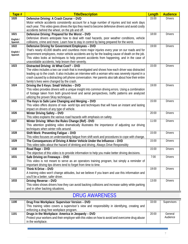| Tape #    | <b>Title/Description</b>                                                                                                                                                 | Length | <b>Audience</b> |
|-----------|--------------------------------------------------------------------------------------------------------------------------------------------------------------------------|--------|-----------------|
| 1020      | Defensive Driving: A Crash Course - DVD                                                                                                                                  | 15:00  | <b>Drivers</b>  |
|           | Motor vehicle accidents consistently account for a huge number of injuries and lost work days                                                                            |        |                 |
|           | each year. This video gives drives the tips they need to become defensive drivers and avoid costly                                                                       |        |                 |
|           | accidents behind the wheel, on the job and off.                                                                                                                          |        |                 |
| 1021      | Defensive Driving: Prepared for the Worst - DVD                                                                                                                          | 18:00  | <b>Drivers</b>  |
| English / | Defensive drivers anticipate how to deal with road hazards, poor weather conditions, vehicle                                                                             |        |                 |
| Spanish   | collisions, crime and more. Learn how to stay in control by being prepared for the worst.                                                                                |        |                 |
| 1022      | Defensive Driving for Government Employees - DVD                                                                                                                         | 19:00  | <b>Drivers</b>  |
| English / | That's nearly 43,000 deaths and countless more major injuries every year on our roads and for                                                                            |        |                 |
| Spanish   | government employees, motor vehicle accidents are by far the leading cause of death on the job.                                                                          |        |                 |
|           | This video looks at techniques to help prevent accidents from happening, and in the case of                                                                              |        |                 |
|           | unavoidable accidents, help lessen their severity.                                                                                                                       |        |                 |
| 1023      | Distracted Driving: At What Cost? - DVD                                                                                                                                  | 15:00  | <b>Drivers</b>  |
|           | The video includes a two car crash that is investigated and shows how each driver was distracted                                                                         |        |                 |
|           | leading up to the crash. It also includes an interview with a woman who was severely injured in a                                                                        |        |                 |
|           | crash caused by a distracting cell phone conversation. Her parents also talk about how their entire                                                                      |        |                 |
|           | family's lives were changed by the crash.                                                                                                                                |        |                 |
| 1024      | Driving the 5 Keys: Small Vehicles - DVD                                                                                                                                 | 19:00  | <b>Drivers</b>  |
|           | This video provides drivers with a unique insight into common driving errors. Using a combination                                                                        |        |                 |
|           | of footage taken from both ground-level and aerial perspectives, traffic patterns are analyzed                                                                           |        |                 |
|           | utilizing the proven 5Key techniques.                                                                                                                                    |        |                 |
| 1025      | The Keys to Safe Lane Changing and Merging - DVD                                                                                                                         | 15:00  | <b>Drivers</b>  |
|           | This video offers dozens of real- world tips and techniques that will have an instant and lasting                                                                        |        |                 |
|           | impact on drivers of any type of vehicle.                                                                                                                                |        | <b>Drivers</b>  |
| 1026      | <b>Winter Driving Safety - DVD</b>                                                                                                                                       | 20:00  |                 |
| 1027      | This video explains the various road hazards with emphasis on safety.                                                                                                    | 11:00  | <b>Drivers</b>  |
|           | Winter Driving: When the Rules Change (Ref) - DVD                                                                                                                        |        |                 |
|           | This attention grabbing video dramatically illustrates the importance of adjusting our driving<br>techniques when winter rolls around.                                   |        |                 |
| 1028      |                                                                                                                                                                          | 15:00  | <b>Drivers</b>  |
|           | Shift Work: Preventing Fatigue - DVD                                                                                                                                     |        |                 |
| 1029      | This video focuses on understanding fatigue from shift work and procedures to cope with change.<br>The Consequences of Driving A Motor Vehicle Under the Influence - DVD | 15:00  | <b>Drivers</b>  |
|           | This video talks about the hazard of drinking and driving. Always Drive Responsibly                                                                                      |        |                 |
| 1030      | Road Rage - DVD                                                                                                                                                          | 15:00  | <b>Drivers</b>  |
|           | The objective of this video is to provide information to help you make better driving decisions.                                                                         |        |                 |
| 1031      | Safe Driving on Freeways - DVD                                                                                                                                           | 7:00   | <b>Drivers</b>  |
|           | This video is not meant to serve as an operators training program, but simply a reminder of                                                                              |        |                 |
|           | important driving tips drivers tend to forget from time to time.                                                                                                         |        |                 |
| 1032      | Think N Drive - DVD                                                                                                                                                      | 19:00  | <b>Drivers</b>  |
|           | A training video won't change attitudes, but we believe if you learn and use this information and                                                                        |        |                 |
|           | you'll be a better, safer driver.                                                                                                                                        |        |                 |
| 1033      | Driving Reverse - DVD                                                                                                                                                    | 13:00  | <b>Drivers</b>  |
|           | This video shows drivers how they can avoid backing collisions and increase safety while parking                                                                         |        |                 |
|           | and in other backing situations.                                                                                                                                         |        |                 |
|           |                                                                                                                                                                          |        |                 |

## DRUG AWARENESS

<span id="page-9-0"></span>

| 1100 | Drug Free Workplace: Supervisor Version - DVD                                                   | 33:00 | Supervisors |
|------|-------------------------------------------------------------------------------------------------|-------|-------------|
|      | This training video covers a supervisor's view and responsibility in identifying, creating and  |       |             |
|      | enforcing a drug free workplace program.                                                        |       |             |
| 1101 | Drugs in the Workplace: America in Jeopardy - DVD                                               | 20:00 | General     |
|      | Protect your workers and their employer with this video on how to avoid and overcome drug abuse |       | Audience    |
|      | in the workplace.                                                                               |       |             |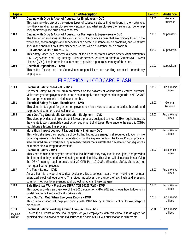| Tape # | <b>Title/Description</b>                                                                          | Length | <b>Audience</b> |
|--------|---------------------------------------------------------------------------------------------------|--------|-----------------|
| 1102   | Dealing with Drug & Alcohol Abuse for Employees - DVD                                             | 19:00  | General         |
|        | This training video discuss the various types of substance abuse that are found in the workplace, |        | Audience        |
|        | how they can affect an employee's work situation and what employees themselves can do to help     |        |                 |
|        | keep their workplace drug and alcohol free.                                                       |        |                 |
| 1103   | Dealing with Drug & Alcohol Abuse for Managers & Supervisors - DVD                                | 19:00  | Supervisors     |
|        | The training video discusses the various forms of substance abuse that are typically found in the |        |                 |
|        | workplace, how managers and supervisors can detect substance abuse problems, and what they        |        |                 |
|        | should and shouldn't do if they discover a worker with a substance abuse problem.                 |        |                 |
| 1104   | DOT Alcohol & Drug Rules - DVD                                                                    | 50:00  | Supervisors     |
|        | This safety video is a general overview of the Federal Motor Carrier Safety Administration's      |        |                 |
|        | (FMCSA) Alcohol and Drug Testing Rules for persons required to obtain a Commercial Driver's       |        |                 |
|        | License (CDL). The information is intended to provide a general summary of the rules.             |        |                 |
| 1105   | Chemical Dependency - DVD                                                                         | 21:00  | Supervisors     |
|        | This video focuses on the Supervisor's responsibilities on handling chemical dependency           |        |                 |
|        | employees.                                                                                        |        |                 |

## ELECTRICAL / LOTO / ARC FLASH

<span id="page-10-0"></span>

| 1200                 | Electrical Safety: NFPA 70E - DVD<br>Electrical Safety: NFPA 70E train employees on the hazards of working with electrical currents.<br>Make sure your employees understand and can apply the strengthened safeguards in NFPA 70E                                                                                                                                                                               | 18:00 | Public Works<br><b>Utilities</b>        |
|----------------------|-----------------------------------------------------------------------------------------------------------------------------------------------------------------------------------------------------------------------------------------------------------------------------------------------------------------------------------------------------------------------------------------------------------------|-------|-----------------------------------------|
|                      | that can prevent electrical injuries and deaths.                                                                                                                                                                                                                                                                                                                                                                |       |                                         |
| 1201                 | Electrical Safety for Non-Electricians - DVD<br>This video is designed for general employees to raise awareness about electrical hazards and<br>help prevent common electrical injuries.                                                                                                                                                                                                                        | 18:00 | General<br>Audience                     |
| 1204                 | Lock Out/Tag Out: Mobile Construction Equipment - DVD<br>This video provides a simple straight-forward process designed to meet OSHA requirements as<br>they relate to work on mobile construction equipment of all types. Reference to the specific OSHA<br>regulations effecting this process.                                                                                                                | 24:00 | Public Works<br><b>Utilities</b>        |
| 1205                 | More High Impact Lockout / Tagout Safety Training - DVD<br>This video stresses the importance of controlling hazardous energy in all required situations while<br>providing viewers with a basic understanding of the key elements in the lockout/tagout process.<br>Also featured are six workplace injury reenactments that illustrate the devastating consequences<br>of improper lockout/tagout operations. | 33:00 | <b>Public Works</b><br><b>Utilities</b> |
| 1206                 | <b>Electrical Safety - DVD</b><br>This video reminds employees about electrical hazards they may face in their jobs, and provides<br>the information they need to work safely around electricity. This video will also assist in satisfying<br>the OSHA training requirements under 29 CFR Part 1910.331 (Electrical Safety Standard) for<br>"non-qualified" employees.                                         | 14:00 | Public Works<br><b>Utilities</b>        |
| 1207                 | Arc Flash Safety - DVD<br>An arc flash is a type of electrical explosion. It's a serious hazard when working on or near<br>energized electrical equipment. This video introduces the dangers of arc flash and presents<br>common methods for preventing and protecting against those dangers.                                                                                                                   | 15:00 | Public Works<br><b>Utilities</b>        |
| 1208                 | Safe Electrical Work Practices (NFPA 70E 2015) (Ref) - DVD<br>This video provides an overview of the 2015 edition of NFPA 70E and shows how following its<br>guidelines helps keep electrical workers safe.                                                                                                                                                                                                     | 16:00 | <b>Public Works</b><br><b>Utilities</b> |
| 1209                 | Lock Out/Tag Out: When Everyone Knows - DVD<br>This dramatic video will help you comply with 1910.147 by explaining critical lock-out/tag-out<br>procedures.                                                                                                                                                                                                                                                    | 17:00 | <b>Public Works</b><br><b>Utilities</b> |
| 1210                 | Electrical Safety: Working Around Live Circuits - DVD                                                                                                                                                                                                                                                                                                                                                           | 7:00  | <b>Public Works</b>                     |
| English /<br>Spanish | Unwire the currents of electrical dangers for your employees with this video. It is designed for<br>qualified electrical workers and it discusses the basis of OSHA's qualification requirements.                                                                                                                                                                                                               |       | <b>Utilities</b>                        |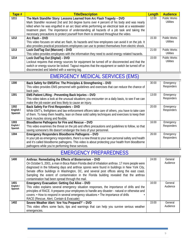| Tape # | <b>Title/Description</b>                                                                         | Length | <b>Audience</b>     |
|--------|--------------------------------------------------------------------------------------------------|--------|---------------------|
| 1211   | The Mark Standifer Story: Lessons Learned from Arc Flash Tragedy - DVD                           | 12:00  | <b>Public Works</b> |
|        | Mark Standifer received 2nd and 3rd degree burns over 4 percent of his body and was nearly       |        | <b>Utilities</b>    |
|        | killed when he was engulfed in an arc blast while performing an electrical task at a wastewater  |        |                     |
|        | treatment plant. The importance of understanding all hazards of a job task and taking the        |        |                     |
|        | necessary precautions to protect yourself from them is stressed throughout the video.            |        |                     |
| 1212   | Arc Flash - DVD                                                                                  | 15:30  | <b>Public Works</b> |
|        | This video focuses on what arc flash, its hazards and how employees can avoid it on the job. It  |        | <b>Utilities</b>    |
|        | also provides practical procedures employees can use to protect themselves from electric shock.  |        |                     |
| 1213   | Lock Out/Tag Out (Marcom) - DVD                                                                  | 21:00  | <b>Public Works</b> |
|        | This video provides employees with the information they need to avoid energy-related hazards.    |        | <b>Utilities</b>    |
| 1214   | Lock Out/Tag Out (Digital) - DVD                                                                 | 15:00  | <b>Public Works</b> |
|        | Lockout requires that energy sources for equipment be turned off or disconnected and that the    |        | <b>Utilities</b>    |
|        | switch or energy source be locked. Tagout requires that the equipment or switch be turned off or |        |                     |
|        | disconnected and labeled with a warning tag.                                                     |        |                     |

## EMERGENCY MEDICAL SERVICES (EMS)

<span id="page-11-0"></span>

| 1300                         | Back Safety for EMS/Fire: The Principles & Strengthening - DVD<br>This video provides EMS personnel with quidelines and exercises that can reduce the chance of<br>back pain.                                                                                                                                | 30:00 | Emergency<br>Responders |
|------------------------------|--------------------------------------------------------------------------------------------------------------------------------------------------------------------------------------------------------------------------------------------------------------------------------------------------------------|-------|-------------------------|
| 1301                         | EMS Patient Lifting - Preventing Back Injuries - DVD<br>This video takes a look at the unusual situations you encounter on a daily basis, to see if we can<br>make the job easier and less likely to cause an injury.                                                                                        | 13:00 | Emergency<br>Responders |
| 1302<br>English /<br>Spanish | Back Safety For First Responders - DVD<br>While EMT's, firefighters and law enforcement officers take care of others, you have to take care<br>of them. To keep them healthy, lean on these solid safety techniques and exercises to keep their<br>back muscles strong and flexible.                         | 20:00 | Emergency<br>Responders |
| 1303<br>English /<br>Spanish | Bloodborne Pathogens for Fire and Rescue - DVD<br>This video examines the threat on the job and offers precautions and guidelines to follow, so that<br>saving someone's life doesn't endanger the lives of your personnel.                                                                                  | 16:00 | Emergency<br>Responders |
| 1304                         | Emergency Responders Bloodborne Pathogens - DVD<br>In your job as emergency responders, there's a new threat to your own personal safety and health<br>and it's called bloodborne pathogens. This video is about protecting your health from bloodborne<br>pathogens while you're performing these services. | 26:00 | Emergency<br>Responders |

#### EMERGENCY PREPAREDNESS

<span id="page-11-1"></span>

| 1400                         | Anthrax: Remediating the Effects of Bioterrorism - DVD<br>On October 5, 2001, a man in Boca Raton Florida died of inhalation anthrax. 17 more people were<br>diagnosed in the following days and anthrax spores were found in buildings in New York City,<br>Senate office buildings in Washington, DC, and several post offices along the east coast.<br>Sampling the extent of contamination in the Florida building revealed that the anthrax | 24:00 | General<br>Audience |
|------------------------------|--------------------------------------------------------------------------------------------------------------------------------------------------------------------------------------------------------------------------------------------------------------------------------------------------------------------------------------------------------------------------------------------------------------------------------------------------|-------|---------------------|
| 1401<br>English /<br>Spanish | contamination had been spread through the mail.<br>Emergency Evacuation: Getting Out Alive - DVD<br>This video explains several emergency situation responses, the importance of drills and the<br>principles of RACE. It prepares your employees to handle any disaster - natural or otherwise and<br>covers: • How to respond in several emergency situations • The importance of drills<br>RACE (Rescue, Alert, Contain & Evacuate)           | 16:00 | General<br>Audience |
| 1402                         | Severe Weather Alert: 'Are You Prepared?' - DVD<br>This video offers some facts, tips and warnings that can help you survive serious weather<br>emergencies.                                                                                                                                                                                                                                                                                     | 15:00 | General<br>Audience |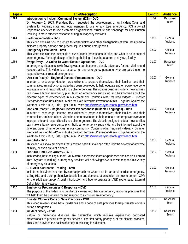| Tape # | <b>Title/Description</b>                                                                                                                                                                    | <b>Length</b> | <b>Audience</b>     |
|--------|---------------------------------------------------------------------------------------------------------------------------------------------------------------------------------------------|---------------|---------------------|
| 1403   | Introduction to Incident Command System (ICS) - DVD                                                                                                                                         | 8:30          | Response            |
|        | On February 2, 2003, President Bush requested the development of an Incident Command                                                                                                        |               | Team                |
|        | System for Federal, state and local agencies to use for any type emergency. ICS allow all                                                                                                   |               |                     |
|        | responding agencies to use a common organizational structure and 'language' for any situation                                                                                               |               |                     |
|        | resulting in more effective response during multiagency missions.                                                                                                                           |               |                     |
| 1404   | Earthquake Safety - DVD                                                                                                                                                                     | 13:00         | General             |
|        | This video explains how to prepare for earthquakes and other emergencies at work. Designed to                                                                                               |               | Audience            |
|        | mitigate property damage and prevent injuries during emergencies.                                                                                                                           |               |                     |
| 1405   | <b>Emergency Evacuation - DVD</b>                                                                                                                                                           | 12:00         | General<br>Audience |
|        | This video explains the essentials of evacuations, precautions to take, and what to do in case of                                                                                           |               |                     |
|        | an emergency. Although designed for large buildings it can be adapted to any size facility.                                                                                                 | 31:00         |                     |
| 1406   | Swept Away A Guide To Water Rescue Operations - DVD                                                                                                                                         |               | Response<br>Team    |
|        | In emergency situations, swift-flowing water can become a deadly adversary for both victims and                                                                                             |               |                     |
|        | rescuers alike. This video is a resource for any emergency personnel who are called upon to                                                                                                 |               |                     |
| 1407   | respond to water-related emergencies.<br>'Are You Ready?'- Regional Disaster Preparedness - DVD                                                                                             | 30:00         | General             |
|        | In order to encourage Houston area citizens to prepare themselves, their families, and their                                                                                                |               | Audience            |
|        | communities, an instructional video has been developed to help educate and empower everyone                                                                                                 |               |                     |
|        | to prepare for and respond to all kinds of emergencies. The video is designed to detail how families                                                                                        |               |                     |
|        | can make a family emergency plan, build an emergency supply kit, and be informed about the                                                                                                  |               |                     |
|        | different types of emergencies in our community. Contains other featured videos: • Disaster                                                                                                 |               |                     |
|        | Preparedness for Kids-12 min • Make the Call: Terrorism Prevention-6 min • Together Against the                                                                                             |               |                     |
|        | Weather- 4 min · Run, Hide, Fight-6 min Visit: http://www.readyhoustontx.gov/videos.html                                                                                                    |               |                     |
| 1408   | 'Are You Ready?' - Regional Disaster Preparedness (Multiple Languages) - DVD                                                                                                                | 30:00         | General             |
|        | In order to encourage Houston area citizens to prepare themselves, their families, and their                                                                                                |               | Audience            |
|        | communities, an instructional video has been developed to help educate and empower everyone                                                                                                 |               |                     |
|        | to prepare for and respond to all kinds of emergencies. The video is designed to detail how families                                                                                        |               |                     |
|        | can make a family emergency plan, build an emergency supply kit, and be informed about the                                                                                                  |               |                     |
|        | different types of emergencies in our community. Contains other featured videos: • Disaster                                                                                                 |               |                     |
|        | Preparedness for Kids-12 min • Make the Call: Terrorism Prevention-6 min • Together Against the                                                                                             |               |                     |
|        | Weather- 4 min · Run, Hide, Fight-6 min Visit: http://www.readyhoustontx.gov/videos.html                                                                                                    |               |                     |
| 1409   | First Aid - DVD                                                                                                                                                                             | 13:00         | General             |
|        | This video will show employees that knowing basic first aid can often limit the severity of any type                                                                                        |               | Audience            |
|        | of injury, or even prevent a death.                                                                                                                                                         |               |                     |
| 1410   | First Aid: Until Help Arrives - DVD                                                                                                                                                         | 10:00         | General             |
|        | In this video, best-selling author/EMT Martin Lesperance shares experiences and tips he's learned                                                                                           |               | Audience            |
|        | from 25 years of working in emergency services while showing viewers how to respond in a variety                                                                                            |               |                     |
|        | of emergency situations.                                                                                                                                                                    |               |                     |
| 1411   | <b>CPR AED Awareness Training - DVD</b>                                                                                                                                                     | 31:00         | General<br>Audience |
|        | Include in this video is a step by step approach on what to do for an adult cardiac emergency,                                                                                              |               |                     |
|        | calling 911, and a comprehensive description and demonstration section on how to perform CPR<br>for the adult age group. A brief introduction and how to operate an AED (Automated External |               |                     |
|        | Defibrillator) is reviewed.                                                                                                                                                                 |               |                     |
| 1412   | Emergency Preparedness & Response - DVD                                                                                                                                                     | 22:00         | General             |
|        | The purpose of this video is to familiarize viewers with basic emergency response practices that                                                                                            |               | Audience            |
|        | will help them be prepared for and respond to a crisis or an emergency.                                                                                                                     |               |                     |
| 1413   | Disaster Workers Code of Safe Practices - DVD                                                                                                                                               | 16:00         | Response            |
|        | This video reviews some basic guidelines and a code of safe practices to help disaster workers                                                                                              |               | Team                |
|        | during emergencies.                                                                                                                                                                         |               |                     |
| 1414   | <b>Incident Safety - DVD</b>                                                                                                                                                                | 18:00         | Response            |
|        | Natural or man-made disasters are destructive which requires experienced dedicated                                                                                                          |               | Team                |
|        | professionals to provide emergency services. The first safety priority is of the disaster workers.                                                                                          |               |                     |
|        | This video provides the basics of safety in assisting in a disaster.                                                                                                                        |               |                     |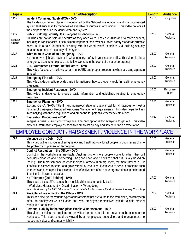<span id="page-13-0"></span>

| Tape #    | <b>Title/Description</b>                                                                             | Length | <b>Audience</b>     |
|-----------|------------------------------------------------------------------------------------------------------|--------|---------------------|
| 1415      | Incident Command Safety (ICS) - DVD                                                                  | 15:00  | Firefighters        |
|           | The Incident Command System is recognized by the National Fire Academy and is a documented           |        |                     |
|           | system that successfully manages all available resources at any incident. This video covers all      |        |                     |
|           | the components of an Incident Command System.                                                        |        |                     |
| 1416      | Public Building Security: It's Everyone's Concern - DVD                                              | 17:00  | General             |
| English / | Buildings are not as safe and secure as they once were. They are vulnerable to more dangers,         |        | Audience            |
| Spanish   | including terrorist attacks. It is thus more important than ever NOT to let safety standards crumble |        |                     |
|           | down. Build a solid foundation of safety with this video, which examines vital building security     |        |                     |
|           | measures to ensure the safety of everyone.                                                           |        |                     |
| 1417      | What to do in Case of an Emergency - DVD                                                             | 16:00  | General             |
|           | No matter what job you have or in what industry, safety is your responsibility. This video is about  |        | Audience            |
|           | emergency actions to help you and fellow workers in the event of a major emergency.                  |        |                     |
| 1418      | AED: Automated External Defibrillators - DVD                                                         | 12:00  | General             |
|           | This video focuses on the laws pertaining to AED and proper procedures when assisting a person       |        | Audience            |
|           | in need.                                                                                             |        |                     |
| 1419      | <b>Emergency First Aid - DVD</b>                                                                     | 19:00  | General             |
|           | This video is designed to provide basic information on how to properly apply first aid in emergency  |        | Audience            |
|           | situations.                                                                                          |        |                     |
| 1420      | <b>Emergency Incident Response - DVD</b>                                                             | 10:00  | Response            |
|           | This video is designed to provide basic information and guidelines relating to emergency             |        | Team                |
|           | response.                                                                                            |        |                     |
| 1421      | <b>Emergency Planning - DVD</b>                                                                      | 16:30  | General<br>Audience |
|           | Existing OSHA, SARA Title III, and numerous state regulations call for all facilities to meet a      |        |                     |
|           | number of Emergency Preparedness/Crisis Management requirements. This video helps facilities         |        |                     |
|           | in complying with these regulations and preparing for potential emergency situations.                |        |                     |
| 1422      | <b>Evacuation Procedures - DVD</b>                                                                   | 18:44  | General<br>Audience |
|           | Imagine a crisis striking your workplace. The only option is for everyone to get out. This video     |        |                     |
|           | provides information employees need to learn to act quickly and safely during an evacuation.         |        |                     |

#### EMPLOYEE CONDUCT / HARASSMENT / VIOLENCE IN THE WORKPLACE

| 1500 | Violence on the Job - DVD                                                                              | 27:00 | General  |
|------|--------------------------------------------------------------------------------------------------------|-------|----------|
|      | This video will assist you in offering safety and health at work for all people through research into  |       | Audience |
|      | the problem and prevention techniques.                                                                 |       |          |
| 1501 | Conflict Resolution in the Office - DVD                                                                | 17:00 | General  |
|      | Conflict in the workplace is inevitable. Anytime two or more people come together, they will           |       | Audience |
|      | eventually disagree about something. The good news about conflict is that it is usually based on       |       |          |
|      | "caring". The more someone defends their point of view in an argument, the more they care. But         |       |          |
|      | if conflict is allowed to fester and grow without a resolution, it can lead to serious problems such   |       |          |
|      | as threats and even physical violence. The effectiveness of an entire organization can be harmed       |       |          |
|      | if conflict is allowed to escalate.                                                                    |       |          |
| 1502 | No Tolerance (2011 Edition) - DVD                                                                      | 17:00 | General  |
|      | This video discuss EPL issues that municipalities face on a daily basis:                               |       | Audience |
|      | • Workplace Harassment • Discrimination • Wrongdoing                                                   |       |          |
|      | Video Produced by the MEL (Municipal Excess Liability Joint Insurance Fund) & JA Montgomery Consulting |       |          |
| 1503 | Workplace Harassment in the Office - DVD                                                               | 17:00 | General  |
|      | This video discuss the various types of harassment that are found in the workplace, how they can       |       | Audience |
|      | affect an employee's work situation and what employees themselves can do to help prevent               |       |          |
|      | workplace harassment.                                                                                  |       |          |
| 1504 | Personal Liability in the Workplace Pranks & Harassment - DVD                                          | 12:00 | General  |
|      | This video explains the problem and provides the steps to take to prevent such actions in the          |       | Audience |
|      | workplace. This video should be viewed by all employees, supervisors and management, to                |       |          |
|      | reduce individual and company liability.                                                               |       |          |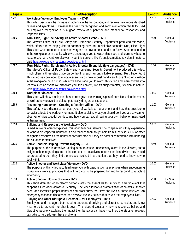| Tape # | <b>Title/Description</b>                                                                                                                                                                                   | <b>Length</b> | <b>Audience</b> |
|--------|------------------------------------------------------------------------------------------------------------------------------------------------------------------------------------------------------------|---------------|-----------------|
| 1505   | Workplace Violence: Employee Training - DVD                                                                                                                                                                | 17:00         | General         |
|        | This video discusses the increase in violence in the last decade, and reviews the various identified                                                                                                       |               | Audience        |
|        | causes and symptoms. It stresses the need for recognition and early intervention. While focused                                                                                                            |               |                 |
|        | on employee recognition it is a good review of supervisor and managerial responses and                                                                                                                     |               |                 |
|        | responsibilities.                                                                                                                                                                                          |               |                 |
| 1506   | 'Run, Hide, Fight': Surviving An Active Shooter Event - DVD                                                                                                                                                | 6:00          | General         |
|        | The Mayor's Office of Public Safety and Homeland Security Department produced this video,                                                                                                                  |               | Audience        |
|        | which offers a three-step quide on confronting such an unthinkable scenario: Run, Hide, Fight                                                                                                              |               |                 |
|        | This video was produced to educate everyone on how to best handle an Active Shooter situation                                                                                                              |               |                 |
|        | in the workplace or in public. While we encourage you to watch this video and learn how best to<br>react to such an event, we also warn you, this content, like it's subject matter, is violent in nature. |               |                 |
|        | Visit: http://www.readyhoustontx.gov/videos.html                                                                                                                                                           |               |                 |
| 1507   | 'Run, Hide, Fight': Surviving An Active Shooter Event (Multiple Languages) - DVD                                                                                                                           | 6:00          | General         |
|        | The Mayor's Office of Public Safety and Homeland Security Department produced this video,                                                                                                                  |               | Audience        |
|        | which offers a three-step guide on confronting such an unthinkable scenario: Run, Hide, Fight                                                                                                              |               |                 |
|        | This video was produced to educate everyone on how to best handle an Active Shooter situation                                                                                                              |               |                 |
|        | in the workplace or in public. While we encourage you to watch this video and learn how best to                                                                                                            |               |                 |
|        | react to such an event, we also warn you, this content, like it's subject matter, is violent in nature.                                                                                                    |               |                 |
|        | Visit: http://www.readyhoustontx.gov/videos.html                                                                                                                                                           |               |                 |
| 1508   | <b>Workplace Violence - DVD</b>                                                                                                                                                                            | 14:00         | General         |
|        | This video will show employees how to recognize the warning signs of possible violent behavior,                                                                                                            |               | Audience        |
|        | as well as how to avoid or defuse potentially dangerous situations.                                                                                                                                        |               |                 |
| 1509   | Preventing Harassment: Creating a Positive Office - DVD                                                                                                                                                    | 11:00         | General         |
|        | This safety video discusses various types of workplace harassment and how this unwelcome                                                                                                                   |               | Audience        |
|        | behavior affects the work environment. It also explains what you should do if you are a victim or                                                                                                          |               |                 |
|        | observer of disrespectful conduct and how you can avoid having your own behavior interpreted                                                                                                               |               |                 |
| 1510   | as harassment.                                                                                                                                                                                             | 20:00         | General         |
|        | Bullying and Respect in the Workplace - DVD<br>Filmed in five diverse workplaces, this video teaches viewers how to speak up if they experience                                                            |               | Audience        |
|        | or witness disrespectful behavior. It also teaches them to get help from supervisors, HR or other                                                                                                          |               |                 |
|        | designated resources if the behavior does not stop or if they do not feel comfortable with handling                                                                                                        |               |                 |
|        | the situation themselves.                                                                                                                                                                                  |               |                 |
| 1511   | Active Shooter: Helping Prevent Tragedy - DVD                                                                                                                                                              | 8:40          | General         |
|        | The purpose of this informative training is not to cause unnecessary alarm in the viewers, but to                                                                                                          |               | Audience        |
|        | enlighten them regarding some of the elements of an active shooter scenario and what they should                                                                                                           |               |                 |
|        | be prepared to do if they find themselves involved in a situation that they need to know how to                                                                                                            |               |                 |
|        | deal with it.                                                                                                                                                                                              |               |                 |
| 1512   | Active Shooter and Workplace Violence - DVD                                                                                                                                                                | 10:00         | General         |
|        | The purpose of this video is to familiarize you with basic response practices when encountering                                                                                                            |               | Audience        |
|        | workplace violence, practices that will help you to be prepared for and to respond to a violent                                                                                                            |               |                 |
| 1513   | emergency.<br>Active Shooter: How to Survive - DVD                                                                                                                                                         | 7:00          | General         |
|        | This short dramatic video clearly demonstrates the essentials for surviving a tragic event that                                                                                                            |               | Audience        |
|        | happens all too often across our country. The video follows a dramatization of an active shooter                                                                                                           |               |                 |
|        | event and identifies proper behavior and procedures that save the lives of those involved. An                                                                                                              |               |                 |
|        | emergency response dispatcher then reviews the key actions that saved the employees lives.                                                                                                                 |               |                 |
| 1514   | Bullying and Other Disruptive Behavior for Employees - DVD                                                                                                                                                 | 17:00         | General         |
|        | Employees and managers both need to understand bullying and disruptive behavior, and know                                                                                                                  |               | Audience        |
|        | what to do to prevent it or shut it down. This video discusses: • how to recognize bullies and                                                                                                             |               |                 |
|        | disruptive people • explains the impact their behavior can have • outlines the steps employees                                                                                                             |               |                 |
|        | can take to help address these problems                                                                                                                                                                    |               |                 |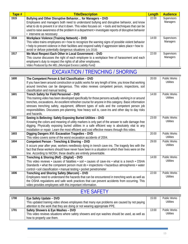| Tape # | <b>Title/Description</b>                                                                             | Length | <b>Audience</b> |
|--------|------------------------------------------------------------------------------------------------------|--------|-----------------|
| 1515   | Bullying and Other Disruptive Behavior for Managers - DVD                                            | 22:00  | Supervisors     |
|        | Employees and managers both need to understand bullying and disruptive behavior, and know            |        | Managers        |
|        | what to do to prevent it or shut it down. This video focuses on: • tools and techniques that can be  |        |                 |
|        | used to raise awareness of the problem in a department • investigate reports of disruptive behavior  |        |                 |
|        | • intervene as necessary                                                                             |        |                 |
| 1516   | Workplace Violence (Training Network) - DVD                                                          | 14:00  | Supervisors     |
|        | This video trains employees on • how to recognize the warning signs of possible violent behavior     |        | Managers        |
|        | • help to prevent violence in their facilities and respond safely if aggression takes place • how to |        |                 |
|        | avoid or defuse potentially dangerous situations (c/o 2018)                                          |        |                 |
| 1517   | We Must Respect Each Other in Local Government - DVD                                                 | 22:00  | Supervisors     |
|        | This course discusses the right of each employee to a workplace free of harassment and each          |        | Managers        |
|        | employee's duty to respect the rights of all other employees.                                        |        |                 |
|        | Video Produced by the MEL (Municipal Excess Liability Fund)                                          |        |                 |

## EXCAVATION / TRENCHING / SHORING

<span id="page-15-0"></span>

| 1600 | The Competent Person & Soil Classification - DVD<br>If you have been around construction or public works for any length of time, you know that working<br>around trenches can be dangerous. This video reviews competent person, inspections, soil<br>classification and manual testing.                                                                                                                                                                                 | 20:00 | <b>Public Works</b><br>Utilities        |
|------|--------------------------------------------------------------------------------------------------------------------------------------------------------------------------------------------------------------------------------------------------------------------------------------------------------------------------------------------------------------------------------------------------------------------------------------------------------------------------|-------|-----------------------------------------|
| 1601 | Trench Safety for Field Personnel - DVD<br>This training video has been developed specifically for those persons actually working in or around<br>trenches, excavations. An excellent refresher course for anyone in this category. Basic information<br>stresses trenching safety, equipment, different types of soils and the competent person job<br>responsibilities. Discusses pre-planning, how heavy soil is, cave-ins and other day to day risks<br>and hazards. | 14:00 | <b>Public Works</b><br>Utilities        |
| 1602 | Seeing is Believing: Safely Exposing Buried Utilities - DVD<br>Knowing the colors and meaning of utility markers is only part of the answer to safe damage-free<br>digging. Physically exposing buried utilities in a safe efficient way is absolutely vital to any<br>installation or repair. Learn the most efficient and cost effective means through this video.                                                                                                     | 23:00 | <b>Public Works</b><br>Utilities        |
| 1603 | Digging Dangers XVI: Excavation Tragedies - DVD<br>This video covers some of the worst excavation accidents of 2004.                                                                                                                                                                                                                                                                                                                                                     | 20:00 | <b>Public Works</b><br><b>Utilities</b> |
| 1604 | Competent Person - Trenching & Shoring - DVD<br>It occurs year after year, workers needlessly dying in trench cave-ins. The tragedy lies with the<br>fact that these workers should have never have been in a situation in which their lives were on the<br>line. According to NIOSH, these deaths are entirely preventable.                                                                                                                                             | 29:00 | <b>Public Works</b><br><b>Utilities</b> |
| 1605 | Trenching & Shoring (Ref) - (Digital) - DVD<br>This video reviews $\cdot$ causes of fatalities $\cdot$ soil $\cdot$ causes of cave-ins $\cdot$ what is a trench $\cdot$ OSHA<br>Standards $\cdot$ what the competent person must do $\cdot$ inspections $\cdot$ hazardous atmospheres $\cdot$ water<br>control · soil classification · manual testing · pocket penetrometer                                                                                              | 14:00 | <b>Public Works</b><br><b>Utilities</b> |
| 1606 | Trenching and Shoring Safety (Marcom) - DVD<br>Employees need to understand the hazards that can be encountered in trenching work as well as<br>the OSHA regulations and safe work practices that can prevent accidents from occurring. This<br>video provides employees with this important information.                                                                                                                                                                | 22:00 | <b>Public Works</b><br><b>Utilities</b> |

#### EYE SAFETY

<span id="page-15-1"></span>

| 1700 | Eye Safety Update – DVD                                                                      | 15:00 | Public Works |
|------|----------------------------------------------------------------------------------------------|-------|--------------|
|      | This updated training video shows employees that many eye problems are caused by not paying  |       | Utilities    |
|      | attention to the work that they are doing or not wearing appropriate PPE.                    |       |              |
| 1701 | Safety Showers & Eye Washes - DVD                                                            | 13:00 | Public Works |
|      | This video reviews situations where safety showers and eye washes should be used, as well as |       | Utilities    |
|      | how to properly use them.                                                                    |       |              |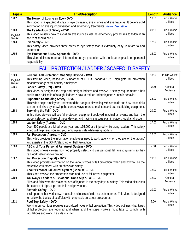| Tape #    | <b>Title/Description</b>                                                                              | Length | <b>Audience</b>     |
|-----------|-------------------------------------------------------------------------------------------------------|--------|---------------------|
| 1702      | The Horror of Losing an Eye - DVD                                                                     | 13:00  | <b>Public Works</b> |
|           | This video is a <i>graphic</i> display of eye diseases, eye injuries and eye traumas. It covers solid |        | Utilities           |
|           | information on eye injury prevention and emergency treatments. Viewer Discretion                      |        |                     |
| 1703      | The Eyedeology of Safety - DVD                                                                        | 20:00  | <b>Public Works</b> |
| English / | This video reviews how to avoid an eye injury as well as emergency procedures to follow if an         |        | <b>Utilities</b>    |
| Spanish   | accident should occur.                                                                                |        |                     |
| 1704      | Eye Safety - DVD                                                                                      | 12:00  | <b>Public Works</b> |
|           | This safety video provides three steps to eye safety that is extremely easy to relate to and          |        | Utilities           |
|           | understand.                                                                                           |        |                     |
| 1705      | Eye Protection: A New Approach - DVD                                                                  | 16:00  | <b>Public Works</b> |
|           | This video delivers important information on eye protection with a unique emphasis on personal        |        | <b>Utilities</b>    |
|           | responsibility.                                                                                       |        |                     |

## FALL PROTECTION / LADDER / SCAFFOLD SAFETY

<span id="page-16-0"></span>

| 1800      | Personal Fall Protection: One Step Beyond - DVD                                                       | 13:00 | Public Works;       |
|-----------|-------------------------------------------------------------------------------------------------------|-------|---------------------|
| English / | This training video, based on Subpart M of OSHA Standard 1926, highlights fall protection             |       | <b>Utilities</b>    |
| Spanish   | measures for general industry employees.                                                              |       |                     |
| 1801      | Ladder Safety (Ref) - DVD                                                                             | 7:00  | General             |
|           | This video is designed for step and straight ladders and reviews: • safety requirements • belt        |       | Audience            |
|           | buckle rule • 4:1 ratio of straight ladders • how to reduce ladder injuries • unsafe behavior         |       |                     |
| 1802      | Supported Scaffolding Safety - DVD                                                                    | 23:00 | Public Works        |
|           | This video helps employees understand the dangers of working with scaffolds and how these risks       |       | <b>Utilities</b>    |
|           | can be minimized by knowing the correct ways to erect, maintain and use scaffolding equipment.        |       |                     |
| 1803      | Surviving the Fall - DVD                                                                              | 20:00 | Public Works        |
|           | In this video viewers will see fall protection equipment deployed in actual fall events and learn the |       | <b>Utilities</b>    |
|           | proper selection and use of these devices and having a rescue plan in place should a fall occur.      |       |                     |
| 1804      | Ladder Safety (Aurora) - DVD                                                                          | 17:00 | <b>Public Works</b> |
|           | Over 300 people are killed every year and 165,000 are injured while using ladders. This safety        |       | <b>Utilities</b>    |
|           | video will help keep you and your employees safe while using ladders.                                 |       |                     |
| 1805      | Fall Protection (Aurora) - DVD                                                                        | 12:00 | <b>Public Works</b> |
|           | This video provides the information employees need to work safely when they are 'off the ground'      |       | <b>Utilities</b>    |
|           | and assists in the OSHA Standard on Fall Protection.                                                  |       |                     |
| 1806      | ABC's of Your Personal Fall Arrest System - DVD                                                       | 9:00  | <b>Public Works</b> |
|           | This video shows viewers how too properly select and use personal fall arrest systems so they         |       | <b>Utilities</b>    |
|           | can work safely above ground.                                                                         |       |                     |
| 1807      | Fall Protection (Digital) - DVD                                                                       | 19:00 | <b>Public Works</b> |
|           | This video provides information on the various types of fall protection, when and how to use the      |       | <b>Utilities</b>    |
|           | protective equipment with emphasis on safety.                                                         |       |                     |
| 1808      | About Personal Fall Arrest System (Concise) - DVD                                                     | 12:00 | Public Works        |
|           | This video reviews the proper selection and use of fall arrest equipment.                             |       | <b>Utilities</b>    |
| 1809      | Walkways, Ladders & Elevations: Don't Slip & Fall - DVD                                               | 12:00 | General             |
|           | Slips and falls were the major causes of injuries in the early days of safety. This video discusses   |       | Audience            |
|           | the causes of trips, slips and falls and prevention.                                                  |       |                     |
| 1810      | Scaffold Safety - DVD                                                                                 | 10:00 | Public Works        |
|           | It is important that work crews maintain and use scaffolds in a safe manner. This video is designed   |       | <b>Utilities</b>    |
|           | to review the basics of scaffolds with emphasis on safety procedures.                                 |       |                     |
| 1811      | Roof Top Safety - DVD                                                                                 | 7:00  | <b>Public Works</b> |
|           | Working on roof tops requires specialized types of fall protection. This video outlines what types    |       | <b>Utilities</b>    |
|           | of fall protection are required and when, and the steps workers must take to comply with              |       |                     |
|           | regulations and work in a safe manner.                                                                |       |                     |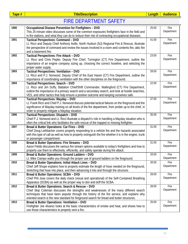<span id="page-17-0"></span>

#### FIRE DEPARTMENT SAFETY

| 1900 | Occupational Disease Prevention for Firefighters - DVD<br>This 25 minute video discusses some of the common exposures firefighters face in the field and<br>in fire stations, and what they can do to reduce their risk of contracting occupational diseases.                                                                           | 25:00 | Fire<br>Department |
|------|-----------------------------------------------------------------------------------------------------------------------------------------------------------------------------------------------------------------------------------------------------------------------------------------------------------------------------------------|-------|--------------------|
| 1901 | <b>Tactical Perspectives: Command - DVD</b><br>Lt. Ricci and Deputy Chief Anthony Avillo, North Hudson (NJ) Regional Fire & Rescue, illustrate<br>the perspective of command and review the issues involved in a room-and-contents fire, attic fire<br>and a basement fire.                                                             | 41:00 | Fire<br>Department |
| 1902 | <b>Tactical Perspectives: Fire Attack - DVD</b><br>Lt. Ricci and Chris Pepler, Deputy Fire Chief, Torrington (CT) Fire Department, outline the<br>importance of an engine company sizing up, choosing the correct hoseline, and selecting the<br>proper water supply.                                                                   | 23:00 | Fire<br>Department |
| 1903 | Tactical Perspectives: Ventilation - DVD<br>Lt. Ricci and P.J. Norwood, Deputy Chief of the East Haven (CT) Fire Department, outline the<br>importance of coordinating ventilation with the other disciplines on the fireground.                                                                                                        | 28:00 | Fire<br>Department |
| 1904 | Tactical Perspectives: Search - DVD<br>Lt. Ricci and Jim Duffy, Battalion Chief/Shift Commander, Wallingford (CT) Fire Department,<br>outline the importance of a primary search and a secondary search, and look at hostile searches,<br>VES, and other tactics that help ensure a positive outcome and keeping ourselves safe.        | 22:00 | Fire<br>Department |
| 1905 | Tactical Perspectives: Mayday - DVD<br>Lt. Frank Ricci and Chief P.J. Norwood discuss potential tactical failures on the fireground and the<br>significance of Mayday training on all levels of the fire department, from probie up to the chief, in<br>order to properly mitigate a Mayday situation.                                  | 37:00 | Fire<br>Department |
| 1906 | <b>Tactical Perspectives: Dispatch - DVD</b><br>Chief P.J. Norwood and Lt. Ricci illustrate a dispatch's role in handling a Mayday situation who is<br>often the critical link who facilitates the safe rescue of the trapped or missing firefighter.                                                                                   | 35:00 | Fire<br>Department |
| 1907 | Bread & Butter Operations: Car Fires - DVD<br>Chief Doug Leihbacher covers properly responding to a vehicle fire and the hazards associated<br>with this type of call as well as how to properly extinguish the fire whether it is in the engine, trunk<br>or passenger compartment.                                                    | 31:00 | Fire<br>Department |
| 1908 | Bread & Butter Operations: Fire Streams - DVD<br>Aaron Fields discusses the various fire stream options available to today's firefighters and how to<br>properly use them to effectively, efficiently, and safely operate during fire attack.                                                                                           | 31:00 | Fire<br>Department |
| 1909 | Bread & Butter Operations: Ground Ladders - DVD<br>Lt. Mike Ciampo walks you through the proper use of ground ladders on the fireground.                                                                                                                                                                                                | 33:00 | Fire<br>Department |
| 1910 | Bread & Butter Operations: Initial Attack Lines - DVD<br>Chief Jeff Shupe explains how to properly estimate the length of hose needed on the fireground,<br>stretching that hose into place, and then advancing it into and through the structure.                                                                                      | 26:00 | Fire<br>Department |
| 1911 | Bread & Butter Operations: SCBA - DVD<br>Chief Phil Jose covers the daily check (visual and operational) of the Self-Contained Breathing<br>Apparatus (SCBA) as well as the proper way to don and doff the SCBA.                                                                                                                        | 28:00 | Fire<br>Department |
| 1912 | Bread & Butter Operations: Search & Rescue - DVD<br>Chief Skip Coleman discusses the strengths and weaknesses of the many different search<br>techniques that have been popular through the history of the fire service, and explains why<br>oriented search is the new standard for fireground search for bread and butter structures. | 28:00 | Fire<br>Department |
| 1913 | Bread & Butter Operations: Ventilation - DVD<br>Firefighter Joe Alvarez looks at the basic characteristics of smoke and heat, and shows how to<br>use those characteristics to properly vent a fire.                                                                                                                                    | 25:00 | Fire<br>Department |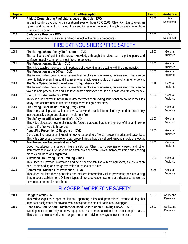| Tape # | <b>Title/Description</b>                                                                                                                                                                                                 | Length | <b>Audience</b> |
|--------|--------------------------------------------------------------------------------------------------------------------------------------------------------------------------------------------------------------------------|--------|-----------------|
| 1914   | Pride & Ownership: A Firefighter's Love of the Job - DVD                                                                                                                                                                 | 31:00  | <b>Fire</b>     |
|        | In this thought-provoking and inspirational session from FDIC 2001, Chief Rick Lasky gives an<br>upfront and honest criticism about the need to reignite the love of the job on every level, from<br>chiefs and on down. |        | Department      |
| 1915   | Surface Ice Rescue - DVD                                                                                                                                                                                                 | 26:00  | <b>Fire</b>     |
|        | With this video learn the safest and most effective Ice rescue procedures.                                                                                                                                               |        | Department      |

#### FIRE EXTINGUISHERS / FIRE SAFETY

<span id="page-18-0"></span>

| 2000 | Fire Extinguishers: Ready To Respond - DVD                                                              | 13:00 | General  |
|------|---------------------------------------------------------------------------------------------------------|-------|----------|
|      | The confidence of gaining the proper knowledge through this video can help the panic and                |       | Audience |
|      | confusion usually common to most fire emergencies.                                                      |       |          |
| 2001 | Fire Prevention and Safety - DVD                                                                        | 17:00 | General  |
|      | This video teach employees the importance of preventing and dealing with fire emergencies.              |       | Audience |
| 2002 | Fire Prevention in the Office - DVD                                                                     | 16:00 | General  |
|      | The training video looks at what causes fires in office environments, reviews steps that can be         |       | Audience |
|      | taken to help prevent fires and discusses what employees should do in case of a fire emergency.         |       |          |
| 2003 | The Safe Operation and Use of Fire Extinguishers - DVD                                                  | 8:00  | General  |
|      | The training video looks at what causes fires in office environments, reviews steps that can be         |       | Audience |
|      | taken to help prevent fires and discusses what employees should do in case of a fire emergency.         |       |          |
| 2004 | Using Fire Extinguishers - DVD                                                                          | 18:00 | General  |
|      | This video look at why things burn, review the types of fire extinguishers that are found in facilities |       | Audience |
|      | today, and discuss how to use fire extinguishers to fight small fires.                                  |       |          |
| 2005 | Fire Extinguisher Basic Training (Ref) - DVD                                                            | 10:00 | General  |
|      | This safety training video will provide viewers with the basic information they need to react safely    |       | Audience |
|      | in a potentially dangerous situation involving a fire                                                   |       |          |
| 2006 | Fire Safety for Office Workers (Ref) - DVD                                                              | 11:00 | General  |
|      | This video discusses how to eliminate the factors that contribute to the ignition of fires and how to   |       | Audience |
|      | respond if a fire were to break out.                                                                    |       |          |
| 2007 | About Fire Prevention & Response - DVD                                                                  | 12:00 | General  |
|      | Correcting fire hazards and knowing how to respond to a fire can prevent injuries and save lives.       |       | Audience |
|      | This video discusses how workers can prevent fires & how they should respond should one occur.          |       |          |
| 2008 | Fire Prevention Responsibilities - DVD                                                                  | 11:00 | General  |
|      | Good housekeeping is another basic safety tip. Check out those janitor closets and other                |       | Audience |
|      | storerooms to make sure there are no flammables or combustibles improperly stored and keeping           |       |          |
|      | areas clean, neat, and organized.                                                                       |       |          |
| 2009 | Advanced Fire Extinguisher Training - DVD                                                               | 19:00 | General  |
|      | This video will provide information and help become familiar with extinguishers, fire prevention        |       | Audience |
|      | and understanding an emergency action in the event of a fire.                                           |       |          |
| 2010 | Commercial Kitchen Fire Prevention - DVD                                                                | 5:00  | General  |
|      | This video outlines these principles and delivers information vital to preventing and containing        |       | Audience |
|      | fires in your establishment. Different types of fire suppression systems are discussed as well as       |       |          |
|      | how to operate and inspect them.                                                                        |       |          |

#### FLAGGER / WORK ZONE SAFETY

<span id="page-18-1"></span>

| 2100 | Flagger Safety - DVD                                                                          | 15:00 | Work Zone |
|------|-----------------------------------------------------------------------------------------------|-------|-----------|
|      | This video explains proper equipment, operating rules and professional attitude during this   |       | Personnel |
|      | important assignment for anyone who is assigned the task of traffic control/flagger.          |       |           |
| 2101 | Road Crew Safety: Safe Practices for Road Construction & Paving Crews - DVD                   | 26:00 | Work Zone |
|      | Working in close proximity to heavy equipment causes more accidents than most people realize. |       | Personnel |
|      | This video examines work zone dangers and offers advice on ways to lower the risks.           |       |           |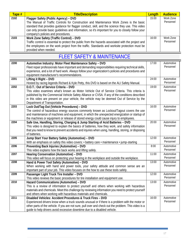| Tape # | <b>Title/Description</b>                                                                            | Length | <b>Audience</b> |
|--------|-----------------------------------------------------------------------------------------------------|--------|-----------------|
| 2102   | Flagger Safety (Public Agency) - DVD                                                                | 15:00  | Work Zone       |
|        | The Manual of Traffic Controls for Construction and Maintenance Work Zones is the basic             |        | Personnel       |
|        | standard that provides quidance for flagger conduct, skill, and the science they use. This video    |        |                 |
|        | can only provide basic quidelines and information, so it's important for you to closely follow your |        |                 |
|        | company's policies and procedures.                                                                  |        |                 |
| 2103   | Work Zone Safety (Traffic Control) - DVD                                                            | 16:00  | Work Zone       |
|        | Traffic control is essential to protect the public from the hazards associated with the project and |        | Personnel       |
|        | the employees on the work project from the traffic. Standards and worksite protection must be       |        |                 |
|        | provided when needed.                                                                               |        |                 |

#### FLEET SAFETY & MAINTENANCE

<span id="page-19-0"></span>

| 2200 | Automotive Industry: Motor Fleet Maintenance Safety - DVD                                             | $\overline{17:00}$ | Automotive |
|------|-------------------------------------------------------------------------------------------------------|--------------------|------------|
|      | Fleet repair professionals have important and demanding responsibilities requiring technical skills,  |                    | Personnel  |
|      | experience, and a lot of hard work. Always follow your organization's policies and procedures and     |                    |            |
|      | equipment manufacturer's recommendations.                                                             |                    |            |
| 2201 | Lifting it Right - DVD                                                                                | 24:00              | Automotive |
|      | Hosted by racing legends Richard & Kyle Petty, this DVD is based on the ALI Safety Manual.            |                    | Personnel  |
| 2202 | D.O.T.: Out of Service Criteria - DVD                                                                 | 19:00              | Automotive |
|      | This video examines what's known as Motor Vehicle Out of Service Criteria. This criteria is           |                    | Personnel  |
|      | published by the Commercial Vehicle Safety Alliance or CVSA. If any of the conditions described       |                    |            |
|      | in this video are present on your vehicle, the vehicle may be deemed Out of Service by the            |                    |            |
|      | Department of Transportation.                                                                         |                    |            |
| 2203 | Lock Out/Tag Out (Vehicle Procedures) - DVD                                                           | 16:00              | Automotive |
|      | The control of hazardous energy sources commonly known as Lockout/Tagout covers the use               |                    | Personnel  |
|      | and maintenance of machines and equipment, in which the unexpected energization or startup of         |                    |            |
|      | the machines or equipment or release of stored energy could cause injury to employees.                |                    |            |
| 2204 | Safe Use, Handling, Storing, Charging & Jump Starting of Acid Batteries - DVD                         | 20:00              | Automotive |
|      | This video is designed to explain the basics of batteries, how they work, and safety information      |                    | Personnel  |
|      | that you need to know to prevent accidents and injuries when using, handling, storing, or disposing   |                    |            |
|      | of batteries.                                                                                         |                    |            |
| 2205 | Jump Start Your Battery Safety (Automotive) - DVD                                                     | 12:00              | Automotive |
|      | With an emphasis on safety this video covers: • battery care • maintenance • jump-starting            |                    | Personnel  |
| 2206 | Preventing Back Injuries (Automotive) - DVD                                                           | 8:00               | Automotive |
|      | This video explains how the back works and lifting safely.                                            |                    | Personnel  |
| 2207 | Hearing Conservation (Automotive) - DVD                                                               | 11:00              | Automotive |
|      | This video will focus on protecting your hearing in the workplace and outside the workplace.          |                    | Personnel  |
| 2208 | Hand & Power Tool Safety (Automotive) - DVD                                                           | 13:00              | Automotive |
|      | When working with hand and power tools, your safety attitude and common sense are an                  |                    | Personnel  |
|      | important part of your job. This video focuses on the how to use these tools safely.                  |                    |            |
| 2209 | Passenger Light Truck Tire Installer - DVD                                                            | 12:00              | Automotive |
|      | This video reviews the basic procedures for tire installation and equipment use.                      |                    | Personnel  |
| 2210 | Hazard Communications (Automotive) - DVD                                                              | 13:00              | Automotive |
|      | This is a review of information to protect yourself and others when working with hazardous            |                    | Personnel  |
|      | materials and chemicals. Meet this challenge by reviewing information you need to protect yourself    |                    |            |
|      | and others when working with hazardous materials and chemicals.                                       |                    |            |
| 2211 | Disabled Vehicles: Accident Procedures & Truck Fires - DVD                                            | 16:00              | Automotive |
|      | Experienced drivers know when a truck sounds unusual or if there is a problem with the motor or       |                    | Personnel  |
|      | other parts of the vehicle. If you are not sure, pull over and check out the problem. This video is a |                    |            |
|      | quide to help drivers avoid excessive downtime due to a disabled vehicle.                             |                    |            |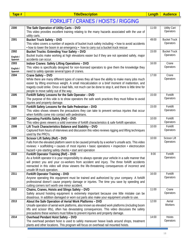| Tape # | <b>Title/Description</b>             | Audience |  |
|--------|--------------------------------------|----------|--|
|        | FORKLIFT / CRANES / HOISTS / RIGGING |          |  |

<span id="page-20-0"></span>

| 2300      | The Safe Operation of Utility Carts - DVD                                                                                                           | 11:00 | <b>Utility Cart</b>   |
|-----------|-----------------------------------------------------------------------------------------------------------------------------------------------------|-------|-----------------------|
|           | This video provides excellent training relating to the many hazards associated with the use of                                                      |       | Operators             |
|           | utility carts.                                                                                                                                      |       |                       |
| 2301      | <b>Bucket Truck Safety - DVD</b>                                                                                                                    | 49:00 | <b>Bucket Truck</b>   |
|           | This video covers a number of aspects of bucket truck safety including: • how to avoid accidents                                                    |       | Operators             |
|           | $\cdot$ how to lower the boom in an emergency $\cdot$ how to carry out a bucket truck rescue                                                        |       |                       |
| 2302      | Bucket Trucks: Extending Your Safety - DVD                                                                                                          | 15:00 | <b>Bucket Truck</b>   |
| English / | Bucket trucks make working at high elevations easier but if they are not operated safely, major                                                     |       | Operators             |
| Spanish   | accidents can occur.                                                                                                                                |       |                       |
| 2303      | <b>Indoor Cranes: Safety Lifting Operations - DVD</b>                                                                                               | 16:00 | Crane                 |
| English / | This video is specifically designed for non-licensed operators to give them the knowledge they                                                      |       | Operators             |
| Spanish   | need to safely operate several types of cranes.                                                                                                     |       |                       |
| 2304      | Crane Safety - DVD                                                                                                                                  | 17:00 | Crane                 |
|           | While there are many different types of cranes they all have the ability to make many jobs much                                                     |       | Operators             |
|           | easier by lifting enormous weight. A small miscalculation or a brief moment of inattention, and                                                     |       |                       |
|           | tragedy could strike. Once a load falls, not much can be done to stop it, and there is little time for                                              |       |                       |
|           | people to move safely out of the way.                                                                                                               |       |                       |
| 2305      | Forklift Safety Lessons for the Safe Operator - DVD                                                                                                 | 15:00 | Forklift<br>Operators |
|           | The purpose of this vide is to show operators the safe work practices they must follow to avoid                                                     |       |                       |
| 2306      | injuries and property damage.<br>Forklift Safety Lessons for the Safe Pedestrian - DVD                                                              | 15:00 | Forklift              |
|           |                                                                                                                                                     |       | Operators             |
|           | This video shows viewers the precautions they can take to prevent serious injuries that occur<br>when forklifts come into contact with pedestrians. |       |                       |
| 2307      | <b>Operating Forklifts Safely (Ref) - DVD</b>                                                                                                       | 10:00 | Forklift              |
|           | This video gives viewers a solid overview of forklift characteristics & safe forklift operation.                                                    |       | Operators             |
| 2308      | Lift Truck Characteristics Balance and Stability - DVD                                                                                              | 10:00 | Forklift              |
|           | Captured from hours of interviews and discussion this video reviews rigging and lifting techniques                                                  |       | Operators             |
|           | used by the PRO's.                                                                                                                                  |       |                       |
| 2309      | Scissor Lift Safety (Ref) - DVD                                                                                                                     | 10:00 | Scissor Lift          |
|           | Falls from the elevated platform seem to be caused primarily by a worker's unsafe acts. This video                                                  |       | Operators             |
|           | reviews: • scaffolding • causes of most injuries • basic operations • inspection • electrocution                                                    |       |                       |
|           | hazard • pre-starting safety checks • start and operation                                                                                           |       |                       |
| 2310      | Forklift Operator Training (Ref) - DVD                                                                                                              | 8:00  | Forklift              |
|           | As a forklift operator it is your responsibility to always operate your vehicle in a safe manner that                                               |       | Operators             |
|           | will protect you and your co-workers from accident and injury. The three forklift accidents                                                         |       |                       |
|           | reenacted in this video will show viewers the life-threatening consequences of incorrect and                                                        |       |                       |
|           | unsafe lift truck operation.                                                                                                                        |       |                       |
| 2311      | Forklift Operator Training - DVD                                                                                                                    | 16:00 | Forklift              |
|           | Anyone operating this equipment must be trained and authorized by your company. A forklift                                                          |       | Operators             |
|           | professional doesn't cause property damage or injuries. The time you save by speeding and                                                           |       |                       |
|           | cutting corners isn't worth one minor accident.                                                                                                     |       |                       |
| 2312      | Chains, Cranes, Hoists and Slings Safety - DVD                                                                                                      | 11:00 | Crane                 |
|           | Safety around hoisting equipment is extremely important because one little mistake can be                                                           |       | Operators             |
|           | disastrous. In addition damaged or worn out parts also make your equipment unsafe to use.                                                           |       |                       |
| 2313      | About the Safe Operation of Aerial Work Platforms - DVD                                                                                             | 12:00 | Aerial<br>Workers     |
|           | Unsafe operation of aerial work platforms, also known as elevated work platforms (including boom                                                    |       |                       |
|           | lifts and scissor lifts), often has devastating consequences. This video discusses the safety                                                       |       |                       |
| 2314      | precautions these workers must follow to prevent injuries and property damage.<br>Overhead Pendant Hoist Safety - DVD                               | 14:00 | <b>Hoists</b>         |
|           | The overhead pendant hoist is used to safely maneuver heave loads around shops, treatment                                                           |       | Operators             |
|           | plants and other locations. This program will focus on overhead rail mounted hoists.                                                                |       |                       |

 $\mathbb{R}$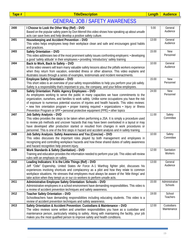<span id="page-21-0"></span>

#### GENERAL JOB / SAFETY AWARENESS

| 2400 | I Choose to Look the Other Way (Ref) - DVD<br>Based on the popular safety poem by Don Merrell this video shows how speaking up about unsafe<br>acts can save lives and help develop a positive safety culture.                                                                                                                                                                                                                                                                                                                      | 5:00  | General<br>Audience       |
|------|-------------------------------------------------------------------------------------------------------------------------------------------------------------------------------------------------------------------------------------------------------------------------------------------------------------------------------------------------------------------------------------------------------------------------------------------------------------------------------------------------------------------------------------|-------|---------------------------|
| 2401 | Housekeeping and Accident Prevention - DVD<br>This video helps employees keep their workplace clean and safe and encourages good habits<br>and practices.                                                                                                                                                                                                                                                                                                                                                                           | 13:00 | General<br>Audience       |
| 2403 | Safety Orientation - DVD<br>This video addresses two of the most prominent safety issues confronting employers: • developing<br>a good 'safety attitude' in their employees • providing 'introductory' safety training                                                                                                                                                                                                                                                                                                              | 15:00 | New<br>Personnel          |
| 2404 | Back to Work, Back to Safety - DVD<br>In this video viewers will learn many valuable safety lessons about the pitfalls workers experience<br>when they return from vacation, extended illness or other absence. This video explains and<br>illustrates issues through a series of examples, testimonials and incident reenactments.                                                                                                                                                                                                 | 10:00 | General<br>Audience       |
| 2405 | <b>Employee Safety Orientation - DVD</b><br>This short video is an overview of your safety responsibilities to help you perform your job safely.<br>Safety is a responsibility that's important to you, the company, and your fellow employees.                                                                                                                                                                                                                                                                                     | 15:00 | <b>New</b><br>Personnel   |
| 2406 | Safety Orientation: Public Agency Employees - DVD<br>As employees working to serve the public in many capacities we have commitments to the<br>organization, ourselves, and families to work safely. Unlike some occupations you have the risk<br>of exposure to numerous potential sources of injuries and health hazards. This video reviews:<br>• new hire orientation program • proper training required • organizations • Injury or Illness<br>Prevention Program or IIPP · personal protective equipment (PPE) · other topics | 24:00 | <b>New</b><br>Personnel   |
| 2407 | <b>Job Safety Analysis - DVD</b><br>This video provides the steps to be taken when performing a JSA. It is simply a procedure used<br>to review job methods and uncover hazards that may have been overlooked in a layout or may<br>have developed after production started or resulted from changes in work procedures or<br>personnel. This is one of the first steps in hazard and accident analysis and in safety training.                                                                                                     | 11:00 | Safety<br>Committee       |
| 2408 | Job Safety Analysis: Safety Awareness and You (Concise) - DVD<br>This video discusses the important roles played by both management and employees in<br>recognizing and controlling workplace hazards and how these shared duties of safety awareness<br>and hazard recognition help prevent injury.                                                                                                                                                                                                                                | 10:00 | Safety<br>Committee       |
| 2409 | Work Standards & Safety (Sanitation) - DVD<br>Training and education provides the information needed to perform your job. This video will review<br>rules with an emphasis on safety.                                                                                                                                                                                                                                                                                                                                               | 12:00 | Sanitation<br>Workers     |
| 2410 | Leading Indicators: It is the Little Things (Ref) - DVD<br>Jeff "Odie" Espenship, United States Air Force A-1 Warthog fighter pilot, discusses his<br>experiences involving shortcuts and complacency as a pilot and how they relate to common<br>workplace situations. He stresses that employees must always be aware of the 'little things' and<br>take action when they tempt us or our co-workers to perform unsafe acts.                                                                                                      | 13:00 | General<br>Audience       |
| 2411 | Administrative Employee Safety Orientation: Schools - DVD<br>Administrative employees in a school environment have demanding responsibilities. This video is<br>a review of accident prevention techniques and safety awareness.                                                                                                                                                                                                                                                                                                    | 15:00 | Administrative<br>Schools |
| 2412 | Teacher Safety Orientation - DVD<br>Schoolteachers have demanding responsibilities including educating students. This video is a<br>review of accident prevention techniques and safety awareness.                                                                                                                                                                                                                                                                                                                                  | 19:00 | School<br>Teachers        |
| 2413 | Safety Orientation & Accident Prevention: Custodians & Maintenance - DVD<br>The video reviews some written and unwritten responsibilities you have as a custodian and<br>maintenance person, particularly relating to safety. Along with maintaining the facility, your job<br>makes you the most qualified person to improve safety and health conditions.                                                                                                                                                                         | 12:00 | Custodians<br>Maintenance |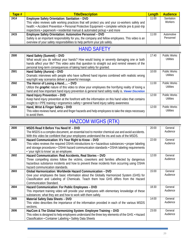| Tape # | <b>Title/Description</b>                                                                          | Length | <b>Audience</b> |
|--------|---------------------------------------------------------------------------------------------------|--------|-----------------|
| 2414   | Employee Safety Orientation: Sanitation - DVD                                                     | 11:00  | Sanitation      |
|        | This video reviews safe working practices that will protect you and your co-workers safety and    |        | Workers         |
|        | health: • Accident Prevention • Personal Protective Equipment • complete vehicle pre & post-trip  |        |                 |
|        | inspections • paperwork • residential manual & automated pickup • and more                        |        |                 |
| 2415   | Employee Safety Orientation: Automotive Personnel - DVD                                           | 11:00  | Automotive      |
|        | Safety is an important responsibility for you, the company and fellow employees. This video is an |        | Personnel       |
|        | overview of your safety responsibilities to help perform your job safely.                         |        |                 |

## HAND SAFETY

<span id="page-22-0"></span>

| 2500 | Hand Safety (Summit) - DVD<br>What would you do without your hands? How would losing or severely damaging one or both                                                                                                                              | 17:40 | <b>Public Works</b><br>Utilities |
|------|----------------------------------------------------------------------------------------------------------------------------------------------------------------------------------------------------------------------------------------------------|-------|----------------------------------|
|      | hands affect your life? This video asks that question to straight out and remind viewers of the<br>personal long-term consequences of taking hand safety for granted.                                                                              |       |                                  |
| 2501 | Hand Safety (Aurora) - DVD                                                                                                                                                                                                                         | 10:00 | <b>Public Works</b>              |
|      | Dramatic interviews with people who have suffered hand injuries combined with realistic wrong<br>way/right way scenarios deliver a powerful message.                                                                                               |       | Utilities                        |
| 2502 | The Horror of Losing a Hand - DVD<br>Utilize the <i>graphic</i> nature of this video to show your employees the horrifying reality of losing a<br>hand and how important hand injury prevention & general hand safety really is. Viewer Discretion | 11:00 | <b>Public Works</b><br>Utilities |
| 2503 | Hand Injury Prevention - DVD<br>Keep hand injury prevention at the forefront with the information on this hand video that contains<br>insight to . PPE training . ergonomics safety . general hand injury safety awareness                         | 12:00 | <b>Public Works</b><br>Utilities |
| 2504 | Hand, Wrist & Finger Safety - DVD<br>This video reviews hand, wrist and finger hazards and help employees to take the steps necessary<br>to avoid them.                                                                                            | 12:00 | <b>Public Works</b><br>Utilities |

## HAZCOM W/GHS (RTK)

<span id="page-22-1"></span>

| 2600 | MSDS Read It Before You Need It! - DVD                                                          | 20:00 | General  |
|------|-------------------------------------------------------------------------------------------------|-------|----------|
|      | The MSDS is a complex document, an essential tool to monitor chemical use and avoid accidents.  |       | Audience |
|      | With this video be confident that your employees understand the ins and outs of the MSDS.       |       |          |
| 2601 | Hazard Communication: It's Your Right to Know - DVD                                             | 22:00 | General  |
|      | This video reviews the required OSHA introductions to • hazardous substances • proper labeling  |       | Audience |
|      | and storage procedures • OSHA hazard communication standards • OSHA labeling requirements       |       |          |
|      | • 'your right to know' as an employee.                                                          |       |          |
| 2602 | Hazard Communication: Real Accidents, Real Stories - DVD                                        | 12:00 | General  |
|      | Three compelling stories follow the victims, coworkers and families affected by dangerous       |       | Audience |
|      | hazardous substance incidents and how to prevent these incidents from occurring using OSHA      |       |          |
|      | hazard communication standards.                                                                 |       |          |
| 2603 | Global Harmonization: Worldwide Hazard Communication - DVD                                      | 15:00 | General  |
|      | Give your employees the basic information about the Globally Harmonized System (GHS) for        |       | Audience |
|      | Classification and Labeling of Chemicals. Teach them how GHS differs from the Hazard            |       |          |
|      | <b>Communication Standard.</b>                                                                  |       |          |
| 2604 | Hazard Communication: For Public Employees - DVD                                                | 18:30 | General  |
|      | This important training video will provide your employees with elementary knowledge of these    |       | Audience |
|      | substances: what they are and how to work with them safely.                                     |       |          |
| 2605 | Material Safety Data Sheets - DVD                                                               | 14:00 | General  |
|      | This video describes the importance of the information provided in each of the various MSDS     |       | Audience |
|      | sections.                                                                                       |       |          |
| 2606 | HazCom & The Global Harmonizing System: Employee Training - DVD                                 | 23:00 | General  |
|      | This video is designed to help employees understand the three key elements of the GHS: • Hazard |       | Audience |
|      | Classification • Container Labeling • Safety Data Sheets                                        |       |          |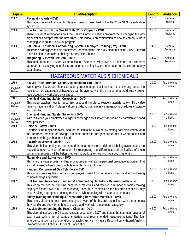| Tape # | <b>Title/Description</b>                                                                        | Length | <b>Audience</b> |
|--------|-------------------------------------------------------------------------------------------------|--------|-----------------|
| 2607   | <b>Physical Hazards - DVD</b>                                                                   | 12:00  | General         |
|        | This video reviews this specific class of hazards described in the HazCom GHS classification    |        | Audience        |
|        | system.                                                                                         |        |                 |
| 2608   | How to Comply with the New GHS HazCom Program - DVD                                             | 15:00  | General         |
|        | There is a lot of information about the Hazard Communications program that's changing the way   |        | Audience        |
|        | organizations comply with the new rules. This video is an explanation of how to comply without  |        |                 |
|        | changing your entire HAZCOM program.                                                            |        |                 |
| 2609   | HazCom & The Global Harmonizing System: Employee Training (Ref) - DVD                           | 14:00  | General         |
|        | This video is designed to help employees understand the three key elements of the GHS: • Hazard |        | Audience        |
|        | Classification • Container Labeling • Safety Data Sheets                                        |        |                 |
| 2610   | Integrating GHS with HazCom - DVD                                                               | 18:00  | General         |
|        | This update to the Hazard Communication Standard will provide a common and coherent             |        | Audience        |
|        | approach to classifying chemicals and communicating hazard information on labels and safety     |        |                 |
|        | data sheets.                                                                                    |        |                 |

### HAZARDOUS MATERIALS & CHEMICALS

<span id="page-23-0"></span>

| 2700      | HazMat Transportation: Security Depends on You - DVD                                                                                                                                           | 20:00 | Public Works                            |
|-----------|------------------------------------------------------------------------------------------------------------------------------------------------------------------------------------------------|-------|-----------------------------------------|
| English / | Working with hazardous chemicals is dangerous enough, but if they fall into the wrong hands, the                                                                                               |       | <b>Utilities</b>                        |
| Spanish   | results can be catastrophic! Tragedies can be averted with the simplest of procedures: • proper                                                                                                |       |                                         |
|           | recordkeeping • workplace awareness                                                                                                                                                            |       |                                         |
| 2701      | Chemical Handling Safety: Corrosives - DVD                                                                                                                                                     | 16:00 | <b>Public Works</b>                     |
| English / | This video teaches how to recognize, use, and handle corrosive materials safely. This video                                                                                                    |       | <b>Utilities</b>                        |
| Spanish   | reviews: • identification & classification • solids, liquids, gases • emergency procedures • storage                                                                                           |       |                                         |
|           | and handling                                                                                                                                                                                   |       |                                         |
| 2702      | <b>Chemical Handling Safety: Solvents - DVD</b>                                                                                                                                                | 16:00 | <b>Public Works</b>                     |
| English / | With this video your employees will gain knowledge about solvents including preparation and good                                                                                               |       | <b>Utilities</b>                        |
| Spanish   | work practices.                                                                                                                                                                                |       |                                         |
| 2703      | Chlorine Safety - DVD                                                                                                                                                                          | 19:00 | <b>Public Works</b><br><b>Utilities</b> |
|           | Chlorine is the major chemical used for the sanitation of water, swimming pool disinfection, or in                                                                                             |       |                                         |
|           | the treatment process of sewage. Chlorine comes in the gaseous form but when cooled and                                                                                                        |       |                                         |
| 2704      | compressed the gas becomes liquid.                                                                                                                                                             | 22:00 | <b>Public Works</b>                     |
|           | <b>Hazardous Material Labels - DVD</b>                                                                                                                                                         |       | <b>Utilities</b>                        |
|           | This video helps employees understand the characteristics of different labeling systems and the<br>ways that each convey information. By recognizing the differences and similarities of these |       |                                         |
|           | systems employees will be better prepared to work safely around hazardous materials.                                                                                                           |       |                                         |
| 2705      | Flammable and Explosives - DVD                                                                                                                                                                 | 11:00 | <b>Public Works</b>                     |
|           | This video reviews proper handling procedures as well as the personal protective equipment that                                                                                                |       | <b>Utilities</b>                        |
|           | should be used when working with flammables and explosives.                                                                                                                                    |       |                                         |
| 2706      | Handling Compressed Gas Cylinders - DVD                                                                                                                                                        | 11:00 | <b>Public Works</b>                     |
|           | This video provides the information employees need to work safely when handling and using                                                                                                      |       | <b>Utilities</b>                        |
|           | compressed gas cylinders.                                                                                                                                                                      |       |                                         |
| 2707      | DOT General Awareness: Handling & Transporting Hazardous Materials Safely - DVD                                                                                                                | 18:00 | <b>Public Works</b>                     |
|           | This video focuses on handling hazardous materials and reviews a number of topics making                                                                                                       |       | <b>Utilities</b>                        |
|           | employees more aware of: • encountering hazardous chemicals • the hazards chemicals may                                                                                                        |       |                                         |
|           | have • taking appropriate security measures when dealing with hazardous materials                                                                                                              |       |                                         |
| 2708      | Safety Training for Handling & Transporting Hazardous Materials - DVD                                                                                                                          | 18:00 | <b>Public Works</b>                     |
|           | This safety video can help make employees aware of the hazards associated with the materials                                                                                                   |       | <b>Utilities</b>                        |
|           | they handle and show them how to secure and work with these materials safely.                                                                                                                  |       |                                         |
| 2709      | HazMat: Understanding the Hazard Classes - DVD                                                                                                                                                 | 43:00 | Public Works                            |
|           | This video describes the 9 hazard classes used by the DOT and states the common hazards of                                                                                                     |       | <b>Utilities</b>                        |
|           | each class with a list of sample materials and recommended response actions. The four                                                                                                          |       |                                         |
|           | emergency response considerations for each class are: • Hazard Recognition • Hazard Analysis                                                                                                   |       |                                         |
|           | • Recommended Actions • Incident Stabilization                                                                                                                                                 |       |                                         |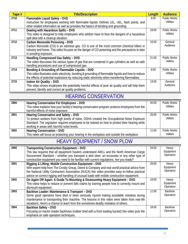| Tape # | <b>Title/Description</b>                                                                              | Length | <b>Audience</b>     |
|--------|-------------------------------------------------------------------------------------------------------|--------|---------------------|
| 2710   | Flammable Liquid Safety - DVD                                                                         | 8:00   | Public Works        |
|        | Instruction for employees working with flammable liquids. Defines LEL, UEL, flash points, and         |        | <b>Utilities</b>    |
|        | other related information as well as provides the basics of bonding and grounding.                    |        |                     |
| 2711   | Dealing with Hazardous Spills - DVD                                                                   | 23:00  | Public Works        |
|        | This video is designed to help employees who seldom have to face the dangers of a hazardous           |        | Utilities           |
|        | spill deal with a cleanup situation.                                                                  |        |                     |
| 2712   | Carbon Monoxide Poisoning - DVD                                                                       | 10:00  | General             |
|        | Carbon Monoxide (CO) is an odorless gas. CO is one of the most common chemical killers in             |        | Audience            |
|        | industry and home. This video focuses on the danger of CO poisoning and the precautions to take       |        |                     |
|        | in avoiding exposure.                                                                                 |        |                     |
| 2713   | Handling Compressed Gas Safely - DVD                                                                  | 21:00  | <b>Public Works</b> |
|        | The video discusses the various types of gas that are contained in gas cylinders as well as safe      |        | Utilities           |
|        | handling procedures and use of compressed gas.                                                        |        |                     |
| 2714   | Bonding & Grounding of Flammable Liquids - DVD                                                        | 9:00   | Public Works        |
|        | This video illustrates static electricity, bonding & grounding of flammable liquids and how to reduce |        | <b>Utilities</b>    |
|        | the effects of potential explosions by reducing static electricity when transferring flammables.      |        |                     |
| 2715   | <b>Indoor Air Quality - DVD</b>                                                                       | 13:00  | General             |
|        | This video shows employees the potentially harmful effects of poor air quality and will help them     |        | Audience            |
|        | prevent, identify and correct air quality problems.                                                   |        |                     |

## <span id="page-24-1"></span>HEARING CONSERVATION

<span id="page-24-0"></span>

| 2800 | Hearing Conservation For Employees - DVD<br>This video explains how your facility's hearing conservation program protects employees from the<br>harmful effects of noise exposure.                                                                                                    | 20:00 | <b>Public Works</b><br>Utilities |
|------|---------------------------------------------------------------------------------------------------------------------------------------------------------------------------------------------------------------------------------------------------------------------------------------|-------|----------------------------------|
| 2801 | Hearing Conservation and Safety - DVD<br>To protect workers from high levels of noise, OSHA created the Occupational Noise Exposure<br>Standard. The regulation requires employees to be trained on how to protect their hearing while<br>working in areas with harmful noise levels. | 25:00 | Public Works<br>Utilities        |
| 2802 | Hearing Conservation - DVD<br>This video will focus on protecting your hearing in the workplace and outside the workplace.                                                                                                                                                            | 11:00 | Public Works<br>Utilities        |

#### HEAVY EQUIPMENT / SNOW PLOW

| 2900 | <b>Transporting Construction Equipment - DVD</b><br>This law requires that all equipment haulers understand AWLL and the North American Cargo<br>Securement Standard – whether you transport a skid steer, an excavator or any other type of<br>construction equipment you need to be familiar with current regulations. Are you ready?                   | 34:00 | Heavy<br>Equipment<br>Operators |
|------|-----------------------------------------------------------------------------------------------------------------------------------------------------------------------------------------------------------------------------------------------------------------------------------------------------------------------------------------------------------|-------|---------------------------------|
| 2901 | Rigging & Lifting: Mobile Construction Equipment - DVD<br>With expert help from The Crosby Group, Deere & Company and real-world practical advice from<br>the National Utility Contractors Association (NUCA) this video provides easy-to-follow practical<br>advice on correct rigging and handling of unusual loads with mobile construction equipment. | 29:00 | Heavy<br>Equipment<br>Operators |
| 2902 | On Again Off Again: A Guide To Mounting & Dismounting Heavy Equipment - DVD<br>This video helps to reduce or prevent falls claims by training people how to correctly mount and<br>dismount equipment.                                                                                                                                                    | 18:00 | Heavy<br>Equipment<br>Operators |
| 2903 | Backhoe Loader: Maintenance & Transport - DVD<br>Some good operators have died or been seriously injured making avoidable mistakes during<br>maintenance or transporting their machine. The lessons in this video were taken from real-life<br>situations. Here's a chance to learn from the sometimes deadly mistakes of others.                         | 11:00 | Backhoe<br>Operators            |
| 2904 | <b>Backhoe Safety - DVD</b><br>Focusing on tractor-loader backhoes (rubber tired with a front loading bucket) this video puts the<br>emphasis on safe operation techniques.                                                                                                                                                                               | 18:00 | Backhoe<br>Operators            |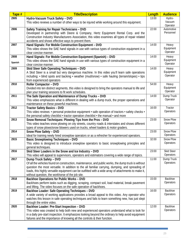| Tape #  | <b>Title/Description</b>                                                                                                                                                                  | Length | <b>Audience</b>         |
|---------|-------------------------------------------------------------------------------------------------------------------------------------------------------------------------------------------|--------|-------------------------|
| 2905    | Hydro-Vacuum Truck Safety - DVD                                                                                                                                                           | 13:00  | Hydro-                  |
|         | This video reviews a number of other ways to be injured while working around this equipment.                                                                                              |        | Vacuum                  |
|         |                                                                                                                                                                                           |        | Operator                |
| 2906    | Safety Training for Repair Technicians - DVD                                                                                                                                              | 22:00  | Automotive<br>Personnel |
|         | Developed in partnership with Deere & Company, Hertz Equipment Rental Corp. and the                                                                                                       |        |                         |
|         | Construction Industry Manufacturers Association, this video examines all types of repair related<br>accidents and shows effective ways to prevent them.                                   |        |                         |
| 2907    | Hand Signals: For Mobile Construction Equipment - DVD                                                                                                                                     | 14:00  | Heavy                   |
|         | This video shows the SAE hand signals in use with various types of construction equipment in a                                                                                            |        | Equipment               |
|         | clear concise manner.                                                                                                                                                                     |        | Operator                |
| 2908    | Hand Signals: For Mobile Construction Equipment (Spanish) - DVD                                                                                                                           | 14:00  | Heavy                   |
|         | This video shows the SAE hand signals in use with various types of construction equipment in a                                                                                            |        | Equipment               |
| Spanish | clear concise manner.                                                                                                                                                                     |        | Operator                |
| 2909    | Skid Steer Safe Operating Techniques - DVD                                                                                                                                                | 14:00  | Heavy                   |
|         | A Skid Steer is a small but very dangerous machine. In this video you'll learn safe operations                                                                                            |        | Equipment               |
|         | including: • blind spots and backing • weather (mud/snow) • safe hauling (terrain/slopes) • tips                                                                                          |        | Operator                |
|         | from experienced operators                                                                                                                                                                |        |                         |
| 2910    | Roller Compactor - DVD                                                                                                                                                                    | 54:00  | Heavy                   |
|         | Divided into ten distinct segments, this video is designed to bring the operators manual to life and                                                                                      |        | Equipment<br>Operator   |
|         | plan your training sessions to fit work schedules.                                                                                                                                        |        |                         |
| 2911    | The Safe Operation and Maintenance of Dump Trucks - DVD                                                                                                                                   | 14:00  | Dump Truck              |
|         | This video emphasizes what is different in dealing with a dump truck, the proper operations and                                                                                           |        | Operator                |
|         | maintenance on these powerful machines.                                                                                                                                                   |        |                         |
| 2912    | <b>Tractor Safety Basics - DVD</b>                                                                                                                                                        | 16:00  | Tractor<br>Operators    |
|         | This video reviews: • personal protective equipment • safe operation of tractors • safety checks •<br>the personal safety checklist • tractor operation checklist • the manual • and more |        |                         |
| 2913    | Snow Removal Techniques: Plowing Tips from the Pros - DVD                                                                                                                                 | 23:00  | <b>Snow Plow</b>        |
|         | This video teaches snow plowing on city streets, country roads & interstates and shows different                                                                                          |        | Operators               |
|         | types of snow plows/snow blowers used on trucks, wheel loaders & motor graders.                                                                                                           |        |                         |
| 2914    | Snow Plow Safety - DVD                                                                                                                                                                    | 23:00  | <b>Snow Plow</b>        |
|         | Ideal for training newly hired snowplow operators or as a refresher for experienced operators.                                                                                            |        | Operators               |
| 2915    | <b>Basic Snowplowing Techniques - DVD</b>                                                                                                                                                 | 32:00  | <b>Snow Plow</b>        |
|         | This video is designed to introduce snowplow operators to basic snowplowing principles and                                                                                                |        | Operators               |
|         | general techniques.                                                                                                                                                                       |        |                         |
| 2916    | Skid Steer Loaders in the Snow and Ice Industry - DVD                                                                                                                                     | 23:00  | <b>Skid Steer</b>       |
|         | This video will appeal to supervisors, operators and estimators covering a wide range of topics.                                                                                          |        | Operators               |
| 2917    | Dump Truck Safety - DVD                                                                                                                                                                   | 11:00  | Dump Truck              |
|         | Of all the vehicles found on construction, maintenance, and public works, the dump truck is without                                                                                       |        | Operators               |
|         | question the most versatile. In addition to the all familiar carrying, dumping, and spreading of                                                                                          |        |                         |
|         | loads, this highly versatile equipment can be outfitted with a wide array of attachments to make it,                                                                                      |        |                         |
|         | without question, the workhorse of the job site.                                                                                                                                          |        | Backhoe                 |
| 2918    | Backhoe Operations for Public Works - DVD                                                                                                                                                 | 15:00  | Operators               |
|         | Backhoes perform tasks such as digging, scraping, compact soil, load material, break pavement                                                                                             |        |                         |
| 2919    | and lifting. The video focuses on the safe operation of backhoes.<br>Backhoe Loader: Safe Operating Techniques - DVD                                                                      | 16:00  | <b>Backhoe</b>          |
|         | A wide variety of working applications provides a broad appeal to this video. Any operator who                                                                                            |        | Operators               |
|         | watches this lesson in safe operating techniques and fails to learn something new, has just slept                                                                                         |        |                         |
|         | through the entire video.                                                                                                                                                                 |        |                         |
| 2920    | Backhoe Loader: Pre-Start Inspection - DVD                                                                                                                                                | 12:00  | Backhoe                 |
|         | This video was created to help both new and experienced operators understand what to look for                                                                                             |        | Operators               |
|         | in a daily pre-start inspection. It emphasizes looking beyond the ordinary to help avoid equipment                                                                                        |        |                         |
|         | failures and the importance of knowing all the controls & their function.                                                                                                                 |        |                         |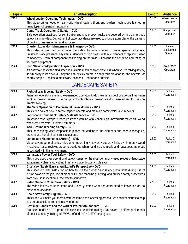<span id="page-26-0"></span>

| Tape# | <b>Title/Description</b>                                                                                                                                                                                                                                                                                                                                                      | Length | <b>Audience</b>                |
|-------|-------------------------------------------------------------------------------------------------------------------------------------------------------------------------------------------------------------------------------------------------------------------------------------------------------------------------------------------------------------------------------|--------|--------------------------------|
| 2921  | Wheel Loader Operating Techniques - DVD                                                                                                                                                                                                                                                                                                                                       | 21:00  | Wheel Loader                   |
|       | This video brings together real-world wheel loaders (front-end loaders) techniques learned in                                                                                                                                                                                                                                                                                 |        | Operator                       |
|       | many types of operating situations.                                                                                                                                                                                                                                                                                                                                           |        |                                |
| 2922  | Dump Truck Operation & Safety - DVD<br>Safe operation practices for semi-trailer and single body trucks are covered by this dump truck<br>safety training video. Department of Labor accidents are used to provide examples of the dangers<br>of backing, uneven terrain and tip-overs.                                                                                       | 13:00  | Dump Truck<br>Operator         |
| 2923  | Crawler Excavator: Maintenance & Transport - DVD<br>This video is designed to address the safety hazards inherent in these specialized areas:<br>• relieving static pressure in systems • dangers of high pressure leaks • dangers of replacing wear<br>components • correct component positioning on the trailer • knowing the condition and rating of<br>tie-down equipment | 15:00  | Heavy<br>Equipment<br>Operator |
| 2924  | Skid Steer: Pre-Operation Inspection - DVD<br>It's easy to classify the skid steer as a simple machine to operate. But when you're talking safety,<br>its simplicity is its downfall. Anyone can quickly create a dangerous situation for the operator or<br>nearby people. Applies to most work locations - indoor and outside.                                              | 12:00  | <b>Skid Steer</b><br>Operators |

#### LANDSCAPE SAFETY

| 3000 | Right of Way Mowing Safety - DVD                                                                 | 25:00 | Parks &    |
|------|--------------------------------------------------------------------------------------------------|-------|------------|
|      | Train new operators & remind experienced operators to do pre-start inspections before they begin |       | Recreation |
|      | another mowing season. The dangers of right-of-way mowing are documented and focuses on          |       |            |
|      | <b>Tractor Mowing.</b>                                                                           |       |            |
| 3001 | The Safe Operation of Commercial Lawn Mowers - DVD                                               | 12:00 | Parks &    |
|      | This video covers how to safely inspect, operate and maintain commercial lawn mowers.            |       | Recreation |
| 3002 | Landscape Equipment: Safety & Maintenance - DVD                                                  | 15:00 | Parks &    |
|      | This video covers proper procedures when working with: • chemicals • hazardous materials • weed  |       | Recreation |
|      | whackers • mowers • cutters • trimmers                                                           |       |            |
| 3003 | WSI: Groundskeeping Safety - DVD                                                                 | 19:00 | Parks &    |
|      | This landscaping video emphasis is placed on working in the elements and how to recognize,       |       | Recreation |
|      | prevent and handle heat stress situations.                                                       |       |            |
| 3004 | Landscape Maintenance (Aurora) - DVD                                                             | 14:00 | Parks &    |
|      | Video covers general safety rules when operating • mowers • cutters • knives • trimmers • weed   |       | Recreation |
|      | whackers. It also reviews proper procedures when handling chemicals and hazardous materials      |       |            |
|      | associated with this environment.                                                                |       |            |
| 3005 | Landscape Power Tool Safety - DVD                                                                | 22:00 | Parks &    |
|      | This video goes over operational safety issues for the most commonly used pieces of landscape    |       | Recreation |
|      | equipment: • chain saw • string trimmer • power blower • pole saw                                |       |            |
| 3006 | Chainsaw Safety Basics: An Expert's Perspective - DVD                                            | 14:00 | Parks &    |
|      | This video includes instruction on how to use the proper daily safety precautions during use of  |       | Recreation |
|      | cut-off saws on the job, use of proper PPE and machine guarding, and outlines safety procedures  |       |            |
|      | from pre-use inspection all the way to shut down.                                                |       |            |
| 3007 | Video Guide to Chain Saw Safety - DVD                                                            | 27:00 | Parks &    |
|      | The video is easy to understand and it clearly states what operators need to know in order to    |       | Recreation |
|      | prevent an accident.                                                                             |       |            |
| 3008 | Chain Saw Safety (Digital) - DVD                                                                 | 11:00 | Parks &    |
|      | This video will make you more aware of some basic operating procedures and techniques to help    |       | Recreation |
|      | you be an accident free chain saw operator.                                                      |       |            |
| 3009 | Pesticide Handlers and the Worker Protection Standard - DVD                                      | 50:00 | Parks &    |
|      | Produced under an EPA grant, this excellent pesticide training DVD covers 16 different elements  |       | Recreation |
|      | of pesticide safety training for WPS-defined "HANDLER" employees.                                |       |            |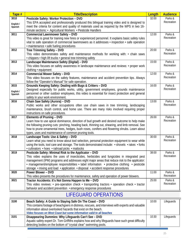<span id="page-27-0"></span>

| Tape #               | <b>Title/Description</b>                                                                                                                   | Length             | <b>Audience</b>       |
|----------------------|--------------------------------------------------------------------------------------------------------------------------------------------|--------------------|-----------------------|
| 3010                 | Pesticide Safety: Worker Protection - DVD                                                                                                  | 32:00              | Parks &               |
| English /            | This EPA accepted and professionally produced this bilingual training video and is designed to                                             |                    | Recreation            |
| Spanish              | meet the criteria for content and quality of materials used as required by the WPS in two 16-                                              |                    |                       |
|                      | minute sections: • Agricultural Workers • Pesticide Handlers                                                                               |                    |                       |
| 3011                 | <b>Commercial Lawnmower Safety - DVD</b>                                                                                                   | 12:00              | Parks &               |
|                      | This video is great for training new hires or experienced personnel. It explains basic safety rules                                        |                    | Recreation            |
|                      | vital to safe operation of commercial lawnmowers as it addresses • inspection • safe operation                                             |                    |                       |
|                      | · maintenance · safe fueling procedures                                                                                                    |                    |                       |
| 3012                 | Tree Trimming Safety - DVD                                                                                                                 | 20:00              | Parks &<br>Recreation |
|                      | This video demonstrates safety and maintenance methods for working with: $\cdot$ chain saws                                                |                    |                       |
| 3013                 | . chippers · high lift trucks · general tree trimming safety                                                                               | 15:00              | Parks &               |
|                      | Landscape Maintenance Safety (Digital) - DVD<br>This video focuses on safety awareness in landscape maintenance and reviews: • proper work |                    | Recreation            |
|                      | clothing · equipment                                                                                                                       |                    |                       |
| 3014                 | <b>Commercial Mower Safety - DVD</b>                                                                                                       | 12:00              | Parks &               |
|                      | This video focuses on the safety features, maintenance and accident prevention tips. Always                                                |                    | Recreation            |
|                      | follow the "Operator's Manual" for safe operation.                                                                                         |                    |                       |
| 3015                 | Grounds Keeping Safety: Dealing with Bugs & Critters - DVD                                                                                 | $\overline{16:00}$ | Parks &               |
|                      | Designed especially for public works, utility, government employees, grounds maintenance                                                   |                    | Recreation            |
| English /<br>Spanish | personnel or other outdoor employees, this video is essential for insect protection and general                                            |                    |                       |
|                      | safety in your work environment.                                                                                                           |                    |                       |
| 3016                 | Chain Saw Safety (Aurora) - DVD                                                                                                            | 13:00              | Parks &               |
|                      | Public works and other occupations often use chain saws in tree trimming, landscaping                                                      |                    | Recreation            |
|                      | maintenance, brush control, and home use. There are many risks involved requiring proper                                                   |                    |                       |
|                      | instructions on safe procedures.                                                                                                           |                    |                       |
| 3017                 | Elements of Pruning - DVD                                                                                                                  | 26:00              | Parks &               |
|                      | Learn how to use apical dominance, direction of bud growth and desired outcome to help make                                                |                    | Recreation            |
|                      | the following pruning cuts: pinching, heading back, thinning out, shearing, and limb removal. See                                          |                    |                       |
|                      | how to prune ornamental trees, hedges, bush roses, conifers and flowering shrubs. Learn about                                              |                    |                       |
| 3018                 | types, uses and maintenance of common pruning tools.<br>Landscape Tools: Use & Safety - DVD                                                | 30:00              | Parks &               |
|                      | Learn what you need to know about tool selection, personal protection equipment to wear while                                              |                    | Recreation            |
|                      | using the tools, tool care and storage. The tools demonstrated include: • shovels • rakes • forks                                          |                    |                       |
|                      | • cultivators • hoes • railroad picks • mattocks                                                                                           |                    |                       |
| 3019                 | Pesticide Safety: Minimal Risk to the Applicator - DVD                                                                                     | 38:00              | Parks &               |
|                      | This video explains the uses of insecticides, herbicides and fungicides in integrated pest                                                 |                    | Recreation            |
|                      | management (IPM) programs and addresses eight major areas that reduce risk to the applicator:                                              |                    |                       |
|                      | . management/employee responsibilities · label information · protective clothing · pesticide                                               |                    |                       |
|                      | storage · mixing and load · application · disposal · accident response procedures                                                          |                    |                       |
| 3020                 | Power Blower - DVD                                                                                                                         | 11:00              | Parks &               |
|                      | This video presents the procedures for maintenance, safety and operation of power blowers.                                                 |                    | Recreation            |
| 3021                 | Tractor Accidents: It's Not Gonna Happen to Me - DVD                                                                                       | 25:00              | Parks &               |
|                      | This video reviews: • pre-operation check • transporting tractors • operation check • tractor                                              |                    | Recreation            |
|                      | behavior and accident prevention • emergency response procedures                                                                           |                    |                       |

#### LIFEGUARD OPERATIONS

| 3100 | Beach Safety: A Guide to Staying Safe On The Coast - DVD                                           | 10:00 | Lifeguards |
|------|----------------------------------------------------------------------------------------------------|-------|------------|
|      | This contains footage of beachgoers in distress, rescues, and interviews with experts and valuable |       |            |
|      | information about overlooked hazards that exist on the beach.                                      |       |            |
|      | Video focuses on West Coast but some information valid to all beaches                              |       |            |
| 3101 | Disappearing Dummies: Why Lifeguards Can't See - DVD                                               | 10:30 | Lifeguards |
|      | Aquatic safety expert Dr. Tom Griffiths explains how and why lifeguards have such great difficulty |       |            |
|      | detecting bodies on the bottom of "crystal clear" swimming pools.                                  |       |            |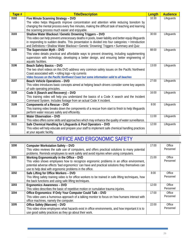<span id="page-28-0"></span>

| Tape # | <b>Title/Description</b>                                                                             | Length | <b>Audience</b> |
|--------|------------------------------------------------------------------------------------------------------|--------|-----------------|
| 3102   | Five Minute Scanning Strategy - DVD                                                                  | 10:30  | Lifeguards      |
|        | The video helps lifeguards improve concentration and attention while reducing boredom by             |        |                 |
|        | changing the mental process every five minutes, making the difficult task of teaching and learning   |        |                 |
|        | the scanning process much easier and enjoyable.                                                      |        |                 |
| 3103   | Shallow Water Blackout / Genetic Drowning Triggers - DVD                                             | 30:00  | Lifeguards      |
|        | This video can help prevent unnecessary deaths in pools, lower liability and better equip lifeguards |        |                 |
|        | in responding to sudden deaths. This presentation is divided into four categories: • Introduction    |        |                 |
|        | and Definitions • Shallow Water Blackout • Genetic 'Drowning' Triggers • Summary and Quiz            |        |                 |
| 3105   | The Supervision Myth - DVD                                                                           | 88:00  | Lifeguards      |
|        | This video details practical and affordable ways to prevent drowning, including supplementing        |        |                 |
|        | supervision with technology, developing a better design, and ensuring better engineering of          |        |                 |
|        | aquatic facilities.                                                                                  |        |                 |
| 3106   | <b>Beach Safety Basics - DVD</b>                                                                     | 13:00  | Lifeguards      |
|        | The two short videos on this DVD address very common safety issues on the Pacific Northwest          |        |                 |
|        | Coast associated with: • rolling logs • rip currents                                                 |        |                 |
|        | Video focuses on the Pacific Northwest Coast but some information valid to all beaches               |        |                 |
| 3107   | <b>Beach Vehicle Operations - DVD</b>                                                                | 27:00  | Lifeguards      |
|        | This video introduces basic concepts aimed at helping beach drivers consider some key aspects        |        |                 |
|        | of safe operating principles.                                                                        |        |                 |
| 3108   | Code X (Search and Recovery) - DVD                                                                   | 16:00  | Lifeguards      |
|        | This training video will help you understand the basics of a Code X search and the Incident          |        |                 |
|        | Command System. Includes footage from an actual Code X incident.                                     |        |                 |
| 3109   | Components of a Rescue - DVD                                                                         | 8:00   | Lifeguards      |
|        | This training video breaks down the components of a rescue from start to finish to help lifeguards   |        |                 |
|        | perform water rescues safely and efficiently.                                                        |        |                 |
| 3110   | <b>Water Observation - DVD</b>                                                                       | 11:00  | Lifeguards      |
|        | This video offers some skills and approaches which may enhance the quality of water surveillance.    |        |                 |
| 3111   | Safe Chemical Handling for Lifeguards & Pool Operators - DVD                                         | 12:00  | Lifeguards      |
|        | This video will help educate and prepare your staff to implement safe chemical handling practices    |        |                 |
|        | at your aquatic facility.                                                                            |        |                 |

#### OFFICE AND ERGONOMIC SAFETY

| 3200 | <b>Computer Workstation Safety - DVD</b>                                                               | 17:00 | Office    |
|------|--------------------------------------------------------------------------------------------------------|-------|-----------|
|      | This video reviews the safe use of computers, and offers practical solutions to many potential         |       | Personnel |
|      | problems. Reminds employees to work safely and avoid injuries when using computers.                    |       |           |
| 3201 | Working Ergonomically in the Office - DVD                                                              | 21:00 | Office    |
|      | This video shows employees how to recognize ergonomic problems in an office environment,               |       | Personnel |
|      | potential adverse effects 'bad ergonomics' can have and practical solutions they themselves can        |       |           |
|      | use to help deal with ergonomic problems in the office.                                                |       |           |
| 3202 | Safe Lifting for Office Workers - DVD                                                                  | 8:00  | Office    |
|      | This lifting safety training video is for office workers to be trained in safe lifting techniques, how |       | Personnel |
|      | the back functions and using safe lifting techniques.                                                  |       |           |
| 3203 | Ergonomics Awareness - DVD                                                                             | 12:00 | Office    |
|      | This video describes the basic of repetitive motion or cumulative trauma injuries.                     |       | Personnel |
| 3204 | Office Ergonomics: If Only Your Computer Could Talk - DVD                                              | 17:00 | Office    |
|      | This video uses a humorous approach of a talking monitor to focus on how humans interact with          |       | Personnel |
|      | office machines, namely the computer.                                                                  |       |           |
| 3205 | Office Safety (Marcom) - DVD                                                                           | 22:00 | Office    |
|      | This video show employees what hazards exist in office environments, and how important it is to        |       | Personnel |
|      | use good safety practices as they go about their work.                                                 |       |           |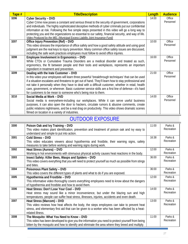<span id="page-29-0"></span>

| Tape # | <b>Title/Description</b>                                                                                                                                                             | Length | <b>Audience</b> |
|--------|--------------------------------------------------------------------------------------------------------------------------------------------------------------------------------------|--------|-----------------|
| 3206   | Cyber Security - DVD                                                                                                                                                                 | 14:00  | Office          |
|        | Cyber Crime now poses a constant and serious threat to the security of government, corporations                                                                                      |        | Personnel       |
|        | and individuals. The highly sophisticated deceptive methods of cyber criminals put our confidential                                                                                  |        |                 |
|        | information at risk. Following the five simple steps presented in this video will go a long way to                                                                                   |        |                 |
|        | protecting you and the organizations so essential to our safety, financial security, and way of life.<br>Video Produced by the MEL (Municipal Excess Liability Joint Insurance Fund) |        |                 |
| 3207   | Office Injury Prevention (Ref) - DVD                                                                                                                                                 | 10:00  | Office          |
|        | This video stresses the importance of office safety and how a good safety attitude and using good                                                                                    |        | Personnel       |
|        | judgment are the real keys to injury prevention. Many common office safety issues are discussed,                                                                                     |        |                 |
|        | including the safe work practices employees must follow to avoid office injuries.                                                                                                    |        |                 |
| 3208   | Employee Involvement in Ergonomics - DVD                                                                                                                                             | 16:00  | Office          |
|        | While CTDs or Cumulative Trauma Disorders are a medical disorder and treated as such,                                                                                                |        | Personnel       |
|        | ergonomics, the fit between people and their tools and workplaces, represents an important                                                                                           |        |                 |
|        | ingredient in treatment and prevention.                                                                                                                                              |        |                 |
| 3209   | Dealing with the Irate Customer - DVD                                                                                                                                                | 21:00  | Office          |
|        | In this video your employees will learn three powerful 'breakthrough techniques' that can be used                                                                                    |        | Personnel       |
|        | if a situation escalates and threatens to get out of hand. They'll learn how to stay professional and                                                                                |        |                 |
|        | not take it personally when they have to deal with a difficult customer, whether in retail, health                                                                                   |        |                 |
|        | care, government, or wherever. Basic customer service skills are a first line of defense-it's hard                                                                                   |        |                 |
| 3210   | for customers to be mean to someone who's being nice to them.                                                                                                                        | 14:00  | Office          |
|        | Social Media at Work - DVD                                                                                                                                                           |        | Personnel       |
|        | Social media is everywhere-including our workplaces. While it can serve useful business                                                                                              |        |                 |
|        | purposes, it can also open the door to hackers, circulate rumors & abusive comments, create                                                                                          |        |                 |
|        | public relations nightmares, and be a real drag on productivity. This video shows dramatic scenes<br>filmed on location in a variety of industries.                                  |        |                 |
|        |                                                                                                                                                                                      |        |                 |

#### OUTDOOR EXPOSURE

| 3300 |                                                                                                     | 11:00 | Parks &    |
|------|-----------------------------------------------------------------------------------------------------|-------|------------|
|      | Poison Oak and Ivy Training - DVD                                                                   |       | Recreation |
|      | This video makes plant identification, prevention and treatment of poison oak and ivy easy to       |       |            |
|      | understand and simple to put into action.                                                           |       | Parks &    |
| 3301 | Cold Stress - DVD                                                                                   | 16:38 |            |
|      | This video educates viewers about hypothermia and frostbite, their warning signs, safety            |       | Recreation |
|      | measures to take before working and warning signs during work.                                      |       |            |
| 3302 | Heat Stress (Aurora) - DVD                                                                          | 12:00 | Parks &    |
|      | Working in hot environments with strenuous physical activity causes heat reactions in the body.     |       | Recreation |
| 3303 | Insect Safety: Killer Bees, Wasps and Spiders - DVD                                                 | 36:00 | Parks &    |
|      | This video covers everything that you will need to protect yourself as much as possible from stings |       | Recreation |
|      | and bites.                                                                                          |       |            |
| 3304 | Poisonous Plant Safety - DVD                                                                        | 36:00 | Parks &    |
|      | This video covers the different types of plants and what to do if you are exposed.                  |       | Recreation |
| 3305 | Hypothermia and Frostbite - DVD                                                                     | 12:00 | Parks &    |
|      | This informative video thoroughly covers everything employees need to know about the dangers        |       | Recreation |
|      | of hypothermia and frostbite and how to avoid them.                                                 |       |            |
| 3306 | Heat Stress: Don't Lose Your Cool - DVD                                                             | 14:00 | Parks &    |
|      | Heat stress may sound like a minor inconvenience, but under the blazing sun and high                |       | Recreation |
|      | temperatures, people can suffer heat stress, illnesses, injuries, accidents and even death.         |       |            |
| 3307 | Heat Stress (Marcom) - DVD                                                                          | 13:00 | Parks &    |
|      | This video reviews how heat affects the body, the steps employees can take to prevent heat          |       | Recreation |
|      | stress, and elementary first aid that can be given to a worker who has been affected by a heat-     |       |            |
|      | related illness.                                                                                    |       |            |
| 3308 | The Mosquito: What You Need to Know - DVD                                                           | 11:00 | Parks &    |
|      | This video has been developed to give you the information you need to protect yourself from being   |       | Recreation |
|      | bitten by the mosquito and how to identify and eliminate the area where they breed and multiply.    |       |            |
|      |                                                                                                     |       |            |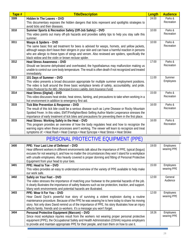<span id="page-30-0"></span>

| Tape # | <b>Title/Description</b>                                                                             | Length | <b>Audience</b>       |
|--------|------------------------------------------------------------------------------------------------------|--------|-----------------------|
| 3309   | Hidden In The Leaves - DVD                                                                           | 24:00  | Parks &               |
|        | This documentary exposes the hidden dangers that ticks represent and spotlights strategies to        |        | Recreation            |
|        | avoid ticks and their diseases.                                                                      |        |                       |
| 3310   | Summer Sports & Recreation Safety (Off-Job Safety) - DVD                                             | 10:00  | Parks &               |
|        | This video points out many off-job hazards and provides safety tips to help you stay safe this       |        | Recreation            |
|        | summer.                                                                                              |        |                       |
| 3311   | Wasps & Spiders - DVD                                                                                | 10:00  | Parks &               |
|        | The same basic first aid treatment for bees is advised for wasps, hornets, and yellow jackets,       |        | Recreation            |
|        | although wasps don't leave their stingers in your skin and can have a harmful reaction in persons    |        |                       |
|        | who are allergic to these types of stings and venom. Also reviewed are spiders, specifically the     |        |                       |
|        | black widow and the violin or brown recluse spider.                                                  |        |                       |
| 3312   | <b>Heat Stress Awareness - DVD</b>                                                                   | 17:00  | Parks &<br>Recreation |
|        | Should we become dehydrated and overheated; the hypothalamus may malfunction making us               |        |                       |
|        | unable to control our core body temperature. The result is often death if not recognized and treated |        |                       |
| 3313   | immediately.<br>101 Days of Summer - DVD                                                             | 11:00  | Summer                |
|        | This video presents a broad discussion appropriate for multiple summer employment positions.         |        | Employees             |
|        | The video is built around the three basic workplace tenets of safety, accountability, and pride.     |        |                       |
|        | Video Produced by the MEL (Municipal Excess Liability Joint Insurance Fund)                          |        |                       |
| 3314   | Heat Stress (Digital) - DVD                                                                          | 15:00  | Parks &               |
|        | This video discusses heat stroke, heat stress, fainting, and precautions to take when working in a   |        | Recreation            |
|        | hot environment in addition to emergency first aid.                                                  |        |                       |
| 3315   | Tick Bite Prevention & Response - DVD                                                                | 16:00  | Parks &               |
|        | The result of this tick bite could be a serious disease such as Lyme Disease or Rocky Mountain       |        | Recreation            |
|        | Spotted Fever. In this video, EMT/Firefighter/Best-Selling Author Martin Lesperance stresses the     |        |                       |
|        | importance of early treatment of tick bites and precautions for preventing them in the first place.  |        |                       |
| 3315   | Heat Stress: Working Safely in the Heat - DVD                                                        | 16:00  | Parks &               |
|        | This program provides an overview of how the body regulates heat and how to recognize the            |        | Recreation            |
|        | warning signs when these processes aren't working. The viewer will learn to recognize and treat      |        |                       |
|        | symptoms of: • Heat Rash • Heat Cramps • Heat Syncope • Heat Stress • Heat Stroke                    |        |                       |

## PERSONAL PROTECTIVE EQUIPMENT (PPE)

| 3400 | PPE: Your Last Line of Defense! - DVD<br>Hear different workers in different environments talk about the importance of PPE, typical (boqus)<br>excuses for not wearing it, and how no matter the circumstances they won't stand for a workplace<br>with unsafe employees. Also heavily covered is proper donning and fitting of Personal Protective<br>Equipment from your head to your toes.            | 19:00 | Employees<br>wearing PPE |
|------|----------------------------------------------------------------------------------------------------------------------------------------------------------------------------------------------------------------------------------------------------------------------------------------------------------------------------------------------------------------------------------------------------------|-------|--------------------------|
| 3401 | PPE: Head to Toe - DVD<br>This video provides an easy to understand overview of the variety of PPE available to help make<br>our work safe.                                                                                                                                                                                                                                                              | 15:00 | Employees<br>wearing PPE |
| 3402 | Safely on Your Feet - DVD<br>The video stresses the importance of matching your footwear to the potential hazards of the job.<br>It clearly illustrates the importance of safety features such as toe protection, traction, and support.<br>Many work environments and potential hazards are illustrated.                                                                                                | 12:00 | General<br>Audience      |
| 3403 | PPE: Wear It For You - DVD<br>Hear David Dyck's powerful true story of surviving a violent explosion during a routine<br>maintenance procedure. Because of the PPE he was wearing he is here today to share his moving<br>story. Not only does David remind us of the importance of PPE, his story illustrates how an injury<br>affects family, friends and co-workers. It's a message you won't forget. | 12:00 | Employees<br>wearing PPE |
| 3404 | Personal Protective Equipment (Marcom) - DVD<br>Since most workplace injuries result from the workers not wearing proper personal protective<br>equipment (PPE), the Occupational Safety and Health Administration (OSHA) requires employers<br>to provide and maintain appropriate PPE for their people, and train them on how to use it.                                                               | 18:26 | Employees<br>wearing PPE |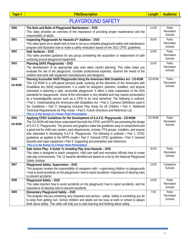|   | г |  |
|---|---|--|
| а |   |  |

#### [PLAYGROUND SAFETY](#page-30-0)

| 3500                  | The Nuts and Bolts of Playground Maintenance - DVD<br>This video provides an overview of the importance of providing proper maintenance and the<br>responsibility of adults.                                                                                                                                                                                                                                                                                                                                                                                                                                                                                                                                                                                                                                                                                                                                                                        | 11:00  | Parks<br>Recreation<br>Schools        |
|-----------------------|-----------------------------------------------------------------------------------------------------------------------------------------------------------------------------------------------------------------------------------------------------------------------------------------------------------------------------------------------------------------------------------------------------------------------------------------------------------------------------------------------------------------------------------------------------------------------------------------------------------------------------------------------------------------------------------------------------------------------------------------------------------------------------------------------------------------------------------------------------------------------------------------------------------------------------------------------------|--------|---------------------------------------|
| 3501                  | Inspecting Playgrounds for Hazards-2 <sup>nd</sup> Addition - DVD<br>This video gives an in-depth look at how to set up a complete playground safety and maintenance<br>program and illustrates how to make a safety evaluation based on the 2011 CPSC guidelines.                                                                                                                                                                                                                                                                                                                                                                                                                                                                                                                                                                                                                                                                                  | 35:00  | Parks<br>Recreation<br>Schools        |
| 3502                  | Safe Surfaces - DVD<br>This video provides guidance for any group considering the acquisition or replacement of safe<br>surfacing around playground equipment.                                                                                                                                                                                                                                                                                                                                                                                                                                                                                                                                                                                                                                                                                                                                                                                      | 10:00  | Parks<br>Recreation<br><b>Schools</b> |
| 3503                  | Planning SAFE Playgrounds - DVD<br>The development of an appropriate play area takes careful planning. This video helps you<br>evaluate the site of the playground, consider professional expertise, observe the needs of the<br>children and work with equipment manufacturers and designers.                                                                                                                                                                                                                                                                                                                                                                                                                                                                                                                                                                                                                                                      | 15:00  | Parks<br>Recreation<br>Schools        |
| 3504<br><b>CD-ROM</b> | Planning Accessible SAFE Playgrounds Using the Americans With Disabilities Act - CD-ROM<br>This CD-ROM is a self-paced pictorial guide covering all the elements of the Americans with<br>Disabilities Act (ADA) requirements. It is useful for designers, planners, installers, and anyone<br>interested in planning a safe, accessible playground. It offers a clear explanation of the ADA<br>standards for playgrounds. Some of the information is very detailed and may require presentation<br>by a knowledgeable person such as a CPSI to be most beneficial. The following is outlined:<br>• Part 1: Understanding the Americans with Disabilities Act • Part 2: Common Definitions used in<br>the Guidelines • Part 3: Designing Inclusive Play Areas for all Children • Part 4: Additional<br>Technical Requirements for Play Areas • Part 5: Future Directions and Reference List<br>This is in the format of a Power Point Presentation | CD-ROM | Parks<br>Recreation<br>Schools        |
| 3505                  | Applying CPSC Guidelines for the Development of S.A.F.E. Playgrounds - CD-ROM                                                                                                                                                                                                                                                                                                                                                                                                                                                                                                                                                                                                                                                                                                                                                                                                                                                                       | CD-ROM | Parks                                 |
| CD-ROM                | The CD-ROM will help those understand how both the CPSC and NPPS are promoting the design<br>of S.A.F.E. Playgrounds. The pictures and graphics make the guidelines easy to comprehend and<br>a great tool for child care centers, park departments, schools, PTA groups, installers, and anyone<br>else interested in developing S.A.F.E. Playgrounds. The following is outlined: • Part 1: CPSC<br>guidelines as applied to the NPPS model • Part 2: General CPSC guidelines • Part 3: General<br>hazards and major equipment • Part 4: Supporting documentation and references<br>This is in the format of a Power Point Presentation                                                                                                                                                                                                                                                                                                            |        | Recreation<br>Schools                 |
| 3506                  | Safe Active Play: A Guide To Avoiding Play Area Hazards - DVD<br>This video is designed to teach caregivers, child care staff and recreation officials how to create<br>safe play environments. The 12 hazards identified are based on a list by the National Playground<br>Safety Institute.                                                                                                                                                                                                                                                                                                                                                                                                                                                                                                                                                                                                                                                       | 35:00  | Parks<br>Recreation<br>Schools        |
| 3507                  | Playground Safety: Supervision - DVD<br>This program reviews the responsibility of caregivers with: • supervising children on playgrounds<br>• how to avoid accidents on the playground • how to report accidents • importance of obeying rules<br>to prevent accidents                                                                                                                                                                                                                                                                                                                                                                                                                                                                                                                                                                                                                                                                             | 13:00  | Caregivers<br>Schools                 |
| 3508                  | Playground Safety - DVD<br>This video teaches how to avoid accidents on the playground, how to report accidents, and the<br>importance of obeying rules to prevent accidents.                                                                                                                                                                                                                                                                                                                                                                                                                                                                                                                                                                                                                                                                                                                                                                       | 13:00  | Parks<br>Recreation<br>Schools        |
| 3509                  | Elementary Playground Safety - DVD<br>This program discuss something very important and serious - safety. Safety is something you do<br>to keep from getting hurt. School children and adults are too busy at work or school to always<br>think about safety. This video will help you to start learning and thinking about safety.                                                                                                                                                                                                                                                                                                                                                                                                                                                                                                                                                                                                                 | 7:00   | Parks<br>Recreation<br>Schools        |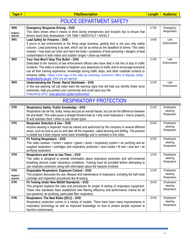<span id="page-32-0"></span>

#### POLICE DEPARTMENT SAFETY

| 3600                 | <b>Emergency Response Driving - DVD</b>                                                                                                                       | 17:00 | Emergency<br>Responders |
|----------------------|---------------------------------------------------------------------------------------------------------------------------------------------------------------|-------|-------------------------|
| English /<br>Spanish | This video shows what it means to drive during emergencies and includes tips to ensure that<br>drivers reach their destinations . ON TIME . SMOOTHLY . SAFELY |       |                         |
| 3601                 | Lead Safety for Firearms - DVD                                                                                                                                | 14:00 | Law                     |
|                      | If you're in law enforcement or the firing range business, getting shot is not your only safety                                                               |       | Enforcement             |
|                      | concern. Lead poisoning is as well, which can be as lethal as the deadliest of ammo. This video                                                               |       |                         |
|                      | reviews: • how lead can enter and harm the body • symptoms of lead poisoning • dangers of lead                                                                |       |                         |
|                      | contamination in both indoor and outdoor ranges • clean-up methods                                                                                            |       |                         |
| 3602                 | Your Vest Won't Stop This Bullet - DVD                                                                                                                        | 11:00 | Law                     |
|                      | Dedicated to the memory of law enforcement officers who have died in the line of duty in traffic                                                              |       | Enforcement             |
|                      | incidents. This video is intended to heighten your awareness to traffic and to encourage everyone                                                             |       |                         |
|                      | use all their training experience, knowledge during traffic stops, and other roadside contacts to                                                             |       |                         |
|                      | enhance safety. Obtain a free copy of this video by contacting: Governor's Office of Highway Safety -                                                         |       |                         |
|                      | hbagley@gohs.ga.gov (limit one per agency)                                                                                                                    |       |                         |
| 3603                 | Understanding the Threat: Racist Skinheads - DVD                                                                                                              | 12:00 | Law                     |
|                      | In this eye-opening roll call video learn the warning signs that will help you identify these racist                                                          |       | Enforcement             |
|                      | extremists, help you protect your community and could save your life.                                                                                         |       |                         |
|                      | Produced by SPLC: www.splcenter.org/law-enforcement                                                                                                           |       |                         |

#### RESPIRATORY PROTECTION

| 3700                         | Respiratory Safety: Public Knowledge - DVD<br>Respirators can be hot, bulky, heavy and just an overall hassle, but can be the difference between<br>life and death. This video gives a straight-forward look at: • why need respirators • how to properly                                                                                                                                          | 21:00 | Employees<br>wearing<br>Respirators |
|------------------------------|----------------------------------------------------------------------------------------------------------------------------------------------------------------------------------------------------------------------------------------------------------------------------------------------------------------------------------------------------------------------------------------------------|-------|-------------------------------------|
| 3701                         | fit and maintain them $\cdot$ when to use certain types<br><b>Respirator Selection &amp; Use - DVD</b><br>Anyone wearing a respirator must be trained and authorized by the company in several different<br>areas, such as how to put on and take off the respirator, called donning and doffing. The process<br>is simple but it does require some basic knowledge and is reviewed in this video. | 29:00 | Employees<br>wearing<br>Respirators |
| 3702                         | Fit Testing Respirators - DVD<br>This video reviews: $\cdot$ fumes $\cdot$ vapors $\cdot$ gases $\cdot$ dusts $\cdot$ respiratory system $\cdot$ air purifying and air<br>supplied respirators • cartridges and respiratory protection • dust masks • fit test • seal test • air<br>purifying respirators                                                                                          | 10:00 | Employees<br>wearing<br>Respirators |
| 3703                         | Respirators and How to Use Them - DVD<br>This video is designed to provide information about respiratory protection and self-contained<br>breathing devices under hazardous conditions. Training must be provided before attempting to<br>use respirator protection along with information about the hazards involved.                                                                             | 12:00 | Employees<br>wearing<br>Respirators |
| 3704<br>English /<br>Spanish | Disposable Respirators: Exposure Control - DVD<br>This program discusses the use, lifespan and maintenance of respirators, including the half mask<br>cartridge and inspection procedures like fit testing.                                                                                                                                                                                        | 12:00 | Employees<br>wearing<br>Respirators |
| 3705                         | Fit Testing Under New NIOSH Standards - DVD<br>This program explains the rules and procedures for proper fit testing of respiratory equipment.<br>These new standards have established new filtering efficiency and performance criteria for all<br>non-powered, air-purifying, particulate-filter respirators.                                                                                    | 16:00 | Employees<br>wearing<br>Respirators |
| 3706                         | Respirators: The New Rules (2011) - DVD<br>Respiratory protection comes in a variety of models. There have been many improvements in<br>respiratory technology as well as improved knowledge on how to protect people exposed to<br>harmful contaminants.                                                                                                                                          | 22:00 | Employees<br>wearing<br>Respirators |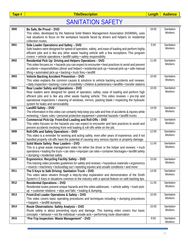<span id="page-33-0"></span>

## SANITATION SAFETY

| 3900 | Be Safe, Be Proud - DVD                                                                                      | 18:00 | Sanitation |
|------|--------------------------------------------------------------------------------------------------------------|-------|------------|
|      | This video, developed by the National Solid Waters Management Association (NSWMA), uses                      |       | Workers    |
|      | real situations to focus on the workplace hazards faced by drivers and helpers on residential                |       |            |
|      | collection routes.                                                                                           |       |            |
| 3901 | Side Loader Operations and Safety - DVD                                                                      | 5:00  | Sanitation |
|      | Side loaders were designed for speed of operation, safety, and ease of loading and perform highly            |       | Workers    |
|      | efficient jobs and is like any other waste hauling vehicle with a few exceptions. This program               |       |            |
|      | covers: • vehicle operations • landfill safety • safety responsibility                                       |       |            |
| 3902 | Residential Pick Up: Driving and Helpers Operations - DVD                                                    | 11:00 | Sanitation |
|      | This video focuses on: • hazards you can expect to encounter • best practices to avoid and prevent           |       | Workers    |
|      | accidents • responsibilities (driver and helper) • residential pick-up • manual pick-up • safe manual        |       |            |
|      | lifting · automated pick-up · backing · truck fires · landfill                                               |       |            |
| 3903 | Vehicle Backing Accident Prevention - DVD                                                                    | 10:00 | Sanitation |
|      | This video explains the common causes & solutions to vehicle backing accidents and reviews:                  |       | Workers    |
|      | · daily inspection · backing · cone of invisibility · children & pedestrians · landfills · transfer stations |       |            |
| 3904 | Rear Loader Safety and Operations - DVD                                                                      | 10:00 | Sanitation |
|      | Rear loaders were designed for speed of operation, safety, ease of loading and perform high                  |       | Workers    |
|      | efficient jobs and is like any other waste hauling vehicle. This video reviews: • pre-trip and               |       |            |
|      | operational inspections • cleaning of windows, mirrors, packing blade • inspecting the hydraulic             |       |            |
|      | system for leaks and serviceability                                                                          |       |            |
| 3905 | Landfill Safety - DVD                                                                                        | 14:00 | Sanitation |
|      | The information in this video can certainly help keep you safe and free of accidents & injuries while        |       | Workers    |
|      | reviewing: • basic rules • personal protective equipment • potential hazards • landfill trucks               |       |            |
| 3906 | Commercial Pick-Up: Front-End Loading and Roll-Offs - DVD                                                    | 12:00 | Sanitation |
|      | This video focuses on the hazards you can expect to encounter and best practices to avoid and                |       | Workers    |
|      | prevent accidents involving front-end loading & roll-offs while on the job.                                  |       |            |
| 3908 | Roll-Offs and Safety Operations - DVD                                                                        | 12:00 | Sanitation |
|      | This video is a reminder for working and acting safely, even after years of experience, and if not           |       | Workers    |
|      | handled properly roll-offs have the potential of causing very serious injuries or property damage.           |       |            |
| 3909 | Solid Waste Safety: Rear Loaders - DVD                                                                       | 11:00 | Sanitation |
|      | This is a great waste management video for either the driver or the helper and reviews: $\cdot$ truck        |       | Workers    |
|      | operations • loading the truck • can sites • improper can sites • container blockages • landfill safety      |       |            |
|      | · dumping · residential safety                                                                               |       |            |
| 3910 | Ergonomics: Recycling Facility Safety - DVD                                                                  | 15:00 | Sanitation |
|      | This training video provides guidelines for safety and reviews: • hazardous materials • ergonomics           |       | Workers    |
|      | . insects • machinery • lockout/tag out • reporting injuries and unsafe conditions • and more                |       |            |
| 3911 | The 5 Keys to Safe Driving: Sanitation Truck - DVD                                                           | 14:00 | Sanitation |
|      | This video takes viewers through a step-by-step explanation and demonstration of the Smith                   |       | Workers    |
|      | System's 5 Keys in situations common to the industry with a special feature on safe backing tips.            |       |            |
| 3912 | <b>Residential Operations - DVD</b>                                                                          | 11:00 | Sanitation |
|      | Residential routes present unique hazards and this video addresses: • vehicle safety • trash pick-           |       | Workers    |
|      | up • customer relations • slips and falls • loading & dumping                                                |       |            |
| 3913 | Front-End Loader Operations & Safety - DVD                                                                   | 10:00 | Sanitation |
|      | This video covers basic operating procedures and techniques including: • dumping procedures                  |       | Workers    |
|      | • hoppers • landfill dumping                                                                                 |       |            |
| 3914 | Route Observations: Safety Analysis - DVD                                                                    | 15:00 | Sanitation |
|      | Route safety is about preventing injury and damage. This training video covers four basic                    |       | Workers    |
|      | concepts: • behavior • not the individual • unsafe acts • performing route observation                       |       |            |
| 3915 | "Pre-Trip Inspection: Waste Management" - DVD                                                                | 9:00  | Sanitation |
|      |                                                                                                              |       | Workers    |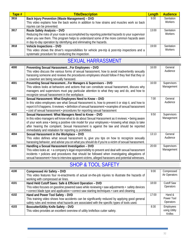<span id="page-34-0"></span>

| Tape # | <b>Title/Description</b>                                                                           | Length | <b>Audience</b> |
|--------|----------------------------------------------------------------------------------------------------|--------|-----------------|
| 3916   | Back Injury Prevention (Waste Management) - DVD                                                    | 9:00   | Sanitation      |
|        | This video explains how the back works in addition to how strains and muscles work so back         |        | Workers         |
|        | injuries can be prevented.                                                                         |        |                 |
| 3917   | Route Safety Analysis - DVD                                                                        | 13:00  | Sanitation      |
|        | Reducing the risks of your route is accomplished by reporting potential hazards to your supervisor |        | <b>Workers</b>  |
|        | when you see them. This program helps to understand some of the more common hazards seen           |        |                 |
|        | in day-to-day operation by identifying and eliminating the hazards.                                |        |                 |
| 3918   | Vehicle Inspections - DVD                                                                          | 19:00  | Sanitation      |
|        | This video shows the driver's responsibilities for vehicle pre-trip & post-trip inspections and a  |        | <b>Workers</b>  |
|        | systematic procedure for conducting the inspection.                                                |        |                 |

#### SEXUAL HARRASSMENT

| 4000 | Preventing Sexual HarassmentFor Employees - DVD<br>This video discuss the various forms of sexual harassment, how to avoid inadvertently sexually                                                                                                                                                                                                                                                                  | 16:00 | General<br>Audience       |
|------|--------------------------------------------------------------------------------------------------------------------------------------------------------------------------------------------------------------------------------------------------------------------------------------------------------------------------------------------------------------------------------------------------------------------|-------|---------------------------|
|      | harassing someone and reviews the procedures employees should follow if they feel that they or<br>a coworker are being sexually harassed.                                                                                                                                                                                                                                                                          |       |                           |
| 4001 | Preventing Sexual HarassmentFor Managers & Supervisors - DVD<br>This videos looks at behaviors and actions that can constitute sexual harassment, discuss why<br>managers and supervisors must pay particular attention to what they say and do, and how to<br>recognize sexual harassment in the workplace.                                                                                                       | 16:00 | Supervisors<br>Management |
| 4002 | Sexual Harassment: What Employees Need to Know - DVD<br>In this video employees see what Sexual Harassment is, how to prevent it or stop it, and how to<br>report it if it happens. It reviews: • definition of sexual harassment • examples of sexual harassment<br>. cost of sexual harassment . procedures for reporting sexual harassment                                                                      | 7:00  | General<br>Audience       |
| 4003 | Sexual Harassment: What Managers Need to Know - DVD<br>In this video managers will know what to do about Sexual Harassment as it reviews: • being aware<br>of your work area • being a positive role model for your employees • knowing what steps to take<br>after hearing the complaint. Sexual Harassment is against the law and should be reported<br>immediately and retaliation for reporting is prohibited. | 9:50  | Supervisors<br>Management |
| 4004 | Sexual Harassment in the Workplace - DVD<br>This video defines what sexual harassment is, give you tips on how to recognize sexually<br>harassing behavior, and advise you on what you should do if you're a victim of sexual harassment.                                                                                                                                                                          | 13:13 | General<br>Audience       |
| 4005 | Handling a Sexual Harassment Investigation - DVD<br>This video looks at: • a company's legal responsibility to prevent and deal with sexual harassment<br>incidents • policies and procedures that should be followed when investigating allegations of<br>sexual harassment • how to interview apparent victims, alleged harassers and potential witnesses.                                                       | 20:00 | Supervisors<br>Management |

#### SHOP & TOOL SAFETY

| 4100 | <b>Compressed Air Safety - DVD</b>                                                                                                      | 9:00  | Compressed        |
|------|-----------------------------------------------------------------------------------------------------------------------------------------|-------|-------------------|
|      | This video features four re-enactments of actual on-the-job injuries to illustrate the hazards of<br>working with compressed air lines. |       | Air Operators     |
| 4101 | Hand Held Cutoff Saws: Safe & Efficient Operation - DVD                                                                                 | 18:00 | <b>Cutoff Saw</b> |
|      | This video focuses on gasoline powered saws while reviewing • saw adjustments • safety devices                                          |       | Operators         |
|      | • correct blade type and application • correct saw starting techniques • care and cleaning                                              |       |                   |
| 4102 | Hand and Power Tool Safety - DVD                                                                                                        | 17:00 | Hand &            |
|      | This training video shows how accidents can be significantly reduced by applying good general                                           |       | Power Tool        |
|      | safety rules and reviews what hazards are associated with the specific types of tools used.                                             |       | Operators         |
| 4103 | Boxcutter/Utility Knife Safety - DVD                                                                                                    | 8:30  | Employees         |
|      | This video provides an excellent overview of utility knife/box cutter safety.                                                           |       | using Utility     |
|      |                                                                                                                                         |       | Knifes            |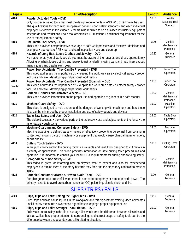<span id="page-35-0"></span>

| Tape #  | <b>Title/Description</b>                                                                                                    | Length | <b>Audience</b>      |
|---------|-----------------------------------------------------------------------------------------------------------------------------|--------|----------------------|
| 4104    | <b>Powder Actuated Tools - DVD</b>                                                                                          | 10:00  | Powder               |
|         | Only powder actuated tools that meet the design requirements of ANSI A10.3-1977 may be used.                                |        | <b>Actuated Tool</b> |
|         | The qualifications for becoming an operator depend upon safety standards and each individual                                |        | Operator             |
|         | employer. Reviewed in this video is: • the training required to be a qualified instructor • equipment                       |        |                      |
|         | safequards and restrictions • pole tool assemblies • limitations • additional requirements for the                          |        |                      |
|         | use of the equipment • safety                                                                                               |        |                      |
| 4105    | <b>Pneumatic Tool Safety - DVD</b>                                                                                          | 7:00   | Vehicle              |
|         | This video provides comprehensive coverage of safe work practices and reviews: • definition and                             |        | Maintenance          |
|         | examples • appropriate PPE • tool and cord inspection • use and clean-up                                                    |        | Personnel            |
| 4106    | Hazards of Long Hair, Loose Clothes and Jewelry - DVD                                                                       | 10:30  | General              |
|         | No matter what type of work you do you must be aware of the hazards and dress appropriately                                 |        | Audience             |
|         | Allowing long hair, loose clothing and jewelry to get tangled in moving parts and machinery causes                          |        |                      |
|         | many injuries and deaths each year.                                                                                         |        |                      |
| 4107    | Power Tool Accidents: They Can Be Prevented - DVD                                                                           | 19:00  | Power Tool           |
|         | This video addresses the importance of: • keeping the work area safe • electrical safety • proper                           |        | Operators            |
|         | tool use and care · developing good personal work habits                                                                    |        |                      |
| 4108    | Power Tool Accidents: They Can Be Prevented (Spanish) - DVD                                                                 | 19:00  | Power Tool           |
| Spanish | This video addresses the importance of: • keeping the work area safe • electrical safety • proper                           |        | Operators            |
|         | tool use and care · developing good personal work habits                                                                    |        |                      |
| 4109    | Portable Grinders and Abrasive Wheels - DVD                                                                                 | 11:00  | Vehicle              |
|         | This video provides information on the proper use and operation of grinders in a safe manner.                               |        | Maintenance          |
| 4111    |                                                                                                                             | 19:00  | Personnel<br>Machine |
|         | Machine Guard Safety - DVD<br>This video is designed to help understand the dangers of working with machinery and how those |        | Operators            |
|         |                                                                                                                             |        |                      |
| 4112    | risks can be minimized by proper installation and use of safety guards and devices.<br>Table Saw Safety and Use - DVD       | 24:00  | <b>Table Saw</b>     |
|         | The video discusses: $\cdot$ the various parts of the table saw $\cdot$ use and adjustments of the fence $\cdot$ the        |        | Operators            |
|         | miter gauge · push sticks                                                                                                   |        |                      |
| 4113    | Machine Guarding and Conveyor Safety - DVD                                                                                  | 14:00  | Machine              |
|         | Machine guarding is defined as any means of effectively preventing personnel from coming in                                 |        | Operators            |
|         | contact with moving parts of machinery or equipment that would cause physical harm to fingers,                              |        |                      |
|         | hands and life.                                                                                                             |        |                      |
| 4114    | <b>Cutting Torch Safety - DVD</b>                                                                                           | 10:00  | <b>Cutting Torch</b> |
|         | In the public work sector, the cutting torch is a valuable and useful tool designed to cut metals in                        |        | Operators            |
|         | a variety of applications. This video provides information on safe cutting torch procedures and                             |        |                      |
|         | operation. It is important to consult your local OSHA requirements for cutting and welding safety.                          |        |                      |
| 4115    | Garage-Repair Shop Safety - DVD                                                                                             | 15:00  | Vehicle              |
|         | This video is great for informing new employees what to expect and also for experienced                                     |        | Maintenance          |
|         | employees to remind them of the many hazards they face and the steps they can take to prevent                               |        | Personnel            |
|         | injury.                                                                                                                     |        |                      |
| 4116    | Portable Generator Hazards & How to Avoid Them - DVD                                                                        | 7:00   | General              |
|         | Portable generators are useful when there is a need for temporary or remote electric power. The                             |        | Audience             |
|         | primary hazards to avoid are carbon monoxide (CO) poisoning, electric shock and fire.                                       |        |                      |

## SLIPS / TRIPS / FALLS

| 4200 | Slips, Trips and Falls: Taking the Right Steps - DVD                                                 | 19:00 | General  |
|------|------------------------------------------------------------------------------------------------------|-------|----------|
|      | Slips, trips and falls cause injuries in the workplace and this high-impact training video advocates |       | Audience |
|      | · solid safety measures · awareness · good housekeeping · proper equipment use                       |       |          |
| 4201 | Slips, Trips and Falls: Stranger Than Friction - DVD                                                 | 20:00 | General  |
|      | Follow a humorous day in the life of average Jim who learns the difference between slips trips and   |       | Audience |
|      | falls as well as how proper attention to surroundings and correct usage of safety tools can be the   |       |          |
|      | difference between a regular day and a life-altering situation.                                      |       |          |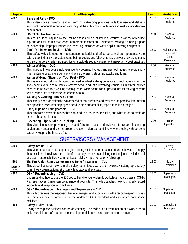<span id="page-36-0"></span>

| Tape # | <b>Title/Description</b>                                                                                        | Length | <b>Audience</b>           |
|--------|-----------------------------------------------------------------------------------------------------------------|--------|---------------------------|
| 4202   | Slips and Falls - DVD                                                                                           | 12:30  | General                   |
|        | This video covers hazards ranging from housekeeping practices to ladder use and delivers                        |        | Audience                  |
|        | important procedural information with the just the right amount of humor and realistic accident re-             |        |                           |
|        | enactments                                                                                                      |        |                           |
| 4203   | I Can't Get No Traction - DVD                                                                                   | 4:00   | General                   |
|        | This music video inspired by the Rolling Stones tune 'Satisfaction' features a variety of realistic             |        | Audience                  |
|        | slip, trip and fall stunts that teach memorable lessons on: • distracted walking • running • poor               |        |                           |
|        | housekeeping • improper ladder use • wearing improper footwear • spills • moving equipment                      |        |                           |
| 4204   | Don't Fall Down on the Job - DVD                                                                                | 18:00  | Maintenance               |
|        | This safety video is good for maintenance, janitorial and office personnel as it presents: • the                |        | Janitorial<br>Office      |
|        | science behind falls • the factors contributing to slips and falls • emphasis on walking • using stairs         |        | Personnel                 |
|        | and step ladders • reviewing specifics on scaffolds set up • equipment inspection • best practices              |        |                           |
| 4205   | Winter Walking - DVD                                                                                            | 7:00   | General                   |
|        | This video will help your employees identify potential hazards and use techniques to avoid injury               |        | Audience                  |
|        | when entering or exiting a vehicle and while traversing steps, sidewalks and turns.                             |        |                           |
| 4206   | Winter Walking: Staying on Your Feet - DVD                                                                      | 10:00  | General                   |
|        | This safety video helps understand the need to adjust walking behavior and techniques when the                  |        | Audience                  |
|        | snow begins to fall and reviews: • why we need to adjust our walking techniques in winter • winter              |        |                           |
|        | hazards to be alert for • walking techniques for winter conditions • procedures for staying on your             |        |                           |
|        | feet • techniques to minimize the effects of a fall                                                             |        |                           |
| 4207   | <b>Walking &amp; Working Surfaces - DVD</b>                                                                     | 17:00  | General<br>Audience       |
|        | This safety video identifies the hazards of different surfaces and provides the practical information           |        |                           |
|        | and specific procedures employees need to help prevent slips, trips and falls on the job.                       |        |                           |
| 4209   | Slips, Trips and Falls (Marcom) - DVD                                                                           | 11:00  | General<br>Audience       |
|        | This program shows situations that can lead to slips, trips and falls, and what to do to avoid or               |        |                           |
|        | prevent these accidents.                                                                                        |        |                           |
| 4210   | Preventing Slips & Falls in Trucking - DVD                                                                      | 7:00   | <b>Truck</b><br>Operators |
|        | This video focuses on preventing slips and falls from trucks and reviews: • footwear • inspecting               |        |                           |
|        | equipment $\cdot$ enter and exit in proper direction $\cdot$ plan exit and know where going $\cdot$ three point |        |                           |
|        | system • keeping both hands free                                                                                |        |                           |

## SUPERVISORS / MANAGEMENT

| 4300                 | Safety Teams - DVD                                                                                                                                             | 11:00 | Safety          |
|----------------------|----------------------------------------------------------------------------------------------------------------------------------------------------------------|-------|-----------------|
|                      | This video teaches leadership and goal-setting skills needed to succeed and motivated to apply                                                                 |       | Committee       |
|                      | those skills as it reviews: • the role of the safety team • establishing clear objectives • individual                                                         |       |                 |
|                      | and team responsibilities • communication skills • implementation • follow-up                                                                                  |       |                 |
| 4301                 | The Pro-Active Safety Committee: A Team for Success - DVD                                                                                                      | 13:00 | Safety          |
| English /<br>Spanish | This video illustrates how to make safety committees work and reviews: • setting up a safety<br>committee • organizational structure • feedback and evaluation |       | Committee       |
| 4302                 | <b>OSHA Recordkeeping - DVD</b>                                                                                                                                | 18:00 | Supervisors     |
|                      | Understanding how to use the 300 Log will enable you to identify workplace hazards, assist OSHA                                                                |       | <b>Managers</b> |
|                      | Representatives & maintain compliance at your site. This video teaches how to properly record                                                                  |       |                 |
|                      | incidents and keep you in compliance.                                                                                                                          |       |                 |
| 4303                 | <b>OSHA Recordkeeping: Managers and Supervisors - DVD</b>                                                                                                      | 20:00 | Supervisors     |
|                      | This video reviews the responsibilities of managers and supervisors in the recordkeeping process                                                               |       | <b>Managers</b> |
|                      | and provides basic information on the updated OSHA standard and associated compliance                                                                          |       |                 |
|                      | activities.                                                                                                                                                    |       |                 |
| 4304                 | Safety Audits - DVD                                                                                                                                            | 20:00 | Supervisors     |
|                      | A single workplace accident can be devastating. This video is an examination of a work area to                                                                 |       | <b>Managers</b> |
|                      | make sure it is as safe as possible and all potential hazards are corrected or removed.                                                                        |       |                 |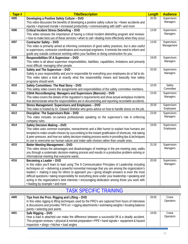<span id="page-37-0"></span>

| Tape # | <b>Title/Description</b>                                                                                                                                                                           | Length | <b>Audience</b>         |
|--------|----------------------------------------------------------------------------------------------------------------------------------------------------------------------------------------------------|--------|-------------------------|
| 4305   | Developing a Positive Safety Culture - DVD                                                                                                                                                         | 20:00  | Supervisors             |
|        | This video discusses the benefits of developing a positive safety culture by: • fewer accidents and                                                                                                |        | Managers                |
|        | injuries • improved morale • increased productivity • communicating with staff • and more                                                                                                          |        |                         |
| 4306   | Critical Incident Stress Debriefing - DVD                                                                                                                                                          | 13:00  | Supervisors             |
|        | This video stresses the importance of having a critical incident debriefing program and reviews:                                                                                                   |        | Managers                |
|        | . how to make best use of these services · when to call · dealing more effectively when they occur                                                                                                 |        |                         |
| 4307   | <b>Contractor Safety - DVD</b>                                                                                                                                                                     | 13:00  | Supervisors             |
|        | This video is primarily aimed at informing contractors of good safety practices, but is also useful                                                                                                |        | Management              |
|        | to supervisors, contractor coordinators and municipal engineers. It reminds the need to inform and                                                                                                 |        |                         |
|        | guide any outside contractor working within your facilities or doing construction for you.                                                                                                         |        |                         |
| 4308   | Responsibilities Of A Supervisor - DVD                                                                                                                                                             | 19:00  | Supervisors             |
|        | This video is all about supervisor responsibilities, liabilities, capabilities, limitations and primarily                                                                                          |        | Managers                |
|        | most difficult: managing other people.                                                                                                                                                             |        |                         |
| 4309   | Safety and The Supervisor - DVD                                                                                                                                                                    | 20:00  | Supervisors<br>Managers |
|        | Safety is your responsibility and you're responsible for everything your employees do or fail to do.<br>This video takes a look at exactly what this responsibility means and basically how safety |        |                         |
|        | programs should work.                                                                                                                                                                              |        |                         |
| 4310   | Safety Committees: The Real Story - DVD                                                                                                                                                            | 10:00  | Safety                  |
|        | This safety video covers the assignments and responsibilities of the safety committee members.                                                                                                     |        | Committee               |
| 4311   | OSHA Recordkeeping: Managers and Supervisors (Marcom) - DVD                                                                                                                                        | 23:00  | Supervisors             |
|        | This video covers the details of the regulation's requirements and show actual workplace incidents                                                                                                 |        | Managers                |
|        | that demonstrate what the responsibilities are in documenting and reporting recordable accidents.                                                                                                  |        |                         |
| 4312   | Stress Management: Supervisors and Employees - DVD                                                                                                                                                 | 20:00  | Supervisors             |
|        | This video is hosted by Dr. Edward Sheldon who gives advice on how to handle stress on the job.                                                                                                    |        | Employees               |
| 4313   | Discipline: The Supervisors Role - DVD                                                                                                                                                             | 23:00  | Supervisors             |
|        | This video includes on-camera professionals speaking on the supervisor's role in enforcing                                                                                                         |        | Managers                |
|        | company rules.                                                                                                                                                                                     |        |                         |
| 4314   | Safety Decision Making - DVD                                                                                                                                                                       | 19:00  | Supervisors             |
|        | This video uses common examples, reenactments and a little humor to explain how humans are                                                                                                         |        | Employees               |
|        | tempted to make unsafe choices by succumbing to the instant gratification of shortcuts, risk-taking                                                                                                |        |                         |
|        | & peer pressure, and how our safety decision-making process works in providing tips & techniques                                                                                                   |        |                         |
|        | to use to overcome our human nature and make safe choices rather than unsafe ones.                                                                                                                 |        |                         |
| 4315   | Better Meeting Management - DVD                                                                                                                                                                    | 31:00  | Supervisors             |
|        | This video shows the advantages and disadvantages of meetings in the pre-meeting step, walks                                                                                                       |        | Managers                |
|        | you through a systematic decision-making process and results in a productive problem-solving or                                                                                                    |        |                         |
|        | informational meeting that everyone wants.                                                                                                                                                         |        |                         |
| 4316   | Becoming a Leader - DVD                                                                                                                                                                            | 20:00  | Supervisors             |
|        | In this video you'll learn to lead using The 8 Communication Principles of Leadership including                                                                                                    |        | Managers                |
|        | techniques on: • delivering a powerful nonverbal message that you are among the organization's                                                                                                     |        |                         |
|        | leaders $\cdot$ making it easy for others to approach you $\cdot$ giving straight answers to even the most                                                                                         |        |                         |
|        | difficult questions • taking responsibility for everything done under your leadership • speaking and                                                                                               |        |                         |
|        | acting in the organization's best interests • encouraging dedication among those you work with                                                                                                     |        |                         |
|        | · leading by example · and more                                                                                                                                                                    |        |                         |

## TASK SPECIFIC TRAINING

| 4400 | Tips from the Pros: Rigging and Lifting - DVD                                                      | 28:00 | Crane     |
|------|----------------------------------------------------------------------------------------------------|-------|-----------|
|      | In this video rigging & lifting techniques used by the PRO's are captured from hours of interviews |       | Operators |
|      | & discussions and provides TIPS on: • rigging attachments • estimating weights • locating balance  |       |           |
|      | points • selecting pick points                                                                     |       |           |
| 4401 | Safe Rigging - DVD                                                                                 | 19:00 | Crane     |
|      | How a load is attached can make the difference between a successful lift & a deadly accident.      |       | Operators |
|      | This program reviews: • physical & mental preparation • PPE • hand signals • equipment & hazard    |       |           |
|      | inspection • slings • hitches • load angles                                                        |       |           |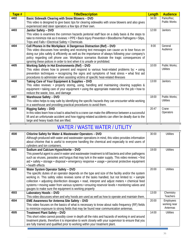<span id="page-38-0"></span>

| Tape # | <b>Title/Description</b>                                                                            | Length | <b>Audience</b>     |
|--------|-----------------------------------------------------------------------------------------------------|--------|---------------------|
| 4402   | Basic Sidewalk Clearing with Snow Blowers - DVD                                                     | 34:00  | Parks/Rec;          |
|        | This video is designed to give basic tips for clearing sidewalks with snow blowers and also gives   |        | <b>Public Works</b> |
|        | experienced skid steer operators a few tips of their own.                                           |        |                     |
| 4403   | Janitor Safety - DVD                                                                                | 12:00  | <b>Janitors</b>     |
|        | This video is examines the common hazards janitorial staff face on a daily basis & the steps to     |        |                     |
|        | take to minimize risk as it reviews: • PPE • Back Injury Prevention • Bloodborne Pathogens • Slips, |        |                     |
|        | Trips and Falls • Electrical Safety • Chemicals                                                     |        |                     |
| 4404   | Cell Phones in the Workplace: A Dangerous Distraction (Ref) - DVD                                   | 8:00   | General             |
|        | This video discusses how sending and receiving text messages can cause us to lose focus on          |        | Audience            |
|        | doing our jobs safely & efficiently as well as the importance of always following your company's    |        |                     |
|        | policy regarding cell phone use. Workplace scenarios illustrate the tragic consequences of          |        |                     |
|        | ignoring these polices in order to text when it is unsafe or prohibited.                            |        |                     |
| 4405   | Working Safely in Hot Environments (Ref) - DVD                                                      | 10:00  | Public Works:       |
|        | This video shows how to prevent and respond to various heat-related problems by: $\cdot$ using      |        | Utilities           |
|        | prevention techniques · recognizing the signs and symptoms of heat stress · what first aid          |        |                     |
|        | procedures to administer when assisting victims of specific heat-related illnesses                  |        |                     |
| 4406   | Taking Care of Your Equipment & Supplies - DVD                                                      | 13:00  | <b>Janitors</b>     |
|        | This video reviews: • properly storing, using, handling and maintaining cleaning supplies &         |        |                     |
|        | equipment • taking care of your equipment • using the appropriate materials for the job • how to    |        |                     |
|        | reduce the waste, loss, and damage                                                                  |        |                     |
| 4407   | Warehouse Safety - DVD                                                                              | 18:00  | Public Works:       |
|        | This video helps to stay safe by identifying the specific hazards they can encounter while working  |        | <b>Utilities</b>    |
|        | in a warehouse and providing practical procedures to avoid them.                                    |        |                     |
| 4408   | Rigging Safety - DVD                                                                                | 20:47  | Crane               |
|        | In this video learn how a load is attached to a crane can make the difference between a successful  |        | Operators           |
|        | lift and an unfortunate accident and how rigging-related accidents can often be deadly due to the   |        |                     |
|        | large and heavy loads that are lifted.                                                              |        |                     |

## WATER / WASTE WATER / UTILITY

| 4500 | Chlorine Safety for Water & Wastewater Operators - DVD<br>Although produced with water and wastewater operations in mind, this video provides information<br>about chlorine that is useful to everyone handling the chemical and especially to end users of<br>cylinders and ton containers.                                                                                                                                                                                                            | 30:00 | <b>Utilities</b>                      |
|------|---------------------------------------------------------------------------------------------------------------------------------------------------------------------------------------------------------------------------------------------------------------------------------------------------------------------------------------------------------------------------------------------------------------------------------------------------------------------------------------------------------|-------|---------------------------------------|
| 4501 | Sodium and Calcium Hypochlorite - DVD<br>This powerful agent is used in water and wastewater treatment to kill bacteria and other pathogens<br>such as viruses, parasites and fungus that may lurk in the water supply. This video reviews: • first<br>aid · safety · storage · disposal · emergency response · usage · personal protective equipment<br>• health effects                                                                                                                               | 19:00 | <b>Utilities</b>                      |
| 4502 | Water System Operator Safety - DVD<br>The specific duties of an operator depends on the type and size of the facility and/or the system<br>working in. This safety video reviews some of the tasks handled, but not limited to: • sample<br>collection • adjusting disinfection dosages • read, interpret and adjust meters • chemical feed<br>systems • moving water from various systems • ensuring reservoir levels • monitoring valves and<br>gauges to make sure the equipment is working properly | 20:00 | <b>Utilities</b>                      |
| 4503 | Laboratory Hoods - DVD<br>This video discusses when and why hoods are used as well as how to operate and maintain them.                                                                                                                                                                                                                                                                                                                                                                                 | 13:00 | Chemistry<br>Teachers                 |
| 4504 | EME Awareness for Antenna Site Safety - DVD<br>This video focuses on the basics of what is necessary to know about radio frequency (RF) fields<br>to minimize exposure to strong fields that may be found near communication antennas.                                                                                                                                                                                                                                                                  | 20:00 | Employees<br>working near<br>Antennas |
| 4505 | <b>Treatment Plant Safety - DVD</b><br>This short video cannot possibly cover in depth all the risks and hazards of working in and around<br>treatment plants, therefore it is imperative to work closely with your supervisor to ensure that you<br>are fully trained and qualified prior to working within your treatment plant.                                                                                                                                                                      | 14:00 | <b>Utilities</b>                      |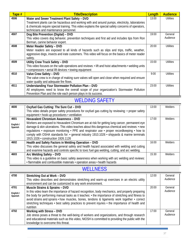<span id="page-39-0"></span>

| Tape # | <b>Title/Description</b>                                                                                        | <b>Length</b> | <b>Audience</b>  |
|--------|-----------------------------------------------------------------------------------------------------------------|---------------|------------------|
| 4506   | Water and Sewer Treatment Plant Safety - DVD                                                                    | 13:00         | Utilities        |
|        | Treatment plants can be hazardous and working with and around pumps, electricity, laboratories                  |               |                  |
|        | & chemicals require special training. This video explains the special safety concerns of operators,             |               |                  |
|        | technicians and maintenance personnel.                                                                          |               |                  |
| 4507   | Dog Bite Prevention (Digital) - DVD                                                                             | 19:00         | General          |
|        | This video covers dog behavior, prevention techniques and first aid and includes tips from Ron                  |               | Audience         |
|        | Berman, canine behavior expert.                                                                                 |               |                  |
| 4508   | Meter Reader Safety - DVD                                                                                       | 20:00         | <b>Utilities</b> |
|        | Meter readers are exposed to all kinds of hazards such as slips and trips, traffic, weather,                    |               |                  |
|        | aggressive dogs, insects and irate customers. This video will focus on the basics of meter reader               |               |                  |
|        | safety.                                                                                                         |               |                  |
| 4509   | <b>Utility Crew Truck Safety - DVD</b>                                                                          | 15:00         | Utilities        |
|        | This video focuses on the safe operations and reviews: $\cdot$ lift and hoist attachments $\cdot$ welding units |               |                  |
|        | • compressors • aerial lift devices • towing equipment                                                          |               |                  |
| 4510   | Valve Crew Safety - DVD                                                                                         | 9:00          | <b>Utilities</b> |
|        | The valve crew is in charge of making sure valves will open and close when required and ensure                  |               |                  |
|        | water quality and adequate fire flows.                                                                          |               |                  |
| 4511   | Understanding Your Stormwater Pollution Plan - DVD                                                              | 23:00         | <b>Utilities</b> |
|        | All employees need to know the overall scope of your organization's Stormwater Pollution                        |               |                  |
|        | Prevention Plan and the role each person plays in its success.                                                  |               |                  |

## WELDING SAFETY

| 4600                 | Oxyfuel Gas Cutting: The Sure Cut - DVD                                                                                                                                                                                                                                                                                                                                                                                            | 13:00 | Welders        |
|----------------------|------------------------------------------------------------------------------------------------------------------------------------------------------------------------------------------------------------------------------------------------------------------------------------------------------------------------------------------------------------------------------------------------------------------------------------|-------|----------------|
|                      | This video details proper safety procedures for oxyfuel gas cutting by reviewing: • proper safety                                                                                                                                                                                                                                                                                                                                  |       |                |
|                      | equipment • hook-up procedures • ventilation                                                                                                                                                                                                                                                                                                                                                                                       |       |                |
| 4601                 | Hexavalent Chromium Awareness - DVD                                                                                                                                                                                                                                                                                                                                                                                                | 17:00 | <b>Welders</b> |
| English /<br>Spanish | Workers are exposed to Hexavalent Chromium are at risk for getting lung cancer, permanent eye<br>damage & skin ulcerations. This video teaches about this dangerous chemical and reviews: • new<br>regulations • exposure monitoring • PPE and respirator use • proper recordkeeping • how to<br>comply with OSHA standards for: • general industry 1910.1026 • shipyards & marine terminals<br>1915.1026 · construction 1926.1126 |       |                |
| 4602                 | Health and Safety Factors in Welding Operation - DVD                                                                                                                                                                                                                                                                                                                                                                               | 16:00 | Welders        |
|                      | This video discusses the general safety and health hazard associated with welding and cutting                                                                                                                                                                                                                                                                                                                                      |       |                |
|                      | and examine hazards and controls specific to toxic fuel gas welding, cutting, and arc welding.                                                                                                                                                                                                                                                                                                                                     |       |                |
| 4603                 | Arc Welding Safety - DVD                                                                                                                                                                                                                                                                                                                                                                                                           | 15:30 | Welders        |
|                      | This video is a guideline on basic safety awareness when working with arc welding and reviews:                                                                                                                                                                                                                                                                                                                                     |       |                |
|                      | · flammable and combustible materials · operation areas · health hazards                                                                                                                                                                                                                                                                                                                                                           |       |                |

#### **WELLNESS**

| 4700                         | Stretching Out at Work - DVD<br>This video describes and demonstrates stretching and warm-up exercises in an electric utility<br>environment and can be customized to any work environment.                                                                                                                                                                                                                                                             | 12:00 | General<br>Audience |
|------------------------------|---------------------------------------------------------------------------------------------------------------------------------------------------------------------------------------------------------------------------------------------------------------------------------------------------------------------------------------------------------------------------------------------------------------------------------------------------------|-------|---------------------|
| 4701<br>English /<br>Spanish | Muscle Strains & Sprains - DVD<br>In this video learn the importance of hazard recognition, body mechanics, and properly preparing<br>the body for performing manual tasks as it teaches: • the importance of stretching and fitness to<br>avoid strains and sprains • how muscles, bones, tendons & ligaments work together • correct<br>stretching techniques • best safety practices to prevent injuries • the importance of health and<br>nutrition | 20:00 | General<br>Audience |
| 4702                         | Working with Stress - DVD<br>Job stress poses a threat to the well-being of workers and organizations, and through research<br>and educational materials such as this video, NIOSH is committed to providing the public with the<br>knowledge to overcome this threat.                                                                                                                                                                                  | 17:00 | General<br>Audience |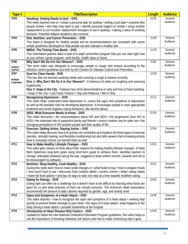| Tape #    | <b>Title/Description</b>                                                                                              | Length | <b>Audience</b>     |
|-----------|-----------------------------------------------------------------------------------------------------------------------|--------|---------------------|
| 4703      | Smoking: Getting Ready to Quit - DVD                                                                                  | 15:55  | General             |
|           | This video teaches how to $\cdot$ create a personal plan for quitting $\cdot$ setting a quit date $\cdot$ examine why |        | Audience            |
|           | people smoke $\cdot$ why they may want to quit $\cdot$ identify personal triggers to smoke $\cdot$ using nicotine     |        |                     |
|           | replacement & non-nicotine replacement therapies to aid in quitting • making a diary of smoking                       |        |                     |
|           | behavior. Potential relapse situations also covered.                                                                  |        |                     |
| 4704      | Diet, Nutrition, and Cancer Prevention - DVD                                                                          | 11:00  | General             |
|           | This video is designed for healthy people and its recommendations are consistent with seven                           |        | Audience            |
|           | simple guidelines developed to help people eat and maintain a healthy diet.                                           |        |                     |
| 4705      | MRSA: The Ticking Time Bomb - DVD                                                                                     | 11:00  | General             |
|           | This information packed video is part of a staph prevention program that you can start right now                      |        | Audience            |
|           | at your school, sports program, work facility, health class or home.                                                  |        |                     |
| 4706      | Why Don't We Do It In Our Sleeves? - DVD                                                                              | 5:00   | General             |
| English / | This short video was designed to encourage people to cough and sneeze according to the                                |        | Audience            |
| Spanish   | infection control guidelines put forth by the Centers for Disease Control and Prevention.                             |        |                     |
| 4707      | Duet for Clean Hands - DVD                                                                                            | 12:00  | General<br>Audience |
| Multiple  | This two disk set teaches washing hands and covering a cough & sneeze correctly.                                      |        |                     |
| Languages | Disc 1: Why Don't We Do It in Our Sleeves? - A hilarious hit video on coughing and sneezing                           |        |                     |
|           | hygienically.                                                                                                         |        |                     |
|           | Disc 2: Soap in the City - Features four short demonstrations on why and how of hand washing.                         |        |                     |
| 4708      | • Soap in the City • Last Clean Chance • Clay and Rebecca • We're Dirty<br><b>Recognizing Depression - DVD</b>        | 15:12  | General             |
|           | This video helps understand what depression is, covers the signs and symptoms of depression                           |        | Audience            |
|           | as well as the possible risks for developing depression. It encourages people to seek appropriate                     |        |                     |
|           | treatment and avoid negative coping behaviors, like alcohol abuse.                                                    |        |                     |
| 4709      | AIDS: What Everyone Needs to Know - DVD                                                                               | 22:00  | General             |
|           | This video discusses $\cdot$ the misconceptions about HIV and AIDS $\cdot$ the progression from HIV to                |        | Audience            |
|           | AIDS • the important role of supportive family and friends • correct condom use for safer sex • the                   |        |                     |
|           | changing perceptions of HIV positive people and their quality of life.                                                |        |                     |
| 4710      | Exercise: Getting Active, Staying Active - DVD                                                                        | 12:54  | General             |
|           | This video helps discover how to fit activity into schedules as it explains the three types of exercise               |        | Audience            |
|           | (aerobic, strength training, and flexibility conditioning) but also tells viewers that increasing activity            |        |                     |
|           | level in everyday chores can benefit them as well.                                                                    |        |                     |
| 4711      | How to Make Healthy Lifestyle Changes - DVD                                                                           | 13:31  | General             |
|           | This video gets viewers to think about their reasons for making healthy lifestyle changes. It helps                   |        | Audience            |
|           | them determine long-term goals using short-term goals to achieve them, identifies barriers to                         |        |                     |
|           | change, anticipate obstacles along the way, suggests to keep written records, rewards and not to                      |        |                     |
|           | be discouraged by setbacks.                                                                                           |        |                     |
| 4712      | Nutrition: Shop Healthy, Cook Healthy - DVD                                                                           | 15:51  | General             |
|           | During this video learn how to make small changes in • what foods to buy • how to prepare meals                       |        | Audience            |
|           | • how much food to eat • discusses food nutrition labels • portion control • better eating habits                     |        |                     |
|           | • lower-fat food options • and tips on ways to take one step at a time towards healthier eating.                      |        |                     |
| 4713      | Eating for Energy - DVD                                                                                               | 19:00  | General             |
|           | Eating right can often be a challenge but it doesn't have to be difficult by learning what foods are                  |        | Audience            |
|           | good for us and what amounts of them we should consume. The American Heart Association                                |        |                     |
|           | recommends the amount of daily calories required by gender, age, and activity level.                                  |        |                     |
| 4714      | Signs and Symptoms of a Heart Attack - DVD                                                                            | 14:40  | General             |
|           | This video teaches: $\cdot$ how to recognize the signs and symptoms of a heart attack $\cdot$ seeking help            |        | Audience            |
|           | quickly to prevent further damage to your heart • the signs of a heart attack • what happens in the                   |        |                     |
|           | body during a heart attack • possible treatments at the hospital                                                      |        |                     |
| 4715      | Introduction to Heart Disease Risk Factors - DVD                                                                      | 14:43  | General<br>Audience |
|           | Updated to follow the new National Cholesterol Education Program guidelines, this video helps to                      |        |                     |
|           | see the importance of knowing individual risk factors and how to make minimizing risks a goal.                        |        |                     |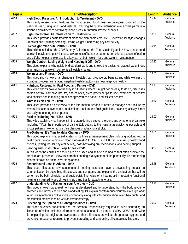| Tape # | <b>Title/Description</b>                                                                                                              | Length | <b>Audience</b>     |
|--------|---------------------------------------------------------------------------------------------------------------------------------------|--------|---------------------|
| 4716   | High Blood Pressure: An Introduction to Treatment - DVD                                                                               | 15:44  | General             |
|        | This newly revised video features the most recent blood pressure categories outlined by the                                           |        | Audience            |
|        | National Heart, Lung, and Blood Institute, including the "prehypertension" level and helps make a                                     |        |                     |
|        | lifelong commitment to controlling blood pressure through lifestyle changes.                                                          |        |                     |
| 4717   | High Cholesterol: An Introduction to Treatment - DVD                                                                                  | 13:08  | General             |
|        | This video provides basic treatment plans for high cholesterol by: • reviewing lifestyle changes                                      |        | Audience            |
|        | . medications · quitting smoking · losing weight · increasing physical activity                                                       |        |                     |
| 4718   | Overweight: Who's in Control? - DVD                                                                                                   | 15:14  | General             |
|        | This edition includes • the 2005 Dietary Guidelines • the Food Guide Pyramid • how to read food                                       |        | Audience            |
|        | labels • lifestyle changes • increase awareness of behavior patterns • emotional aspects of eating                                    |        |                     |
|        | and pitfalls • explains exercise is a key part of both weight loss and weight maintenance                                             |        |                     |
| 4719   | Weight Control: Losing Weight and Keeping It Off - DVD                                                                                | 10:22  | General             |
|        | This video explains why quick fix diets don't work and shows the basics for gradual weight loss                                       |        | Audience            |
|        | emphasizing that weight control is a lifestyle change.                                                                                |        |                     |
| 4720   | <b>Wellness and Fitness - DVD</b>                                                                                                     | 13:00  | General             |
|        | This video shows how small changes in lifestyles can produce big benefits and while wellness is                                       |        | Audience            |
|        | a gradual process, eliminating negative lifestyle factors can help keep you healthy.                                                  |        |                     |
| 4721   | Nutrition: Restaurants, Fast Food and Parties - DVD                                                                                   | 18:17  | General<br>Audience |
|        | This video shows how to eat healthy in situations where it might not be easy to do so, discusses                                      |        |                     |
|        | portion control, carbohydrate, fat, and calories, gives practical tips to use, examples of healthy                                    |        |                     |
|        | food choices and in making small changes you can eat out and still eat healthy.                                                       |        |                     |
| 4722   | What is Heart Failure - DVD                                                                                                           | 18:36  | General<br>Audience |
|        | This video provides an overview of the information needed in order to manage heart failure by                                         |        |                     |
|        | covers risk factors, symptoms, medications, sodium and fluid guidelines, balancing activity & rest                                    |        |                     |
| 4723   | and daily monitoring of symptoms.                                                                                                     | 14:02  | General             |
|        | Stroke: Reducing Your Risk - DVD<br>This video explains what happens in the brain during a stroke, the signs and symptoms of a stroke |        | Audience            |
|        | (including TIAs), the importance of calling 911, getting to the hospital as quickly as possible and                                   |        |                     |
|        | shows patients how to reduce their chances of a having a stroke.                                                                      |        |                     |
| 4724   | Pre-Diabetes: It's Time to Make Changes - DVD                                                                                         | 19:31  | General             |
|        | This video explains what pre-diabetes is, outlines a management plan including working with a                                         |        | Audience            |
|        | health care provider to monitor blood glucose (FPGT, OGTT and A1C tests), making healthy food                                         |        |                     |
|        | choices, getting regular physical activity, possibly taking oral medications, and getting support.                                    |        |                     |
| 4725   | Snoring and Obstructive Sleep Apnea - DVD                                                                                             | 14:27  | General             |
|        | In this video the causes of snoring are discussed and self-help remedies that often alleviate the                                     |        | Audience            |
|        | problem are presented. Viewers learn that snoring is a symptom of the potentially life-threatening                                    |        |                     |
|        | disorder known as obstructive sleep apnea.                                                                                            |        |                     |
| 4726   | Sensorineural Loss In Adults - DVD                                                                                                    | 16:48  | General             |
|        | This video illustrates how sensorineural hearing loss can have a devastating impact on                                                |        | Audience            |
|        | communication by describing the causes and symptoms and explains the evaluation that will be                                          |        |                     |
|        | performed by both physician and audiologist. The value of a hearing aid in restoring functional                                       |        |                     |
|        | hearing is stressed, types of hearing aids and tips for adapting to use.                                                              |        |                     |
| 4727   | Understanding And Managing Your Allergies - DVD                                                                                       | 13:18  | General             |
|        | This video shows how a treatment plan is developed and to understand how the body reacts to                                           |        | Audience            |
|        | allergens and introduces skin and blood testing. It'll explain how to reduce your "total allergic load"                               |        |                     |
|        | to reduce symptoms and live more comfortably along with information about over-the-counter and                                        |        |                     |
|        | prescription medications as well as immunotherapy.                                                                                    |        |                     |
| 4728   | Preventing the Spread of a Contagious Illness - DVD                                                                                   | 10:00  | General             |
|        | The video stresses prevention and the personal responsibility required to avoid spreading an                                          |        | Audience            |
|        | illness or infection. Includes information about seasonal flu, avian flu, SARS, MRSA, and swine                                       |        |                     |
|        | flu, explaining the origins and symptoms of these illnesses as well as the general hygiene and                                        |        |                     |
|        | prevention measures required to prevent spreading and contracting all contagious illnesses.                                           |        |                     |